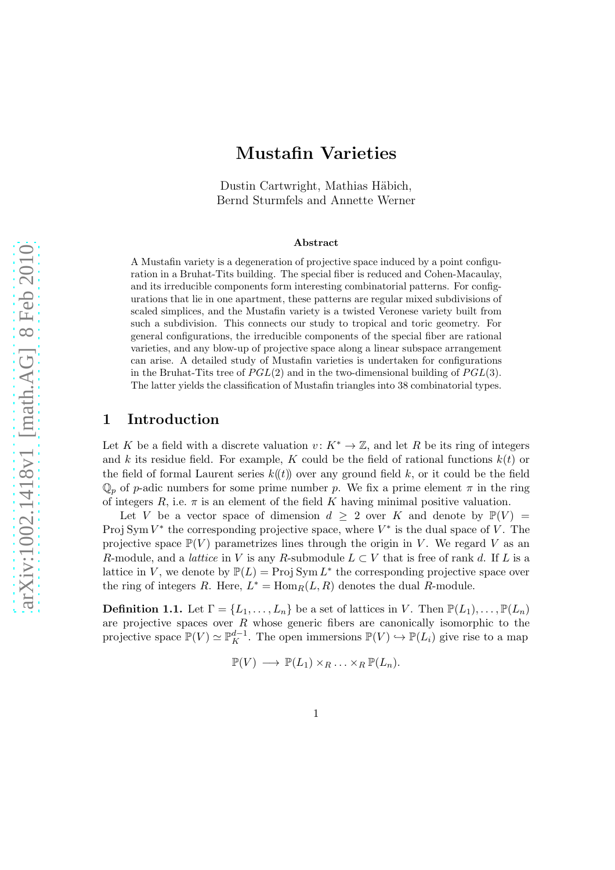# Mustafin Varieties

Dustin Cartwright, Mathias Häbich, Bernd Sturmfels and Annette Werner

#### Abstract

A Mustafin variety is a degeneration of projective space induced by a point configuration in a Bruhat-Tits building. The special fiber is reduced and Cohen-Macaulay, and its irreducible components form interesting combinatorial patterns. For configurations that lie in one apartment, these patterns are regular mixed subdivisions of scaled simplices, and the Mustafin variety is a twisted Veronese variety built from such a subdivision. This connects our study to tropical and toric geometry. For general configurations, the irreducible components of the special fiber are rational varieties, and any blow-up of projective space along a linear subspace arrangement can arise. A detailed study of Mustafin varieties is undertaken for configurations in the Bruhat-Tits tree of  $PGL(2)$  and in the two-dimensional building of  $PGL(3)$ . The latter yields the classification of Mustafin triangles into 38 combinatorial types.

### 1 Introduction

Let K be a field with a discrete valuation  $v: K^* \to \mathbb{Z}$ , and let R be its ring of integers and k its residue field. For example, K could be the field of rational functions  $k(t)$  or the field of formal Laurent series  $k((t))$  over any ground field k, or it could be the field  $\mathbb{Q}_p$  of p-adic numbers for some prime number p. We fix a prime element  $\pi$  in the ring of integers  $R$ , i.e.  $\pi$  is an element of the field K having minimal positive valuation.

Let V be a vector space of dimension  $d \geq 2$  over K and denote by  $\mathbb{P}(V) =$ Proj Sym  $V^*$  the corresponding projective space, where  $V^*$  is the dual space of V. The projective space  $\mathbb{P}(V)$  parametrizes lines through the origin in V. We regard V as an R-module, and a *lattice* in V is any R-submodule  $L \subset V$  that is free of rank d. If L is a lattice in V, we denote by  $\mathbb{P}(L) = \text{Proj}\, \text{Sym } L^*$  the corresponding projective space over the ring of integers R. Here,  $L^* = \text{Hom}_R(L, R)$  denotes the dual R-module.

**Definition 1.1.** Let  $\Gamma = \{L_1, \ldots, L_n\}$  be a set of lattices in V. Then  $\mathbb{P}(L_1), \ldots, \mathbb{P}(L_n)$ are projective spaces over  $R$  whose generic fibers are canonically isomorphic to the projective space  $\mathbb{P}(V) \simeq \mathbb{P}_{K}^{d-1}$ . The open immersions  $\mathbb{P}(V) \hookrightarrow \mathbb{P}(L_i)$  give rise to a map

$$
\mathbb{P}(V) \longrightarrow \mathbb{P}(L_1) \times_R \ldots \times_R \mathbb{P}(L_n).
$$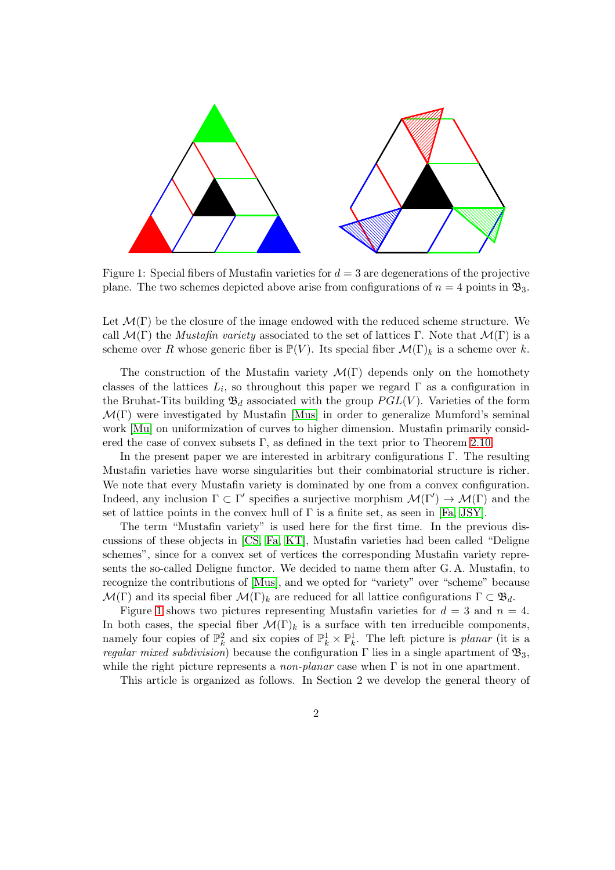

<span id="page-1-0"></span>Figure 1: Special fibers of Mustafin varieties for  $d = 3$  are degenerations of the projective plane. The two schemes depicted above arise from configurations of  $n = 4$  points in  $\mathfrak{B}_3$ .

Let  $\mathcal{M}(\Gamma)$  be the closure of the image endowed with the reduced scheme structure. We call  $\mathcal{M}(\Gamma)$  the *Mustafin variety* associated to the set of lattices Γ. Note that  $\mathcal{M}(\Gamma)$  is a scheme over R whose generic fiber is  $\mathbb{P}(V)$ . Its special fiber  $\mathcal{M}(\Gamma)_k$  is a scheme over k.

The construction of the Mustafin variety  $\mathcal{M}(\Gamma)$  depends only on the homothety classes of the lattices  $L_i$ , so throughout this paper we regard  $\Gamma$  as a configuration in the Bruhat-Tits building  $\mathfrak{B}_d$  associated with the group  $PGL(V)$ . Varieties of the form  $\mathcal{M}(\Gamma)$  were investigated by Mustafin [\[Mus\]](#page-36-0) in order to generalize Mumford's seminal work [\[Mu\]](#page-36-1) on uniformization of curves to higher dimension. Mustafin primarily considered the case of convex subsets  $\Gamma$ , as defined in the text prior to Theorem [2.10.](#page-9-0)

In the present paper we are interested in arbitrary configurations  $\Gamma$ . The resulting Mustafin varieties have worse singularities but their combinatorial structure is richer. We note that every Mustafin variety is dominated by one from a convex configuration. Indeed, any inclusion  $\Gamma \subset \Gamma'$  specifies a surjective morphism  $\mathcal{M}(\Gamma') \to \mathcal{M}(\Gamma)$  and the set of lattice points in the convex hull of  $\Gamma$  is a finite set, as seen in [\[Fa,](#page-36-2) [JSY\]](#page-36-3).

The term "Mustafin variety" is used here for the first time. In the previous discussions of these objects in [\[CS,](#page-36-4) [Fa,](#page-36-2) [KT\]](#page-36-5), Mustafin varieties had been called "Deligne schemes", since for a convex set of vertices the corresponding Mustafin variety represents the so-called Deligne functor. We decided to name them after G. A. Mustafin, to recognize the contributions of [\[Mus\]](#page-36-0), and we opted for "variety" over "scheme" because  $\mathcal{M}(\Gamma)$  and its special fiber  $\mathcal{M}(\Gamma)_k$  are reduced for all lattice configurations  $\Gamma \subset \mathfrak{B}_d$ .

Figure [1](#page-1-0) shows two pictures representing Mustafin varieties for  $d = 3$  and  $n = 4$ . In both cases, the special fiber  $\mathcal{M}(\Gamma)_k$  is a surface with ten irreducible components, namely four copies of  $\mathbb{P}_k^2$  and six copies of  $\mathbb{P}_k^1 \times \mathbb{P}_k^1$ . The left picture is *planar* (it is a *regular mixed subdivision*) because the configuration  $\Gamma$  lies in a single apartment of  $\mathfrak{B}_3$ , while the right picture represents a *non-planar* case when Γ is not in one apartment.

This article is organized as follows. In Section 2 we develop the general theory of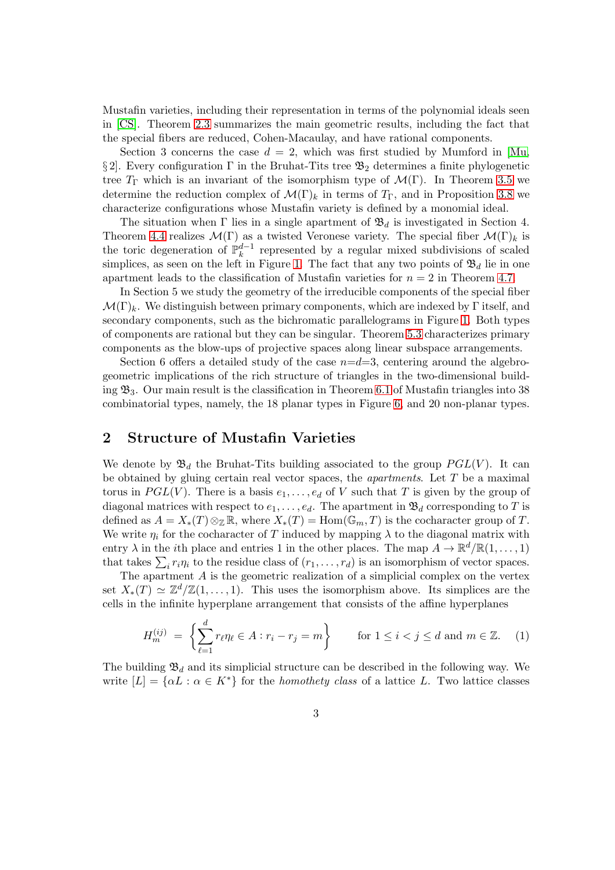Mustafin varieties, including their representation in terms of the polynomial ideals seen in [\[CS\]](#page-36-4). Theorem [2.3](#page-5-0) summarizes the main geometric results, including the fact that the special fibers are reduced, Cohen-Macaulay, and have rational components.

Section 3 concerns the case  $d = 2$ , which was first studied by Mumford in [\[Mu,](#page-36-1) § 2. Every configuration  $\Gamma$  in the Bruhat-Tits tree  $\mathfrak{B}_2$  determines a finite phylogenetic tree  $T_{\Gamma}$  which is an invariant of the isomorphism type of  $\mathcal{M}(\Gamma)$ . In Theorem [3.5](#page-12-0) we determine the reduction complex of  $\mathcal{M}(\Gamma)_k$  in terms of  $T_{\Gamma}$ , and in Proposition [3.8](#page-13-0) we characterize configurations whose Mustafin variety is defined by a monomial ideal.

The situation when  $\Gamma$  lies in a single apartment of  $\mathfrak{B}_d$  is investigated in Section 4. Theorem [4.4](#page-17-0) realizes  $\mathcal{M}(\Gamma)$  as a twisted Veronese variety. The special fiber  $\mathcal{M}(\Gamma)_k$  is the toric degeneration of  $\mathbb{P}_k^{d-1}$  $\frac{a-1}{k}$  represented by a regular mixed subdivisions of scaled simplices, as seen on the left in Figure [1.](#page-1-0) The fact that any two points of  $\mathfrak{B}_d$  lie in one apartment leads to the classification of Mustafin varieties for  $n = 2$  in Theorem [4.7.](#page-20-0)

In Section 5 we study the geometry of the irreducible components of the special fiber  $\mathcal{M}(\Gamma)_k$ . We distinguish between primary components, which are indexed by Γ itself, and secondary components, such as the bichromatic parallelograms in Figure [1.](#page-1-0) Both types of components are rational but they can be singular. Theorem [5.3](#page-21-0) characterizes primary components as the blow-ups of projective spaces along linear subspace arrangements.

Section 6 offers a detailed study of the case  $n=d=3$ , centering around the algebrogeometric implications of the rich structure of triangles in the two-dimensional building  $\mathfrak{B}_3$ . Our main result is the classification in Theorem [6.1](#page-26-0) of Mustafin triangles into 38 combinatorial types, namely, the 18 planar types in Figure [6,](#page-22-0) and 20 non-planar types.

## <span id="page-2-0"></span>2 Structure of Mustafin Varieties

We denote by  $\mathfrak{B}_d$  the Bruhat-Tits building associated to the group  $PGL(V)$ . It can be obtained by gluing certain real vector spaces, the *apartments*. Let T be a maximal torus in  $PGL(V)$ . There is a basis  $e_1, \ldots, e_d$  of V such that T is given by the group of diagonal matrices with respect to  $e_1, \ldots, e_d$ . The apartment in  $\mathfrak{B}_d$  corresponding to T is defined as  $A = X_*(T) \otimes_{\mathbb{Z}} \mathbb{R}$ , where  $X_*(T) = \text{Hom}(\mathbb{G}_m, T)$  is the cocharacter group of T. We write  $\eta_i$  for the cocharacter of T induced by mapping  $\lambda$  to the diagonal matrix with entry  $\lambda$  in the *i*th place and entries 1 in the other places. The map  $A \to \mathbb{R}^d/\mathbb{R}(1,\ldots,1)$ that takes  $\sum_i r_i \eta_i$  to the residue class of  $(r_1, \ldots, r_d)$  is an isomorphism of vector spaces.

The apartment A is the geometric realization of a simplicial complex on the vertex set  $X_*(T) \simeq \mathbb{Z}^d/\mathbb{Z}(1,\ldots,1)$ . This uses the isomorphism above. Its simplices are the cells in the infinite hyperplane arrangement that consists of the affine hyperplanes

<span id="page-2-1"></span>
$$
H_m^{(ij)} = \left\{ \sum_{\ell=1}^d r_\ell \eta_\ell \in A : r_i - r_j = m \right\} \qquad \text{for } 1 \le i < j \le d \text{ and } m \in \mathbb{Z}. \tag{1}
$$

The building  $\mathfrak{B}_d$  and its simplicial structure can be described in the following way. We write  $[L] = {\alpha L : \alpha \in K^*}$  for the *homothety class* of a lattice L. Two lattice classes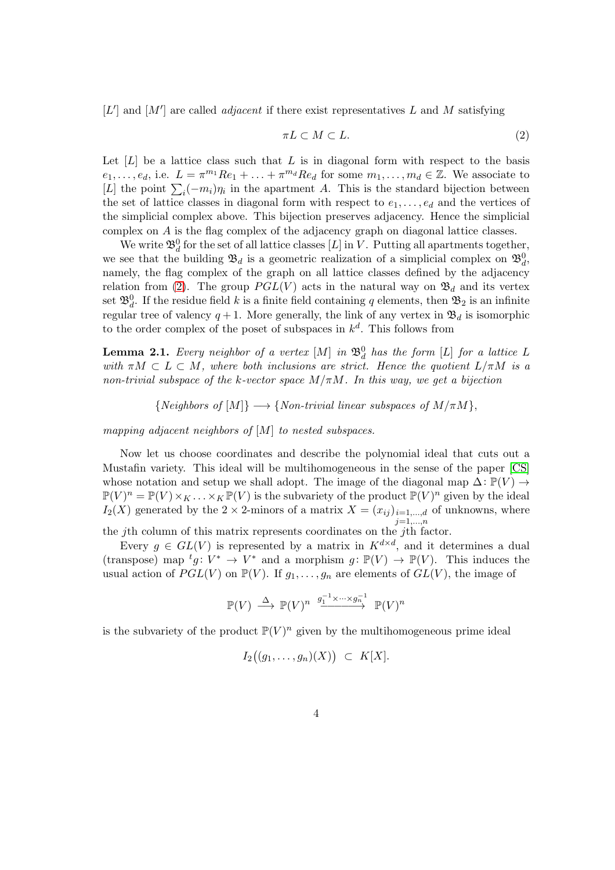$[L']$  and  $[M']$  are called *adjacent* if there exist representatives L and M satisfying

<span id="page-3-0"></span>
$$
\pi L \subset M \subset L. \tag{2}
$$

Let  $[L]$  be a lattice class such that L is in diagonal form with respect to the basis  $e_1,\ldots,e_d$ , i.e.  $L = \pi^{m_1}Re_1 + \ldots + \pi^{m_d}Re_d$  for some  $m_1,\ldots,m_d \in \mathbb{Z}$ . We associate to [L] the point  $\sum_i (-m_i)\eta_i$  in the apartment A. This is the standard bijection between the set of lattice classes in diagonal form with respect to  $e_1, \ldots, e_d$  and the vertices of the simplicial complex above. This bijection preserves adjacency. Hence the simplicial complex on A is the flag complex of the adjacency graph on diagonal lattice classes.

We write  $\mathfrak{B}_d^0$  for the set of all lattice classes  $[L]$  in V. Putting all apartments together, we see that the building  $\mathfrak{B}_d$  is a geometric realization of a simplicial complex on  $\mathfrak{B}_d^0$ , namely, the flag complex of the graph on all lattice classes defined by the adjacency relation from [\(2\)](#page-3-0). The group  $PGL(V)$  acts in the natural way on  $\mathfrak{B}_d$  and its vertex set  $\mathfrak{B}_d^0$ . If the residue field k is a finite field containing q elements, then  $\mathfrak{B}_2$  is an infinite regular tree of valency  $q+1$ . More generally, the link of any vertex in  $\mathfrak{B}_d$  is isomorphic to the order complex of the poset of subspaces in  $k^d$ . This follows from

<span id="page-3-1"></span>**Lemma 2.1.** *Every neighbor of a vertex*  $[M]$  *in*  $\mathfrak{B}_d^0$  *has the form*  $[L]$  *for a lattice*  $L$ *with*  $\pi M \subset L \subset M$ *, where both inclusions are strict. Hence the quotient*  $L/\pi M$  *is a non-trivial subspace of the* k*-vector space* M/πM*. In this way, we get a bijection*

 ${Neighbors of [M]} \longrightarrow {Non-trivial linear subspaces of  $M/\pi M$ },$ 

*mapping adjacent neighbors of* [M] *to nested subspaces.*

Now let us choose coordinates and describe the polynomial ideal that cuts out a Mustafin variety. This ideal will be multihomogeneous in the sense of the paper [\[CS\]](#page-36-4) whose notation and setup we shall adopt. The image of the diagonal map  $\Delta: \mathbb{P}(V) \rightarrow$  $\mathbb{P}(V)^n = \mathbb{P}(V) \times_K \ldots \times_K \mathbb{P}(V)$  is the subvariety of the product  $\mathbb{P}(V)^n$  given by the ideal  $I_2(X)$  generated by the 2  $\times$  2-minors of a matrix  $X = (x_{ij})_{i=1,\dots,d}$  of unknowns, where  $_{j=1,...,n}$ 

the jth column of this matrix represents coordinates on the jth factor.

Every  $g \in GL(V)$  is represented by a matrix in  $K^{d \times d}$ , and it determines a dual (transpose) map  ${}^t g: V^* \to V^*$  and a morphism  $g: \mathbb{P}(V) \to \mathbb{P}(V)$ . This induces the usual action of  $PGL(V)$  on  $\mathbb{P}(V)$ . If  $g_1, \ldots, g_n$  are elements of  $GL(V)$ , the image of

$$
\mathbb{P}(V) \ \stackrel{\Delta}{\longrightarrow} \ \mathbb{P}(V)^n \ \stackrel{g_1^{-1} \times \cdots \times g_n^{-1}}{\longrightarrow} \ \mathbb{P}(V)^n
$$

is the subvariety of the product  $\mathbb{P}(V)^n$  given by the multihomogeneous prime ideal

$$
I_2((g_1,\ldots,g_n)(X)) \subset K[X].
$$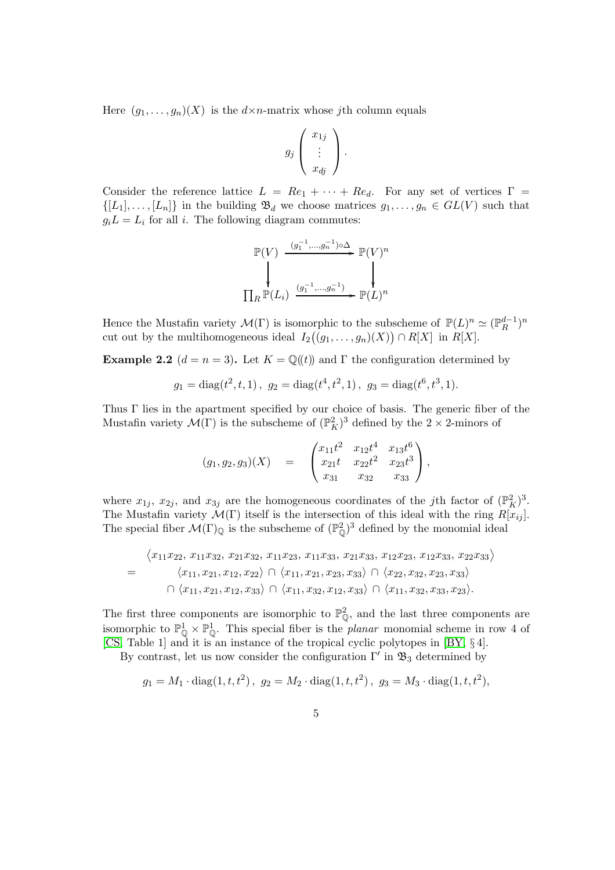Here  $(g_1, \ldots, g_n)(X)$  is the  $d \times n$ -matrix whose jth column equals

$$
g_j\left(\begin{array}{c}x_{1j}\\ \vdots \\ x_{dj}\end{array}\right).
$$

Consider the reference lattice  $L = Re_1 + \cdots + Re_d$ . For any set of vertices  $\Gamma =$  $\{[L_1], \ldots, [L_n]\}\$ in the building  $\mathfrak{B}_d$  we choose matrices  $g_1, \ldots, g_n \in GL(V)$  such that  $g_i L = L_i$  for all *i*. The following diagram commutes:

$$
\mathbb{P}(V) \xrightarrow{(g_1^{-1}, \dots, g_n^{-1}) \circ \Delta} \mathbb{P}(V)^n
$$
\n
$$
\prod_R \mathbb{P}(L_i) \xrightarrow{(g_1^{-1}, \dots, g_n^{-1})} \mathbb{P}(L)^n
$$

Hence the Mustafin variety  $\mathcal{M}(\Gamma)$  is isomorphic to the subscheme of  $\mathbb{P}(L)^n \simeq (\mathbb{P}_R^{d-1})^n$ cut out by the multihomogeneous ideal  $I_2((g_1,\ldots,g_n)(X)) \cap R[X]$  in  $R[X]$ .

<span id="page-4-0"></span>**Example 2.2**  $(d = n = 3)$ . Let  $K = \mathbb{Q}((t))$  and  $\Gamma$  the configuration determined by

$$
g_1 = diag(t^2, t, 1), g_2 = diag(t^4, t^2, 1), g_3 = diag(t^6, t^3, 1).
$$

Thus Γ lies in the apartment specified by our choice of basis. The generic fiber of the Mustafin variety  $\mathcal{M}(\Gamma)$  is the subscheme of  $(\mathbb{P}^2_K)^3$  defined by the  $2 \times 2$ -minors of

$$
(g_1, g_2, g_3)(X) = \begin{pmatrix} x_{11}t^2 & x_{12}t^4 & x_{13}t^6 \\ x_{21}t & x_{22}t^2 & x_{23}t^3 \\ x_{31} & x_{32} & x_{33} \end{pmatrix},
$$

where  $x_{1j}$ ,  $x_{2j}$ , and  $x_{3j}$  are the homogeneous coordinates of the *j*th factor of  $(\mathbb{P}^2_K)^3$ . The Mustafin variety  $\mathcal{M}(\Gamma)$  itself is the intersection of this ideal with the ring  $R[x_{ij}]$ . The special fiber  $\mathcal{M}(\Gamma)_{\mathbb{Q}}$  is the subscheme of  $(\mathbb{P}_{\mathbb{Q}}^2)^3$  defined by the monomial ideal

$$
\langle x_{11}x_{22}, x_{11}x_{32}, x_{21}x_{32}, x_{11}x_{23}, x_{11}x_{33}, x_{21}x_{33}, x_{12}x_{23}, x_{12}x_{33}, x_{22}x_{33} \rangle
$$
  
=  $\langle x_{11}, x_{21}, x_{12}, x_{22} \rangle \cap \langle x_{11}, x_{21}, x_{23}, x_{33} \rangle \cap \langle x_{22}, x_{32}, x_{23}, x_{33} \rangle$   
 $\cap \langle x_{11}, x_{21}, x_{12}, x_{33} \rangle \cap \langle x_{11}, x_{32}, x_{12}, x_{33} \rangle \cap \langle x_{11}, x_{32}, x_{33}, x_{23} \rangle.$ 

The first three components are isomorphic to  $\mathbb{P}^2_{\mathbb{Q}}$ , and the last three components are isomorphic to  $\mathbb{P}^1_{\mathbb{Q}} \times \mathbb{P}^1_{\mathbb{Q}}$ . This special fiber is the *planar* monomial scheme in row 4 of [\[CS,](#page-36-4) Table 1] and it is an instance of the tropical cyclic polytopes in [\[BY,](#page-36-6) § 4].

By contrast, let us now consider the configuration  $\Gamma'$  in  $\mathfrak{B}_3$  determined by

$$
g_1 = M_1 \cdot \text{diag}(1, t, t^2), \ g_2 = M_2 \cdot \text{diag}(1, t, t^2), \ g_3 = M_3 \cdot \text{diag}(1, t, t^2),
$$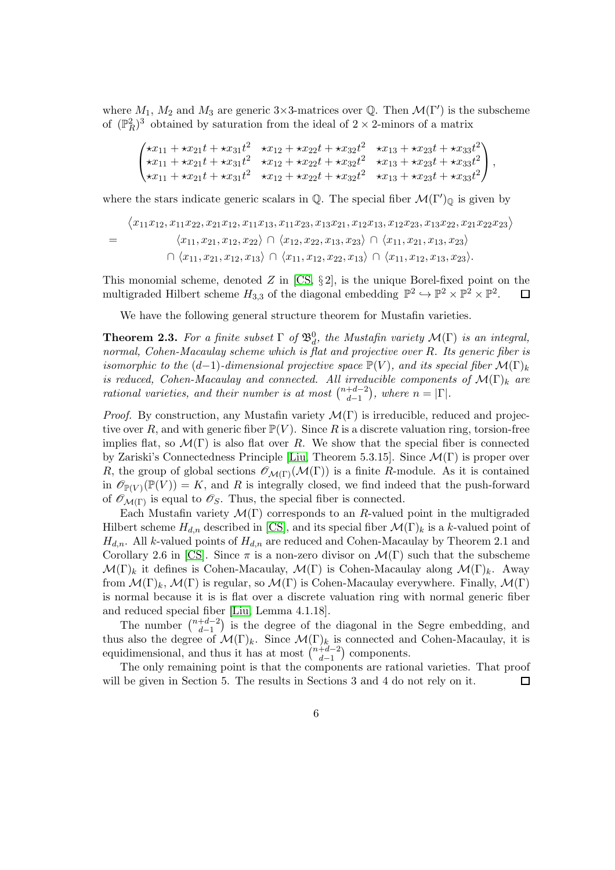where  $M_1$ ,  $M_2$  and  $M_3$  are generic 3×3-matrices over Q. Then  $\mathcal{M}(\Gamma')$  is the subscheme of  $(\mathbb{P}_R^2)^3$  obtained by saturation from the ideal of  $2 \times 2$ -minors of a matrix

$$
\begin{pmatrix}\n\star x_{11} + \star x_{21}t + \star x_{31}t^2 & \star x_{12} + \star x_{22}t + \star x_{32}t^2 & \star x_{13} + \star x_{23}t + \star x_{33}t^2 \\
\star x_{11} + \star x_{21}t + \star x_{31}t^2 & \star x_{12} + \star x_{22}t + \star x_{32}t^2 & \star x_{13} + \star x_{23}t + \star x_{33}t^2 \\
\star x_{11} + \star x_{21}t + \star x_{31}t^2 & \star x_{12} + \star x_{22}t + \star x_{32}t^2 & \star x_{13} + \star x_{23}t + \star x_{33}t^2\n\end{pmatrix},
$$

where the stars indicate generic scalars in  $\mathbb Q$ . The special fiber  $\mathcal M(\Gamma')_{\mathbb Q}$  is given by

$$
\langle x_{11}x_{12}, x_{11}x_{22}, x_{21}x_{12}, x_{11}x_{13}, x_{11}x_{23}, x_{13}x_{21}, x_{12}x_{13}, x_{12}x_{23}, x_{13}x_{22}, x_{21}x_{22}x_{23}\rangle
$$
  
=  $\langle x_{11}, x_{21}, x_{12}, x_{22}\rangle \cap \langle x_{12}, x_{22}, x_{13}, x_{23}\rangle \cap \langle x_{11}, x_{21}, x_{13}, x_{23}\rangle$   
 $\cap \langle x_{11}, x_{21}, x_{12}, x_{13}\rangle \cap \langle x_{11}, x_{12}, x_{22}, x_{13}\rangle \cap \langle x_{11}, x_{12}, x_{13}, x_{23}\rangle.$ 

This monomial scheme, denoted  $Z$  in  $[CS, §2]$ , is the unique Borel-fixed point on the multigraded Hilbert scheme  $H_{3,3}$  of the diagonal embedding  $\mathbb{P}^2 \hookrightarrow \mathbb{P}^2 \times \mathbb{P}^2 \times \mathbb{P}^2$ .  $\Box$ 

We have the following general structure theorem for Mustafin varieties.

<span id="page-5-0"></span>**Theorem 2.3.** For a finite subset  $\Gamma$  of  $\mathfrak{B}_d^0$ , the Mustafin variety  $\mathcal{M}(\Gamma)$  is an integral, *normal, Cohen-Macaulay scheme which is flat and projective over* R*. Its generic fiber is isomorphic to the*  $(d-1)$ *-dimensional projective space*  $\mathbb{P}(V)$ *, and its special fiber*  $\mathcal{M}(\Gamma)_{k}$ *is reduced, Cohen-Macaulay and connected. All irreducible components of*  $\mathcal{M}(\Gamma)_{k}$  *are rational varieties, and their number is at most*  $\binom{n+d-2}{d-1}$  $\binom{+a-2}{a-1}$ , where  $n = |\Gamma|$ .

*Proof.* By construction, any Mustafin variety  $\mathcal{M}(\Gamma)$  is irreducible, reduced and projective over R, and with generic fiber  $\mathbb{P}(V)$ . Since R is a discrete valuation ring, torsion-free implies flat, so  $\mathcal{M}(\Gamma)$  is also flat over R. We show that the special fiber is connected by Zariski's Connectedness Principle [\[Liu,](#page-36-7) Theorem 5.3.15]. Since  $\mathcal{M}(\Gamma)$  is proper over R, the group of global sections  $\mathcal{O}_{\mathcal{M}(\Gamma)}(\mathcal{M}(\Gamma))$  is a finite R-module. As it is contained in  $\mathscr{O}_{\mathbb{P}(V)}(\mathbb{P}(V)) = K$ , and R is integrally closed, we find indeed that the push-forward of  $\mathscr{O}_{\mathcal{M}(\Gamma)}$  is equal to  $\mathscr{O}_{S}$ . Thus, the special fiber is connected.

Each Mustafin variety  $\mathcal{M}(\Gamma)$  corresponds to an R-valued point in the multigraded Hilbert scheme  $H_{d,n}$  described in [\[CS\]](#page-36-4), and its special fiber  $\mathcal{M}(\Gamma)_k$  is a k-valued point of  $H_{d,n}$ . All k-valued points of  $H_{d,n}$  are reduced and Cohen-Macaulay by Theorem 2.1 and Corollary 2.6 in [\[CS\]](#page-36-4). Since  $\pi$  is a non-zero divisor on  $\mathcal{M}(\Gamma)$  such that the subscheme  $\mathcal{M}(\Gamma)_k$  it defines is Cohen-Macaulay,  $\mathcal{M}(\Gamma)$  is Cohen-Macaulay along  $\mathcal{M}(\Gamma)_k$ . Away from  $\mathcal{M}(\Gamma)_k$ ,  $\mathcal{M}(\Gamma)$  is regular, so  $\mathcal{M}(\Gamma)$  is Cohen-Macaulay everywhere. Finally,  $\mathcal{M}(\Gamma)$ is normal because it is is flat over a discrete valuation ring with normal generic fiber and reduced special fiber [\[Liu,](#page-36-7) Lemma 4.1.18].

The number  $\binom{n+d-2}{d-1}$  $\binom{+d-2}{d-1}$  is the degree of the diagonal in the Segre embedding, and thus also the degree of  $\mathcal{M}(\Gamma)_k$ . Since  $\mathcal{M}(\Gamma)_k$  is connected and Cohen-Macaulay, it is equidimensional, and thus it has at most  $\binom{n+d-2}{d-1}$  $\binom{+d-2}{d-1}$  components.

The only remaining point is that the components are rational varieties. That proof will be given in Section 5. The results in Sections 3 and 4 do not rely on it. □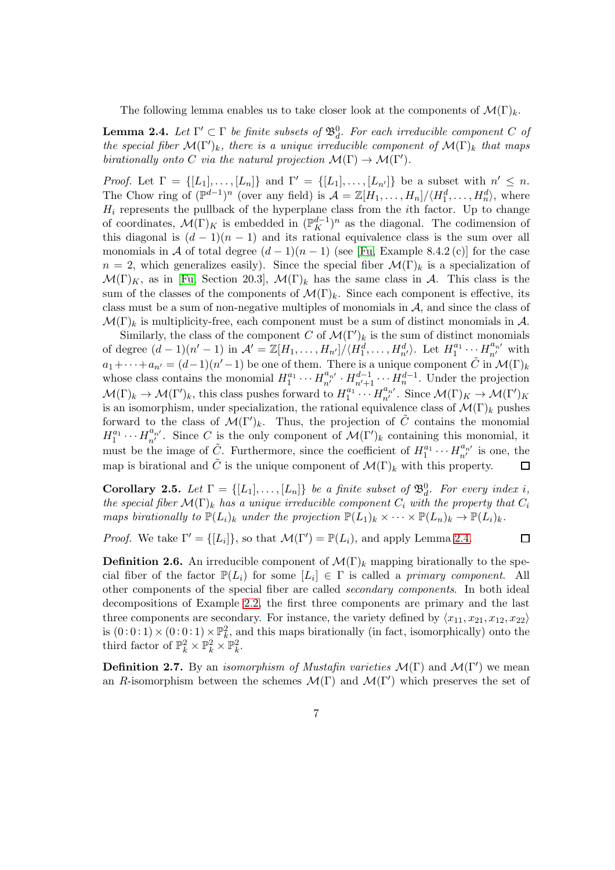The following lemma enables us to take closer look at the components of  $\mathcal{M}(\Gamma)_{k}$ .

<span id="page-6-0"></span>**Lemma 2.4.** Let  $\Gamma' \subset \Gamma$  be finite subsets of  $\mathfrak{B}_d^0$ . For each irreducible component C of *the special fiber*  $\mathcal{M}(\Gamma')_k$ *, there is a unique irreducible component of*  $\mathcal{M}(\Gamma)_k$  *that maps birationally onto* C *via the natural projection*  $\mathcal{M}(\Gamma) \to \mathcal{M}(\Gamma')$ *.* 

*Proof.* Let  $\Gamma = \{ [L_1], \ldots, [L_n] \}$  and  $\Gamma' = \{ [L_1], \ldots, [L_{n'}] \}$  be a subset with  $n' \leq n$ . The Chow ring of  $(\mathbb{P}^{d-1})^n$  (over any field) is  $\mathcal{A} = \mathbb{Z}[H_1,\ldots,H_n]/\langle H_1^d,\ldots,H_n^d\rangle$ , where  $H_i$  represents the pullback of the hyperplane class from the *i*th factor. Up to change of coordinates,  $\mathcal{M}(\Gamma)_K$  is embedded in  $(\mathbb{P}^{d-1}_K)^n$  as the diagonal. The codimension of this diagonal is  $(d-1)(n-1)$  and its rational equivalence class is the sum over all monomials in A of total degree  $(d-1)(n-1)$  (see [\[Fu,](#page-36-8) Example 8.4.2 (c)] for the case  $n = 2$ , which generalizes easily). Since the special fiber  $\mathcal{M}(\Gamma)_k$  is a specialization of  $\mathcal{M}(\Gamma)_K$ , as in [\[Fu,](#page-36-8) Section 20.3],  $\mathcal{M}(\Gamma)_k$  has the same class in A. This class is the sum of the classes of the components of  $\mathcal{M}(\Gamma)_k$ . Since each component is effective, its class must be a sum of non-negative multiples of monomials in A, and since the class of  $\mathcal{M}(\Gamma)_k$  is multiplicity-free, each component must be a sum of distinct monomials in A.

Similarly, the class of the component C of  $\mathcal{M}(\Gamma')_k$  is the sum of distinct monomials  $\prod_{1}^{a_1} \cdots \prod_{n'}^{a_{n'}}$  with of degree  $(d-1)(n'-1)$  in  $\mathcal{A}' = \mathbb{Z}[H_1, \ldots, H_{n'}]/\langle H_1^d, \ldots, H_{n'}^d \rangle$ . Let  $H_1^{a_1}$  $a_1+\cdots+a_{n'}=(d-1)(n'-1)$  be one of them. There is a unique component  $\tilde{C}$  in  $\mathcal{M}(\Gamma)_k$  $u_1^{a_1} \cdots H_{n'}^{a_{n'}} \cdot H_{n'+1}^{d-1} \cdots H_n^{d-1}$ . Under the projection whose class contains the monomial  $H_1^{a_1}$  $\prod_{1}^{a_{1}}\cdots\prod_{n'}^{a_{n'}}$ . Since  $\mathcal{M}(\Gamma)_{K}\to\mathcal{M}(\Gamma')_{K}$  $\mathcal{M}(\Gamma)_k \to \mathcal{M}(\Gamma')_k$ , this class pushes forward to  $H_1^{a_1}$ is an isomorphism, under specialization, the rational equivalence class of  $\mathcal{M}(\Gamma)_k$  pushes forward to the class of  $\mathcal{M}(\Gamma')_k$ . Thus, the projection of  $\tilde{C}$  contains the monomial  $u_1^{a_1}\cdots H_{n'}^{a_{n'}}$ . Since C is the only component of  $\mathcal{M}(\Gamma')_k$  containing this monomial, it  $H_1^{a_1}$  $u_1^{a_1} \cdots H_{n'}^{a_{n'}}$  is one, the must be the image of  $\tilde{C}$ . Furthermore, since the coefficient of  $H_1^{a_1}$ map is birational and  $\tilde{C}$  is the unique component of  $\mathcal{M}(\Gamma)_k$  with this property.  $\Box$ 

<span id="page-6-1"></span>**Corollary 2.5.** Let  $\Gamma = \{[L_1], \ldots, [L_n]\}$  be a finite subset of  $\mathfrak{B}_d^0$ . For every index i, *the special fiber*  $\mathcal{M}(\Gamma)_{k}$  *has a unique irreducible component*  $C_{i}$  *with the property that*  $C_{i}$ *maps birationally to*  $\mathbb{P}(L_i)_k$  *under the projection*  $\mathbb{P}(L_1)_k \times \cdots \times \mathbb{P}(L_n)_k \to \mathbb{P}(L_i)_k$ .

*Proof.* We take  $\Gamma' = \{ [L_i] \}$ , so that  $\mathcal{M}(\Gamma') = \mathbb{P}(L_i)$ , and apply Lemma [2.4.](#page-6-0)

 $\Box$ 

**Definition 2.6.** An irreducible component of  $\mathcal{M}(\Gamma)_k$  mapping birationally to the special fiber of the factor  $\mathbb{P}(L_i)$  for some  $[L_i] \in \Gamma$  is called a *primary component*. All other components of the special fiber are called *secondary components*. In both ideal decompositions of Example [2.2,](#page-4-0) the first three components are primary and the last three components are secondary. For instance, the variety defined by  $\langle x_{11}, x_{21}, x_{12}, x_{22} \rangle$ is  $(0:0:1) \times (0:0:1) \times \mathbb{P}_k^2$ , and this maps birationally (in fact, isomorphically) onto the third factor of  $\mathbb{P}_k^2 \times \mathbb{P}_k^2 \times \mathbb{P}_k^2$ .

**Definition 2.7.** By an *isomorphism of Mustafin varieties*  $\mathcal{M}(\Gamma)$  and  $\mathcal{M}(\Gamma')$  we mean an R-isomorphism between the schemes  $\mathcal{M}(\Gamma)$  and  $\mathcal{M}(\Gamma')$  which preserves the set of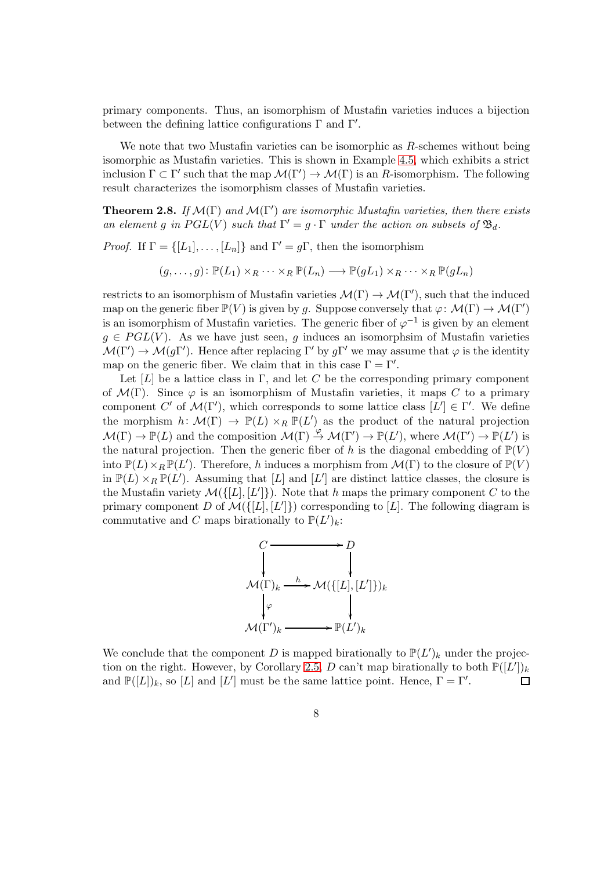primary components. Thus, an isomorphism of Mustafin varieties induces a bijection between the defining lattice configurations  $\Gamma$  and  $\Gamma'$ .

We note that two Mustafin varieties can be isomorphic as  $R$ -schemes without being isomorphic as Mustafin varieties. This is shown in Example [4.5,](#page-19-0) which exhibits a strict inclusion  $\Gamma \subset \Gamma'$  such that the map  $\mathcal{M}(\Gamma') \to \mathcal{M}(\Gamma)$  is an R-isomorphism. The following result characterizes the isomorphism classes of Mustafin varieties.

<span id="page-7-0"></span>**Theorem 2.8.** *If*  $\mathcal{M}(\Gamma)$  *and*  $\mathcal{M}(\Gamma')$  *are isomorphic Mustafin varieties, then there exists an element* g *in*  $PGL(V)$  *such that*  $\Gamma' = g \cdot \Gamma$  *under the action on subsets of*  $\mathfrak{B}_d$ *.* 

*Proof.* If  $\Gamma = \{ [L_1], \ldots, [L_n] \}$  and  $\Gamma' = q\Gamma$ , then the isomorphism

 $(g, \ldots, g): \mathbb{P}(L_1) \times_R \cdots \times_R \mathbb{P}(L_n) \longrightarrow \mathbb{P}(qL_1) \times_R \cdots \times_R \mathbb{P}(qL_n)$ 

restricts to an isomorphism of Mustafin varieties  $\mathcal{M}(\Gamma) \to \mathcal{M}(\Gamma')$ , such that the induced map on the generic fiber  $\mathbb{P}(V)$  is given by g. Suppose conversely that  $\varphi \colon \mathcal{M}(\Gamma) \to \mathcal{M}(\Gamma')$ is an isomorphism of Mustafin varieties. The generic fiber of  $\varphi^{-1}$  is given by an element  $g \in \text{PGL}(V)$ . As we have just seen, g induces an isomorphsim of Mustafin varieties  $\mathcal{M}(\Gamma') \to \mathcal{M}(g\Gamma')$ . Hence after replacing  $\Gamma'$  by  $g\Gamma'$  we may assume that  $\varphi$  is the identity map on the generic fiber. We claim that in this case  $\Gamma = \Gamma'$ .

Let [L] be a lattice class in Γ, and let C be the corresponding primary component of  $\mathcal{M}(\Gamma)$ . Since  $\varphi$  is an isomorphism of Mustafin varieties, it maps C to a primary component C' of  $\mathcal{M}(\Gamma')$ , which corresponds to some lattice class  $[L'] \in \Gamma'$ . We define the morphism  $h: \mathcal{M}(\Gamma) \to \mathbb{P}(L) \times_R \mathbb{P}(L')$  as the product of the natural projection  $\mathcal{M}(\Gamma) \to \mathbb{P}(L)$  and the composition  $\mathcal{M}(\Gamma) \stackrel{\varphi}{\to} \mathcal{M}(\Gamma') \to \mathbb{P}(L')$ , where  $\mathcal{M}(\Gamma') \to \mathbb{P}(L')$  is the natural projection. Then the generic fiber of h is the diagonal embedding of  $\mathbb{P}(V)$ into  $\mathbb{P}(L)\times_R \mathbb{P}(L')$ . Therefore, h induces a morphism from  $\mathcal{M}(\Gamma)$  to the closure of  $\mathbb{P}(V)$ in  $\mathbb{P}(L) \times_R \mathbb{P}(L')$ . Assuming that [L] and [L'] are distinct lattice classes, the closure is the Mustafin variety  $\mathcal{M}(\{[L], [L']\})$ . Note that h maps the primary component C to the primary component D of  $\mathcal{M}(\{[L], [L']\})$  corresponding to [L]. The following diagram is commutative and C maps birationally to  $\mathbb{P}(L')_k$ :



We conclude that the component D is mapped birationally to  $\mathbb{P}(L')_k$  under the projec-tion on the right. However, by Corollary [2.5,](#page-6-1) D can't map birationally to both  $\mathbb{P}([L'])_k$ and  $\mathbb{P}([L])_k$ , so  $[L]$  and  $[L']$  must be the same lattice point. Hence,  $\Gamma = \Gamma'$ . □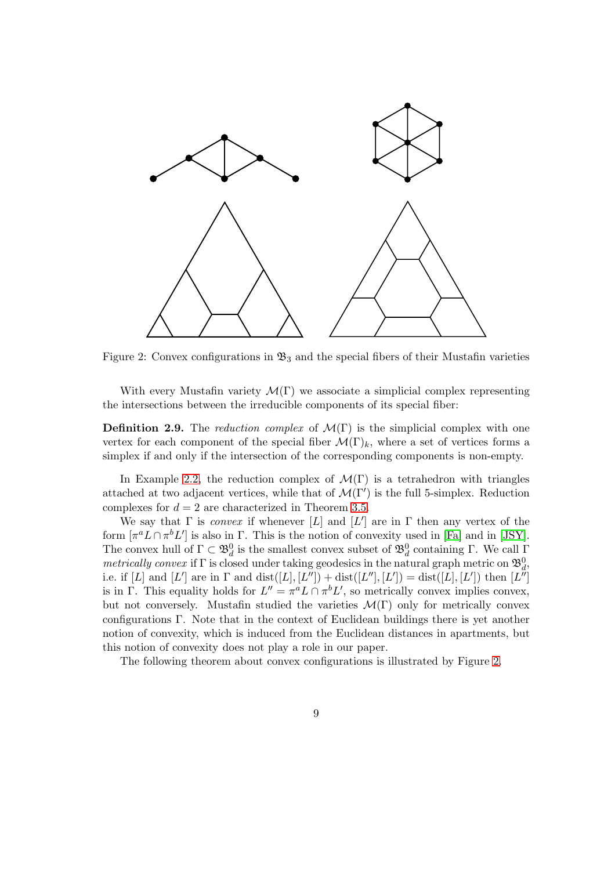

<span id="page-8-0"></span>Figure 2: Convex configurations in  $\mathfrak{B}_3$  and the special fibers of their Mustafin varieties

With every Mustafin variety  $\mathcal{M}(\Gamma)$  we associate a simplicial complex representing the intersections between the irreducible components of its special fiber:

**Definition 2.9.** The *reduction complex* of  $\mathcal{M}(\Gamma)$  is the simplicial complex with one vertex for each component of the special fiber  $\mathcal{M}(\Gamma)_k$ , where a set of vertices forms a simplex if and only if the intersection of the corresponding components is non-empty.

In Example [2.2,](#page-4-0) the reduction complex of  $\mathcal{M}(\Gamma)$  is a tetrahedron with triangles attached at two adjacent vertices, while that of  $\mathcal{M}(\Gamma')$  is the full 5-simplex. Reduction complexes for  $d = 2$  are characterized in Theorem [3.5.](#page-12-0)

We say that  $\Gamma$  is *convex* if whenever [L] and [L'] are in  $\Gamma$  then any vertex of the form  $[\pi^a L \cap \pi^b L']$  is also in  $\Gamma$ . This is the notion of convexity used in [\[Fa\]](#page-36-2) and in [\[JSY\]](#page-36-3). The convex hull of  $\Gamma \subset \mathfrak{B}_d^0$  is the smallest convex subset of  $\mathfrak{B}_d^0$  containing  $\Gamma$ . We call  $\Gamma$ *metrically convex* if  $\Gamma$  is closed under taking geodesics in the natural graph metric on  $\mathfrak{B}_d^0$ , i.e. if [L] and [L'] are in  $\Gamma$  and  $dist([L], [L'']) + dist([L''], [L']) = dist([L], [L'])$  then  $[L'']$ is in Γ. This equality holds for  $L'' = \pi^a L \cap \pi^b L'$ , so metrically convex implies convex, but not conversely. Mustafin studied the varieties  $\mathcal{M}(\Gamma)$  only for metrically convex configurations Γ. Note that in the context of Euclidean buildings there is yet another notion of convexity, which is induced from the Euclidean distances in apartments, but this notion of convexity does not play a role in our paper.

The following theorem about convex configurations is illustrated by Figure [2.](#page-8-0)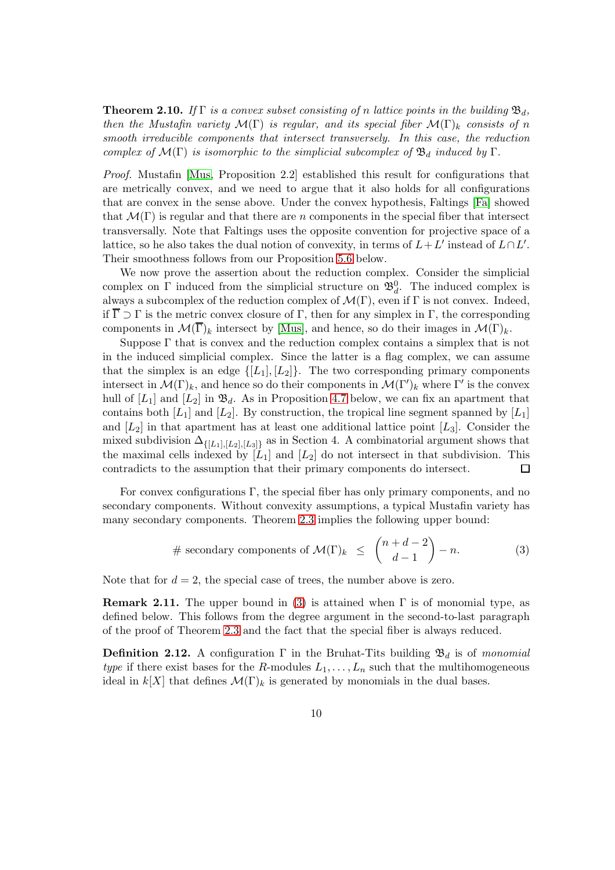<span id="page-9-0"></span>**Theorem 2.10.** *If*  $\Gamma$  *is a convex subset consisting of n lattice points in the building*  $\mathfrak{B}_d$ , *then the Mustafin variety*  $\mathcal{M}(\Gamma)$  *is regular, and its special fiber*  $\mathcal{M}(\Gamma)$ <sub>k</sub> *consists of n smooth irreducible components that intersect transversely. In this case, the reduction complex of*  $\mathcal{M}(\Gamma)$  *is isomorphic to the simplicial subcomplex of*  $\mathfrak{B}_d$  *induced by* Γ*.* 

*Proof.* Mustafin [\[Mus,](#page-36-0) Proposition 2.2] established this result for configurations that are metrically convex, and we need to argue that it also holds for all configurations that are convex in the sense above. Under the convex hypothesis, Faltings [\[Fa\]](#page-36-2) showed that  $\mathcal{M}(\Gamma)$  is regular and that there are n components in the special fiber that intersect transversally. Note that Faltings uses the opposite convention for projective space of a lattice, so he also takes the dual notion of convexity, in terms of  $L+L'$  instead of  $L\cap L'$ . Their smoothness follows from our Proposition [5.6](#page-24-0) below.

We now prove the assertion about the reduction complex. Consider the simplicial complex on  $\Gamma$  induced from the simplicial structure on  $\mathfrak{B}_d^0$ . The induced complex is always a subcomplex of the reduction complex of  $\mathcal{M}(\Gamma)$ , even if  $\Gamma$  is not convex. Indeed, if  $\overline{\Gamma} \supset \Gamma$  is the metric convex closure of  $\Gamma$ , then for any simplex in  $\Gamma$ , the corresponding components in  $\mathcal{M}(\overline{\Gamma})_k$  intersect by [\[Mus\]](#page-36-0), and hence, so do their images in  $\mathcal{M}(\Gamma)_k$ .

Suppose  $\Gamma$  that is convex and the reduction complex contains a simplex that is not in the induced simplicial complex. Since the latter is a flag complex, we can assume that the simplex is an edge  $\{[L_1], [L_2]\}$ . The two corresponding primary components intersect in  $\mathcal{M}(\Gamma)_k$ , and hence so do their components in  $\mathcal{M}(\Gamma')_k$  where  $\Gamma'$  is the convex hull of  $[L_1]$  and  $[L_2]$  in  $\mathfrak{B}_d$ . As in Proposition [4.7](#page-20-0) below, we can fix an apartment that contains both  $[L_1]$  and  $[L_2]$ . By construction, the tropical line segment spanned by  $[L_1]$ and  $[L_2]$  in that apartment has at least one additional lattice point  $[L_3]$ . Consider the mixed subdivision  $\Delta_{\{[L_1], [L_2], [L_3]\}}$  as in Section 4. A combinatorial argument shows that the maximal cells indexed by  $[L_1]$  and  $[L_2]$  do not intersect in that subdivision. This contradicts to the assumption that their primary components do intersect.  $\Box$ 

For convex configurations Γ, the special fiber has only primary components, and no secondary components. Without convexity assumptions, a typical Mustafin variety has many secondary components. Theorem [2.3](#page-5-0) implies the following upper bound:

<span id="page-9-1"></span># secondary components of 
$$
\mathcal{M}(\Gamma)_k \leq {n+d-2 \choose d-1} - n.
$$
 (3)

Note that for  $d = 2$ , the special case of trees, the number above is zero.

<span id="page-9-2"></span>**Remark 2.11.** The upper bound in [\(3\)](#page-9-1) is attained when  $\Gamma$  is of monomial type, as defined below. This follows from the degree argument in the second-to-last paragraph of the proof of Theorem [2.3](#page-5-0) and the fact that the special fiber is always reduced.

**Definition 2.12.** A configuration  $\Gamma$  in the Bruhat-Tits building  $\mathfrak{B}_d$  is of *monomial type* if there exist bases for the R-modules  $L_1, \ldots, L_n$  such that the multihomogeneous ideal in  $k[X]$  that defines  $\mathcal{M}(\Gamma)_k$  is generated by monomials in the dual bases.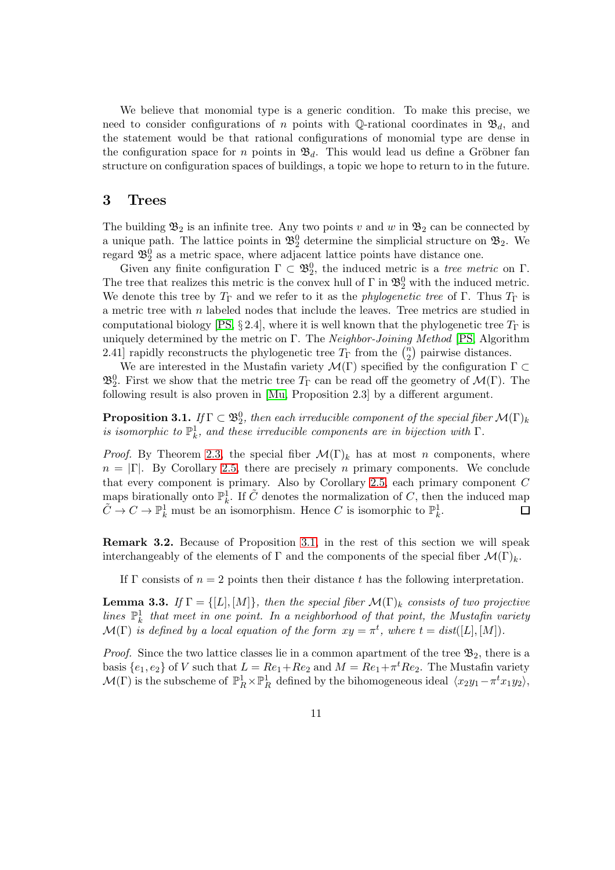We believe that monomial type is a generic condition. To make this precise, we need to consider configurations of n points with Q-rational coordinates in  $\mathfrak{B}_d$ , and the statement would be that rational configurations of monomial type are dense in the configuration space for n points in  $\mathfrak{B}_d$ . This would lead us define a Gröbner fan structure on configuration spaces of buildings, a topic we hope to return to in the future.

### 3 Trees

The building  $\mathfrak{B}_2$  is an infinite tree. Any two points v and w in  $\mathfrak{B}_2$  can be connected by a unique path. The lattice points in  $\mathfrak{B}_2^0$  determine the simplicial structure on  $\mathfrak{B}_2$ . We regard  $\mathfrak{B}_2^0$  as a metric space, where adjacent lattice points have distance one.

Given any finite configuration  $\Gamma \subset \mathfrak{B}_2^0$ , the induced metric is a *tree metric* on  $\Gamma$ . The tree that realizes this metric is the convex hull of  $\Gamma$  in  $\mathfrak{B}^0_2$  with the induced metric. We denote this tree by  $T_{\Gamma}$  and we refer to it as the *phylogenetic tree* of  $\Gamma$ . Thus  $T_{\Gamma}$  is a metric tree with n labeled nodes that include the leaves. Tree metrics are studied in computational biology [\[PS,](#page-36-9) § 2.4], where it is well known that the phylogenetic tree  $T_{\Gamma}$  is uniquely determined by the metric on Γ. The *Neighbor-Joining Method* [\[PS,](#page-36-9) Algorithm 2.41] rapidly reconstructs the phylogenetic tree  $T_{\Gamma}$  from the  $\binom{n}{2}$  $n_2$ ) pairwise distances.

We are interested in the Mustafin variety  $\mathcal{M}(\Gamma)$  specified by the configuration  $\Gamma \subset$  $\mathfrak{B}^0_2$ . First we show that the metric tree  $T_{\Gamma}$  can be read off the geometry of  $\mathcal{M}(\Gamma)$ . The following result is also proven in [\[Mu,](#page-36-1) Proposition 2.3] by a different argument.

<span id="page-10-0"></span>**Proposition 3.1.** *If*  $\Gamma \subset \mathfrak{B}^0_2$ , then each irreducible component of the special fiber  $\mathcal{M}(\Gamma)_k$ *is isomorphic to*  $\mathbb{P}^1_k$ *, and these irreducible components are in bijection with*  $\Gamma$ *.* 

*Proof.* By Theorem [2.3,](#page-5-0) the special fiber  $\mathcal{M}(\Gamma)_k$  has at most n components, where  $n = |\Gamma|$ . By Corollary [2.5,](#page-6-1) there are precisely n primary components. We conclude that every component is primary. Also by Corollary [2.5,](#page-6-1) each primary component  $C$ maps birationally onto  $\mathbb{P}_k^1$ . If  $\tilde{C}$  denotes the normalization of C, then the induced map  $\tilde{C} \to C \to \mathbb{P}^1_k$  must be an isomorphism. Hence C is isomorphic to  $\mathbb{P}^1_k$ . 囗

Remark 3.2. Because of Proposition [3.1,](#page-10-0) in the rest of this section we will speak interchangeably of the elements of  $\Gamma$  and the components of the special fiber  $\mathcal{M}(\Gamma)_k$ .

If Γ consists of  $n = 2$  points then their distance t has the following interpretation.

<span id="page-10-1"></span>**Lemma 3.3.** *If*  $\Gamma = \{[L], [M]\}$ *, then the special fiber*  $\mathcal{M}(\Gamma)_k$  *consists of two projective lines*  $\mathbb{P}_k^1$  that meet in one point. In a neighborhood of that point, the Mustafin variety  $\mathcal{M}(\Gamma)$  *is defined by a local equation of the form*  $xy = \pi^t$ *, where*  $t = dist([L], [M])$ *.* 

*Proof.* Since the two lattice classes lie in a common apartment of the tree  $\mathfrak{B}_2$ , there is a basis  $\{e_1, e_2\}$  of V such that  $L = Re_1 + Re_2$  and  $M = Re_1 + \pi^t Re_2$ . The Mustafin variety  $\mathcal{M}(\Gamma)$  is the subscheme of  $\mathbb{P}^1_R \times \mathbb{P}^1_R$  defined by the bihomogeneous ideal  $\langle x_2y_1-\pi^t x_1y_2 \rangle$ ,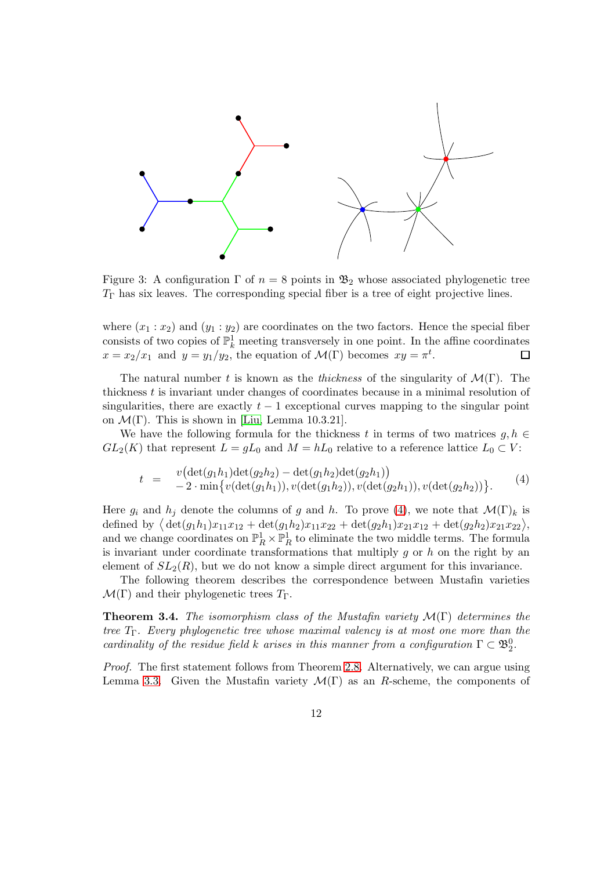

<span id="page-11-1"></span>Figure 3: A configuration  $\Gamma$  of  $n = 8$  points in  $\mathfrak{B}_2$  whose associated phylogenetic tree  $T_{\Gamma}$  has six leaves. The corresponding special fiber is a tree of eight projective lines.

where  $(x_1 : x_2)$  and  $(y_1 : y_2)$  are coordinates on the two factors. Hence the special fiber consists of two copies of  $\mathbb{P}^1_k$  meeting transversely in one point. In the affine coordinates  $x = x_2/x_1$  and  $y = y_1/y_2$ , the equation of  $\mathcal{M}(\Gamma)$  becomes  $xy = \pi^t$ .

The natural number t is known as the *thickness* of the singularity of  $\mathcal{M}(\Gamma)$ . The thickness t is invariant under changes of coordinates because in a minimal resolution of singularities, there are exactly  $t - 1$  exceptional curves mapping to the singular point on  $\mathcal{M}(\Gamma)$ . This is shown in [\[Liu,](#page-36-7) Lemma 10.3.21].

We have the following formula for the thickness t in terms of two matrices  $q, h \in$  $GL_2(K)$  that represent  $L = qL_0$  and  $M = hL_0$  relative to a reference lattice  $L_0 \subset V$ :

<span id="page-11-0"></span>
$$
t = \frac{v(\det(g_1h_1)\det(g_2h_2) - \det(g_1h_2)\det(g_2h_1))}{-2 \cdot \min\{v(\det(g_1h_1)), v(\det(g_1h_2)), v(\det(g_2h_1)), v(\det(g_2h_2))\}}.
$$
 (4)

Here  $g_i$  and  $h_j$  denote the columns of g and h. To prove [\(4\)](#page-11-0), we note that  $\mathcal{M}(\Gamma)_k$  is defined by  $\langle \det(g_1h_1)x_{11}x_{12} + \det(g_1h_2)x_{11}x_{22} + \det(g_2h_1)x_{21}x_{12} + \det(g_2h_2)x_{21}x_{22} \rangle$ , and we change coordinates on  $\mathbb{P}^1_R \times \mathbb{P}^1_R$  to eliminate the two middle terms. The formula is invariant under coordinate transformations that multiply  $g$  or  $h$  on the right by an element of  $SL_2(R)$ , but we do not know a simple direct argument for this invariance.

The following theorem describes the correspondence between Mustafin varieties  $\mathcal{M}(\Gamma)$  and their phylogenetic trees  $T_{\Gamma}$ .

Theorem 3.4. *The isomorphism class of the Mustafin variety* M(Γ) *determines the tree* TΓ*. Every phylogenetic tree whose maximal valency is at most one more than the cardinality of the residue field* k *arises in this manner from a configuration*  $\Gamma \subset \mathfrak{B}_2^0$ .

*Proof.* The first statement follows from Theorem [2.8.](#page-7-0) Alternatively, we can argue using Lemma [3.3.](#page-10-1) Given the Mustafin variety  $\mathcal{M}(\Gamma)$  as an R-scheme, the components of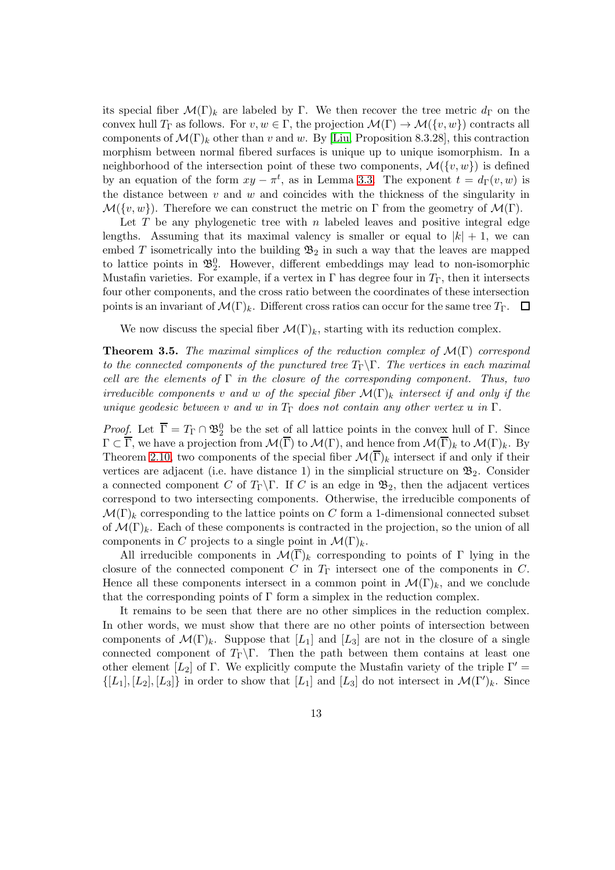its special fiber  $\mathcal{M}(\Gamma)_k$  are labeled by Γ. We then recover the tree metric  $d_{\Gamma}$  on the convex hull  $T_{\Gamma}$  as follows. For  $v, w \in \Gamma$ , the projection  $\mathcal{M}(\Gamma) \to \mathcal{M}(\{v, w\})$  contracts all components of  $\mathcal{M}(\Gamma)_k$  other than v and w. By [\[Liu,](#page-36-7) Proposition 8.3.28], this contraction morphism between normal fibered surfaces is unique up to unique isomorphism. In a neighborhood of the intersection point of these two components,  $\mathcal{M}(\lbrace v, w \rbrace)$  is defined by an equation of the form  $xy - \pi^t$ , as in Lemma [3.3.](#page-10-1) The exponent  $t = d_{\Gamma}(v, w)$  is the distance between  $v$  and  $w$  and coincides with the thickness of the singularity in  $\mathcal{M}(\lbrace v, w \rbrace)$ . Therefore we can construct the metric on Γ from the geometry of  $\mathcal{M}(\Gamma)$ .

Let  $T$  be any phylogenetic tree with  $n$  labeled leaves and positive integral edge lengths. Assuming that its maximal valency is smaller or equal to  $|k| + 1$ , we can embed T isometrically into the building  $\mathfrak{B}_2$  in such a way that the leaves are mapped to lattice points in  $\mathfrak{B}_2^0$ . However, different embeddings may lead to non-isomorphic Mustafin varieties. For example, if a vertex in  $\Gamma$  has degree four in  $T_{\Gamma}$ , then it intersects four other components, and the cross ratio between the coordinates of these intersection points is an invariant of  $\mathcal{M}(\Gamma)_k$ . Different cross ratios can occur for the same tree  $T_{\Gamma}$ .  $\Box$ 

We now discuss the special fiber  $\mathcal{M}(\Gamma)_k$ , starting with its reduction complex.

<span id="page-12-0"></span>Theorem 3.5. *The maximal simplices of the reduction complex of* M(Γ) *correspond to the connected components of the punctured tree* TΓ\Γ*. The vertices in each maximal cell are the elements of* Γ *in the closure of the corresponding component. Thus, two irreducible components* v and w of the special fiber  $\mathcal{M}(\Gamma)_{k}$  intersect if and only if the *unique geodesic between* v and w *in*  $T_{\Gamma}$  does not contain any other vertex u in  $\Gamma$ .

*Proof.* Let  $\overline{\Gamma} = T_{\Gamma} \cap \mathfrak{B}^0_2$  be the set of all lattice points in the convex hull of  $\Gamma$ . Since  $\Gamma \subset \overline{\Gamma}$ , we have a projection from  $\mathcal{M}(\overline{\Gamma})$  to  $\mathcal{M}(\Gamma)$ , and hence from  $\mathcal{M}(\overline{\Gamma})_k$  to  $\mathcal{M}(\Gamma)_k$ . By Theorem [2.10,](#page-9-0) two components of the special fiber  $\mathcal{M}(\overline{\Gamma})_k$  intersect if and only if their vertices are adjacent (i.e. have distance 1) in the simplicial structure on  $\mathfrak{B}_2$ . Consider a connected component C of  $T_{\Gamma} \backslash \Gamma$ . If C is an edge in  $\mathfrak{B}_2$ , then the adjacent vertices correspond to two intersecting components. Otherwise, the irreducible components of  $\mathcal{M}(\Gamma)_k$  corresponding to the lattice points on C form a 1-dimensional connected subset of  $\mathcal{M}(\Gamma)_k$ . Each of these components is contracted in the projection, so the union of all components in C projects to a single point in  $\mathcal{M}(\Gamma)_k$ .

All irreducible components in  $\mathcal{M}(\overline{\Gamma})_k$  corresponding to points of  $\Gamma$  lying in the closure of the connected component  $C$  in  $T_{\Gamma}$  intersect one of the components in  $C$ . Hence all these components intersect in a common point in  $\mathcal{M}(\Gamma)_k$ , and we conclude that the corresponding points of  $\Gamma$  form a simplex in the reduction complex.

It remains to be seen that there are no other simplices in the reduction complex. In other words, we must show that there are no other points of intersection between components of  $\mathcal{M}(\Gamma)_k$ . Suppose that  $[L_1]$  and  $[L_3]$  are not in the closure of a single connected component of  $T_{\Gamma} \backslash \Gamma$ . Then the path between them contains at least one other element [L<sub>2</sub>] of Γ. We explicitly compute the Mustafin variety of the triple  $\Gamma'$  =  $\{[L_1], [L_2], [L_3]\}\$ in order to show that  $[L_1]$  and  $[L_3]$  do not intersect in  $\mathcal{M}(\Gamma')_k$ . Since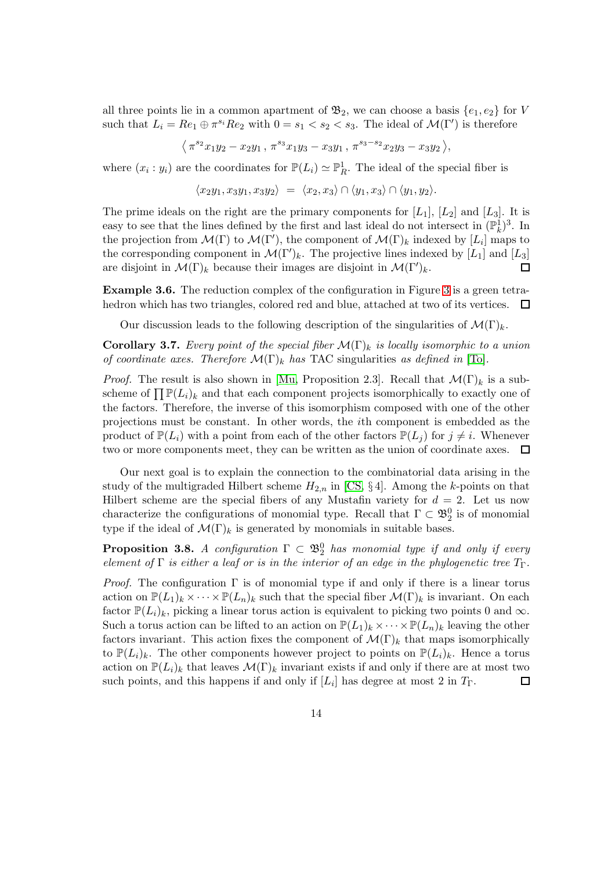all three points lie in a common apartment of  $\mathfrak{B}_2$ , we can choose a basis  $\{e_1, e_2\}$  for V such that  $L_i = Re_1 \oplus \pi^{s_i} Re_2$  with  $0 = s_1 < s_2 < s_3$ . The ideal of  $\mathcal{M}(\Gamma')$  is therefore

$$
\langle \pi^{s_2} x_1 y_2 - x_2 y_1, \pi^{s_3} x_1 y_3 - x_3 y_1, \pi^{s_3 - s_2} x_2 y_3 - x_3 y_2 \rangle,
$$

where  $(x_i : y_i)$  are the coordinates for  $\mathbb{P}(L_i) \simeq \mathbb{P}^1_R$ . The ideal of the special fiber is

$$
\langle x_2y_1, x_3y_1, x_3y_2 \rangle = \langle x_2, x_3 \rangle \cap \langle y_1, x_3 \rangle \cap \langle y_1, y_2 \rangle.
$$

The prime ideals on the right are the primary components for  $[L_1]$ ,  $[L_2]$  and  $[L_3]$ . It is easy to see that the lines defined by the first and last ideal do not intersect in  $(\mathbb{P}_k^1)^3$ . In the projection from  $\mathcal{M}(\Gamma)$  to  $\mathcal{M}(\Gamma')$ , the component of  $\mathcal{M}(\Gamma)_k$  indexed by  $[L_i]$  maps to the corresponding component in  $\mathcal{M}(\Gamma')_k$ . The projective lines indexed by  $[L_1]$  and  $[L_3]$ are disjoint in  $\mathcal{M}(\Gamma)_k$  because their images are disjoint in  $\mathcal{M}(\Gamma')_k$ .  $\Box$ 

Example 3.6. The reduction complex of the configuration in Figure [3](#page-11-1) is a green tetrahedron which has two triangles, colored red and blue, attached at two of its vertices.  $\Box$ 

Our discussion leads to the following description of the singularities of  $\mathcal{M}(\Gamma)_k$ .

**Corollary 3.7.** *Every point of the special fiber*  $\mathcal{M}(\Gamma)_{k}$  *is locally isomorphic to a union of coordinate axes. Therefore*  $\mathcal{M}(\Gamma)_{k}$  *has* TAC singularities *as defined in* [\[To\]](#page-36-10).

*Proof.* The result is also shown in [\[Mu,](#page-36-1) Proposition 2.3]. Recall that  $\mathcal{M}(\Gamma)_k$  is a subscheme of  $\prod \mathbb{P}(L_i)_k$  and that each component projects isomorphically to exactly one of the factors. Therefore, the inverse of this isomorphism composed with one of the other projections must be constant. In other words, the ith component is embedded as the product of  $\mathbb{P}(L_i)$  with a point from each of the other factors  $\mathbb{P}(L_i)$  for  $j \neq i$ . Whenever two or more components meet, they can be written as the union of coordinate axes. □

Our next goal is to explain the connection to the combinatorial data arising in the study of the multigraded Hilbert scheme  $H_{2,n}$  in [\[CS,](#page-36-4) §4]. Among the k-points on that Hilbert scheme are the special fibers of any Mustafin variety for  $d = 2$ . Let us now characterize the configurations of monomial type. Recall that  $\Gamma \subset \mathfrak{B}^0_2$  is of monomial type if the ideal of  $\mathcal{M}(\Gamma)_k$  is generated by monomials in suitable bases.

<span id="page-13-0"></span>**Proposition 3.8.** *A configuration*  $\Gamma \subset \mathfrak{B}_2^0$  *has monomial type if and only if every element of*  $\Gamma$  *is either a leaf or is in the interior of an edge in the phylogenetic tree*  $T_{\Gamma}$ .

*Proof.* The configuration  $\Gamma$  is of monomial type if and only if there is a linear torus action on  $\mathbb{P}(L_1)_k \times \cdots \times \mathbb{P}(L_n)_k$  such that the special fiber  $\mathcal{M}(\Gamma)_k$  is invariant. On each factor  $\mathbb{P}(L_i)_k$ , picking a linear torus action is equivalent to picking two points 0 and  $\infty$ . Such a torus action can be lifted to an action on  $\mathbb{P}(L_1)_k \times \cdots \times \mathbb{P}(L_n)_k$  leaving the other factors invariant. This action fixes the component of  $\mathcal{M}(\Gamma)_k$  that maps isomorphically to  $\mathbb{P}(L_i)_k$ . The other components however project to points on  $\mathbb{P}(L_i)_k$ . Hence a torus action on  $\mathbb{P}(L_i)_k$  that leaves  $\mathcal{M}(\Gamma)_k$  invariant exists if and only if there are at most two such points, and this happens if and only if  $[L_i]$  has degree at most 2 in  $T_{\Gamma}$ . □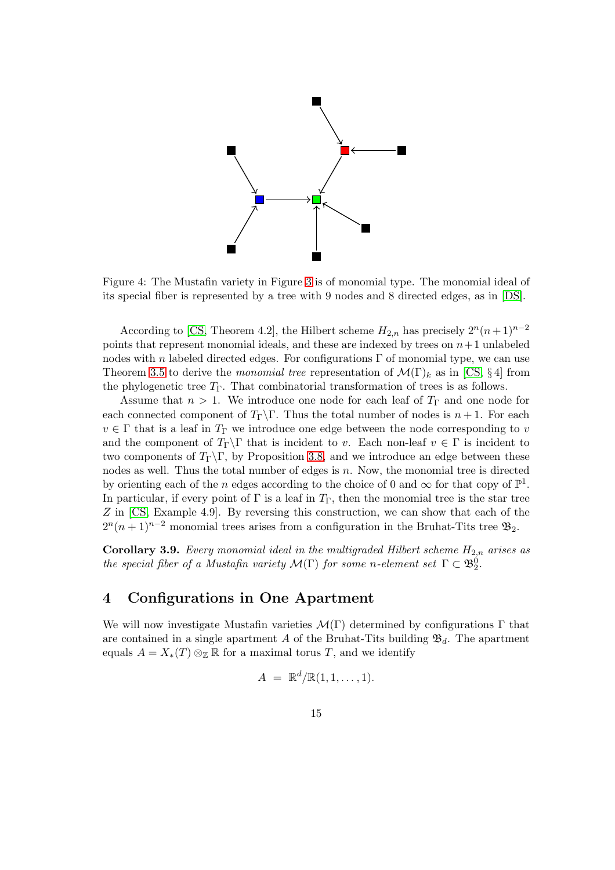

Figure 4: The Mustafin variety in Figure [3](#page-11-1) is of monomial type. The monomial ideal of its special fiber is represented by a tree with 9 nodes and 8 directed edges, as in [\[DS\]](#page-36-11).

According to [\[CS,](#page-36-4) Theorem 4.2], the Hilbert scheme  $H_{2,n}$  has precisely  $2^{n}(n+1)^{n-2}$ points that represent monomial ideals, and these are indexed by trees on  $n+1$  unlabeled nodes with n labeled directed edges. For configurations  $\Gamma$  of monomial type, we can use Theorem [3.5](#page-12-0) to derive the *monomial tree* representation of  $\mathcal{M}(\Gamma)_k$  as in [\[CS,](#page-36-4) §4] from the phylogenetic tree  $T_{\Gamma}$ . That combinatorial transformation of trees is as follows.

Assume that  $n > 1$ . We introduce one node for each leaf of  $T_{\Gamma}$  and one node for each connected component of  $T_{\Gamma} \backslash \Gamma$ . Thus the total number of nodes is  $n + 1$ . For each  $v \in \Gamma$  that is a leaf in  $T_{\Gamma}$  we introduce one edge between the node corresponding to v and the component of  $T_{\Gamma} \Gamma$  that is incident to v. Each non-leaf  $v \in \Gamma$  is incident to two components of  $T_{\Gamma}\backslash\Gamma$ , by Proposition [3.8,](#page-13-0) and we introduce an edge between these nodes as well. Thus the total number of edges is  $n$ . Now, the monomial tree is directed by orienting each of the n edges according to the choice of 0 and  $\infty$  for that copy of  $\mathbb{P}^1$ . In particular, if every point of  $\Gamma$  is a leaf in  $T_{\Gamma}$ , then the monomial tree is the star tree Z in [\[CS,](#page-36-4) Example 4.9]. By reversing this construction, we can show that each of the  $2^{n}(n+1)^{n-2}$  monomial trees arises from a configuration in the Bruhat-Tits tree  $\mathfrak{B}_2$ .

Corollary 3.9. *Every monomial ideal in the multigraded Hilbert scheme*  $H_{2,n}$  *arises as the special fiber of a Mustafin variety*  $\mathcal{M}(\Gamma)$  *for some n-element set*  $\Gamma \subset \mathfrak{B}_2^0$ *.* 

# 4 Configurations in One Apartment

We will now investigate Mustafin varieties  $\mathcal{M}(\Gamma)$  determined by configurations  $\Gamma$  that are contained in a single apartment A of the Bruhat-Tits building  $\mathfrak{B}_d$ . The apartment equals  $A = X_*(T) \otimes_{\mathbb{Z}} \mathbb{R}$  for a maximal torus T, and we identify

$$
A = \mathbb{R}^d/\mathbb{R}(1,1,\ldots,1).
$$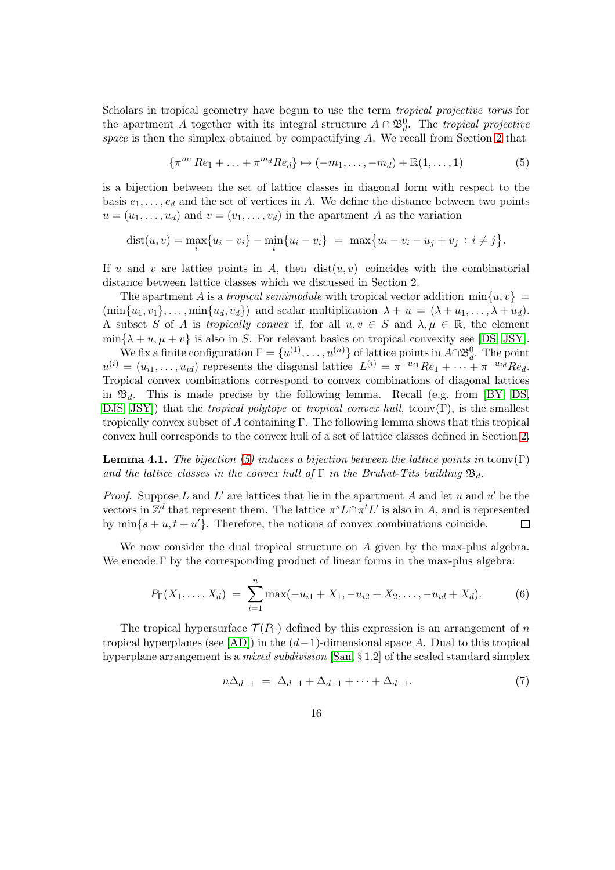Scholars in tropical geometry have begun to use the term *tropical projective torus* for the apartment A together with its integral structure  $A \cap \mathfrak{B}_d^0$ . The *tropical projective space* is then the simplex obtained by compactifying A. We recall from Section [2](#page-2-0) that

<span id="page-15-0"></span>
$$
\{\pi^{m_1}Re_1 + \ldots + \pi^{m_d}Re_d\} \mapsto (-m_1, \ldots, -m_d) + \mathbb{R}(1, \ldots, 1)
$$
 (5)

is a bijection between the set of lattice classes in diagonal form with respect to the basis  $e_1, \ldots, e_d$  and the set of vertices in A. We define the distance between two points  $u = (u_1, \ldots, u_d)$  and  $v = (v_1, \ldots, v_d)$  in the apartment A as the variation

$$
dist(u, v) = \max_{i} \{u_i - v_i\} - \min_{i} \{u_i - v_i\} = \max \{u_i - v_i - u_j + v_j : i \neq j\}.
$$

If u and v are lattice points in A, then  $dist(u, v)$  coincides with the combinatorial distance between lattice classes which we discussed in Section 2.

The apartment A is a *tropical semimodule* with tropical vector addition  $\min\{u, v\}$  $(\min\{u_1, v_1\}, \ldots, \min\{u_d, v_d\})$  and scalar multiplication  $\lambda + u = (\lambda + u_1, \ldots, \lambda + u_d)$ . A subset S of A is *tropically convex* if, for all  $u, v \in S$  and  $\lambda, \mu \in \mathbb{R}$ , the element  $\min\{\lambda + u, \mu + v\}$  is also in S. For relevant basics on tropical convexity see [\[DS,](#page-36-11) [JSY\]](#page-36-3).

We fix a finite configuration  $\Gamma = \{u^{(1)}, \ldots, u^{(n)}\}$  of lattice points in  $A \cap \mathfrak{B}_d^0$ . The point  $u^{(i)} = (u_{i1}, \dots, u_{id})$  represents the diagonal lattice  $L^{(i)} = \pi^{-u_{i1}} Re_1 + \dots + \pi^{-u_{id}} Re_d$ . Tropical convex combinations correspond to convex combinations of diagonal lattices in  $\mathfrak{B}_d$ . This is made precise by the following lemma. Recall (e.g. from [\[BY,](#page-36-6) [DS,](#page-36-11) [DJS,](#page-36-12) [JSY\]](#page-36-3)) that the *tropical polytope* or *tropical convex hull*, tconv(Γ), is the smallest tropically convex subset of A containing Γ. The following lemma shows that this tropical convex hull corresponds to the convex hull of a set of lattice classes defined in Section [2.](#page-2-0)

**Lemma 4.1.** *The bijection* [\(5\)](#page-15-0) *induces a bijection between the lattice points in* tconv $(\Gamma)$ and the lattice classes in the convex hull of  $\Gamma$  in the Bruhat-Tits building  $\mathfrak{B}_d$ .

*Proof.* Suppose L and L' are lattices that lie in the apartment A and let u and  $u'$  be the vectors in  $\mathbb{Z}^d$  that represent them. The lattice  $\pi^s L \cap \pi^t L'$  is also in A, and is represented by  $\min\{s + u, t + u'\}$ . Therefore, the notions of convex combinations coincide.  $\Box$ 

We now consider the dual tropical structure on A given by the max-plus algebra. We encode  $\Gamma$  by the corresponding product of linear forms in the max-plus algebra:

<span id="page-15-2"></span>
$$
P_{\Gamma}(X_1,\ldots,X_d) = \sum_{i=1}^n \max(-u_{i1} + X_1, -u_{i2} + X_2, \ldots, -u_{id} + X_d). \tag{6}
$$

The tropical hypersurface  $\mathcal{T}(P_{\Gamma})$  defined by this expression is an arrangement of n tropical hyperplanes (see [\[AD\]](#page-35-0)) in the  $(d-1)$ -dimensional space A. Dual to this tropical hyperplane arrangement is a *mixed subdivision* [\[San,](#page-36-13) § 1.2] of the scaled standard simplex

<span id="page-15-1"></span>
$$
n\Delta_{d-1} = \Delta_{d-1} + \Delta_{d-1} + \dots + \Delta_{d-1}.
$$
 (7)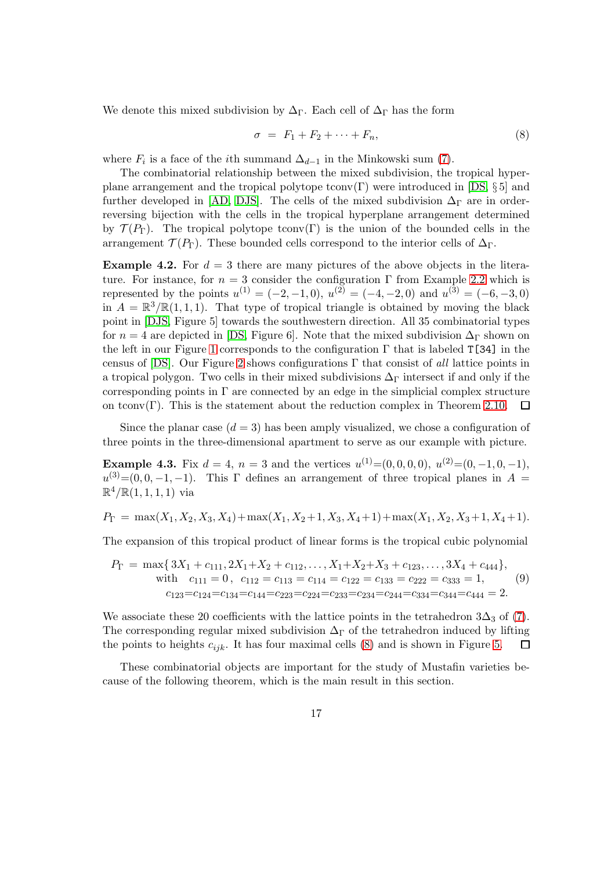We denote this mixed subdivision by  $\Delta_{\Gamma}$ . Each cell of  $\Delta_{\Gamma}$  has the form

<span id="page-16-0"></span>
$$
\sigma = F_1 + F_2 + \dots + F_n,\tag{8}
$$

where  $F_i$  is a face of the *i*th summand  $\Delta_{d-1}$  in the Minkowski sum [\(7\)](#page-15-1).

The combinatorial relationship between the mixed subdivision, the tropical hyper-plane arrangement and the tropical polytope tconv(Γ) were introduced in [\[DS,](#page-36-11)  $\S 5$ ] and further developed in [\[AD,](#page-35-0) [DJS\]](#page-36-12). The cells of the mixed subdivision  $\Delta_{\Gamma}$  are in orderreversing bijection with the cells in the tropical hyperplane arrangement determined by  $\mathcal{T}(P_{\Gamma})$ . The tropical polytope tconv(Γ) is the union of the bounded cells in the arrangement  $\mathcal{T}(P_{\Gamma})$ . These bounded cells correspond to the interior cells of  $\Delta_{\Gamma}$ .

**Example 4.2.** For  $d = 3$  there are many pictures of the above objects in the literature. For instance, for  $n = 3$  consider the configuration  $\Gamma$  from Example [2.2](#page-4-0) which is represented by the points  $u^{(1)} = (-2, -1, 0), u^{(2)} = (-4, -2, 0)$  and  $u^{(3)} = (-6, -3, 0)$ in  $A = \mathbb{R}^3/\mathbb{R}(1,1,1)$ . That type of tropical triangle is obtained by moving the black point in [\[DJS,](#page-36-12) Figure 5] towards the southwestern direction. All 35 combinatorial types for  $n = 4$  are depicted in [\[DS,](#page-36-11) Figure 6]. Note that the mixed subdivision  $\Delta_{\Gamma}$  shown on the left in our Figure [1](#page-1-0) corresponds to the configuration  $\Gamma$  that is labeled T[34] in the census of [\[DS\]](#page-36-11). Our Figure [2](#page-8-0) shows configurations Γ that consist of *all* lattice points in a tropical polygon. Two cells in their mixed subdivisions  $\Delta_{\Gamma}$  intersect if and only if the corresponding points in  $\Gamma$  are connected by an edge in the simplicial complex structure on tconv $(\Gamma)$ . This is the statement about the reduction complex in Theorem [2.10.](#page-9-0) 口

Since the planar case  $(d = 3)$  has been amply visualized, we chose a configuration of three points in the three-dimensional apartment to serve as our example with picture.

<span id="page-16-1"></span>**Example 4.3.** Fix  $d = 4$ ,  $n = 3$  and the vertices  $u^{(1)} = (0, 0, 0, 0), u^{(2)} = (0, -1, 0, -1),$  $u^{(3)}=(0,0,-1,-1)$ . This  $\Gamma$  defines an arrangement of three tropical planes in  $A=$  $\mathbb{R}^4/\mathbb{R}(1,1,1,1)$  via

$$
P_{\Gamma} = \max(X_1, X_2, X_3, X_4) + \max(X_1, X_2 + 1, X_3, X_4 + 1) + \max(X_1, X_2, X_3 + 1, X_4 + 1).
$$

The expansion of this tropical product of linear forms is the tropical cubic polynomial

$$
P_{\Gamma} = \max\{3X_1 + c_{111}, 2X_1 + X_2 + c_{112}, \dots, X_1 + X_2 + X_3 + c_{123}, \dots, 3X_4 + c_{444}\},\
$$
  
with  $c_{111} = 0$ ,  $c_{112} = c_{113} = c_{114} = c_{122} = c_{133} = c_{222} = c_{333} = 1,$   
 $c_{123} = c_{124} = c_{134} = c_{144} = c_{223} = c_{234} = c_{234} = c_{244} = c_{334} = c_{344} = c_{444} = 2.$  (9)

We associate these 20 coefficients with the lattice points in the tetrahedron  $3\Delta_3$  of [\(7\)](#page-15-1). The corresponding regular mixed subdivision  $\Delta_{\Gamma}$  of the tetrahedron induced by lifting the points to heights  $c_{ijk}$ . It has four maximal cells [\(8\)](#page-16-0) and is shown in Figure [5.](#page-17-1)  $\Box$ 

These combinatorial objects are important for the study of Mustafin varieties because of the following theorem, which is the main result in this section.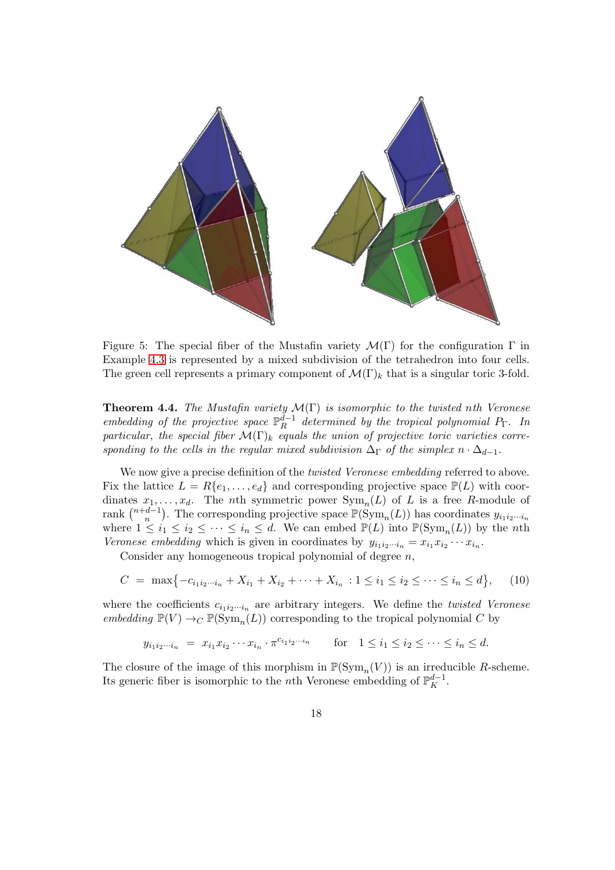

<span id="page-17-1"></span>Figure 5: The special fiber of the Mustafin variety  $\mathcal{M}(\Gamma)$  for the configuration  $\Gamma$  in Example [4.3](#page-16-1) is represented by a mixed subdivision of the tetrahedron into four cells. The green cell represents a primary component of  $\mathcal{M}(\Gamma)_k$  that is a singular toric 3-fold.

<span id="page-17-0"></span>Theorem 4.4. *The Mustafin variety* M(Γ) *is isomorphic to the twisted* n*th Veronese embedding of the projective space*  $\mathbb{P}_R^{d-1}$  *determined by the tropical polynomial*  $P_\Gamma$ *. In particular, the special fiber*  $\mathcal{M}(\Gamma)_{k}$  *equals the union of projective toric varieties corresponding to the cells in the regular mixed subdivision*  $\Delta_{\Gamma}$  *of the simplex*  $n \cdot \Delta_{d-1}$ *.* 

We now give a precise definition of the *twisted Veronese embedding* referred to above. Fix the lattice  $L = R\{e_1, \ldots, e_d\}$  and corresponding projective space  $\mathbb{P}(L)$  with coordinates  $x_1, \ldots, x_d$ . The *n*th symmetric power  $Sym_n(L)$  of L is a free R-module of rank  $\binom{n+d-1}{n}$  $\binom{d-1}{n}$ . The corresponding projective space  $\mathbb{P}(\mathrm{Sym}_n(L))$  has coordinates  $y_{i_1i_2\cdots i_n}$ where  $1 \leq i_1 \leq i_2 \leq \cdots \leq i_n \leq d$ . We can embed  $\mathbb{P}(L)$  into  $\mathbb{P}(\text{Sym}_n(L))$  by the *n*th *Veronese embedding* which is given in coordinates by  $y_{i_1 i_2 \cdots i_n} = x_{i_1} x_{i_2} \cdots x_{i_n}$ .

Consider any homogeneous tropical polynomial of degree  $n$ ,

<span id="page-17-2"></span>
$$
C = \max\{-c_{i_1i_2\cdots i_n} + X_{i_1} + X_{i_2} + \cdots + X_{i_n} : 1 \le i_1 \le i_2 \le \cdots \le i_n \le d\},\qquad(10)
$$

where the coefficients  $c_{i_1i_2\cdots i_n}$  are arbitrary integers. We define the *twisted Veronese embedding*  $\mathbb{P}(V) \to_C \mathbb{P}(\text{Sym}_n(L))$  corresponding to the tropical polynomial C by

$$
y_{i_1 i_2 \cdots i_n} = x_{i_1} x_{i_2} \cdots x_{i_n} \cdot \pi^{c_{i_1 i_2 \cdots i_n}}
$$
 for  $1 \le i_1 \le i_2 \le \cdots \le i_n \le d$ .

The closure of the image of this morphism in  $\mathbb{P}(\mathrm{Sym}_n(V))$  is an irreducible R-scheme. Its generic fiber is isomorphic to the *n*th Veronese embedding of  $\mathbb{P}_K^{d-1}$ .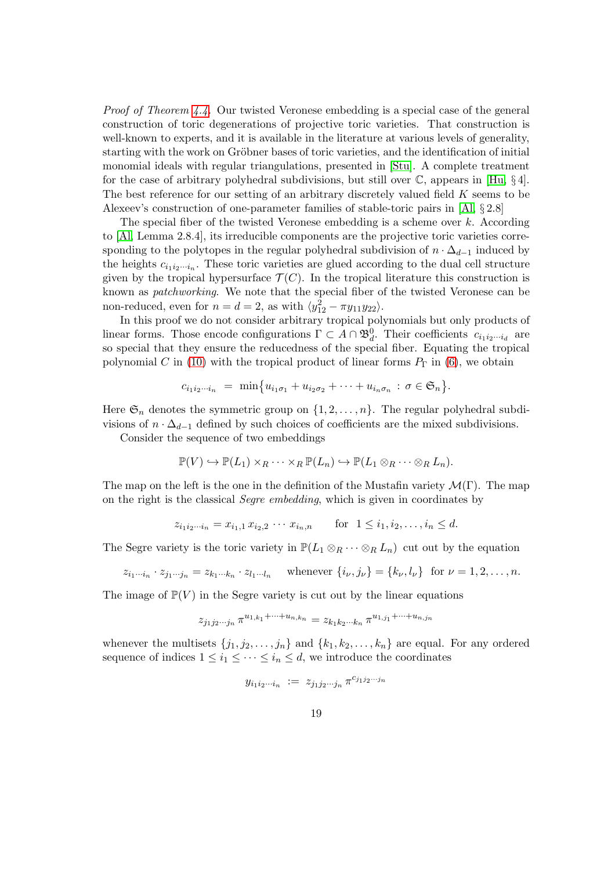*Proof of Theorem [4.4.](#page-17-0)* Our twisted Veronese embedding is a special case of the general construction of toric degenerations of projective toric varieties. That construction is well-known to experts, and it is available in the literature at various levels of generality, starting with the work on Gröbner bases of toric varieties, and the identification of initial monomial ideals with regular triangulations, presented in [\[Stu\]](#page-36-14). A complete treatment for the case of arbitrary polyhedral subdivisions, but still over  $\mathbb{C}$ , appears in [\[Hu,](#page-36-15) §4]. The best reference for our setting of an arbitrary discretely valued field K seems to be Alexeev's construction of one-parameter families of stable-toric pairs in [\[Al,](#page-35-1) § 2.8]

The special fiber of the twisted Veronese embedding is a scheme over k. According to [\[Al,](#page-35-1) Lemma 2.8.4], its irreducible components are the projective toric varieties corresponding to the polytopes in the regular polyhedral subdivision of  $n \cdot \Delta_{d-1}$  induced by the heights  $c_{i_1 i_2 \cdots i_n}$ . These toric varieties are glued according to the dual cell structure given by the tropical hypersurface  $\mathcal{T}(C)$ . In the tropical literature this construction is known as *patchworking*. We note that the special fiber of the twisted Veronese can be non-reduced, even for  $n = d = 2$ , as with  $\langle y_{12}^2 - \pi y_{11} y_{22} \rangle$ .

In this proof we do not consider arbitrary tropical polynomials but only products of linear forms. Those encode configurations  $\Gamma \subset A \cap \mathfrak{B}_d^0$ . Their coefficients  $c_{i_1 i_2 \cdots i_d}$  are so special that they ensure the reducedness of the special fiber. Equating the tropical polynomial C in [\(10\)](#page-17-2) with the tropical product of linear forms  $P_{\Gamma}$  in [\(6\)](#page-15-2), we obtain

$$
c_{i_1i_2\cdots i_n} = \min\{u_{i_1\sigma_1} + u_{i_2\sigma_2} + \cdots + u_{i_n\sigma_n} : \sigma \in \mathfrak{S}_n\}.
$$

Here  $\mathfrak{S}_n$  denotes the symmetric group on  $\{1, 2, \ldots, n\}$ . The regular polyhedral subdivisions of  $n \cdot \Delta_{d-1}$  defined by such choices of coefficients are the mixed subdivisions.

Consider the sequence of two embeddings

$$
\mathbb{P}(V) \hookrightarrow \mathbb{P}(L_1) \times_R \cdots \times_R \mathbb{P}(L_n) \hookrightarrow \mathbb{P}(L_1 \otimes_R \cdots \otimes_R L_n).
$$

The map on the left is the one in the definition of the Mustafin variety  $\mathcal{M}(\Gamma)$ . The map on the right is the classical *Segre embedding*, which is given in coordinates by

$$
z_{i_1 i_2 \cdots i_n} = x_{i_1,1} x_{i_2,2} \cdots x_{i_n, n} \quad \text{for } 1 \le i_1, i_2, \ldots, i_n \le d.
$$

The Segre variety is the toric variety in  $\mathbb{P}(L_1 \otimes_R \cdots \otimes_R L_n)$  cut out by the equation

$$
z_{i_1\cdots i_n} \cdot z_{j_1\cdots j_n} = z_{k_1\cdots k_n} \cdot z_{l_1\cdots l_n} \quad \text{whenever } \{i_\nu, j_\nu\} = \{k_\nu, l_\nu\} \text{ for } \nu = 1, 2, \ldots, n.
$$

The image of  $\mathbb{P}(V)$  in the Segre variety is cut out by the linear equations

$$
z_{j_1 j_2 \cdots j_n} \pi^{u_{1,k_1} + \cdots + u_{n,k_n}} = z_{k_1 k_2 \cdots k_n} \pi^{u_{1,j_1} + \cdots + u_{n,j_n}}
$$

whenever the multisets  $\{j_1, j_2, \ldots, j_n\}$  and  $\{k_1, k_2, \ldots, k_n\}$  are equal. For any ordered sequence of indices  $1 \leq i_1 \leq \cdots \leq i_n \leq d$ , we introduce the coordinates

$$
y_{i_1 i_2 \cdots i_n} \ := \ z_{j_1 j_2 \cdots j_n} \, \pi^{c_{j_1 j_2 \cdots j_n}}
$$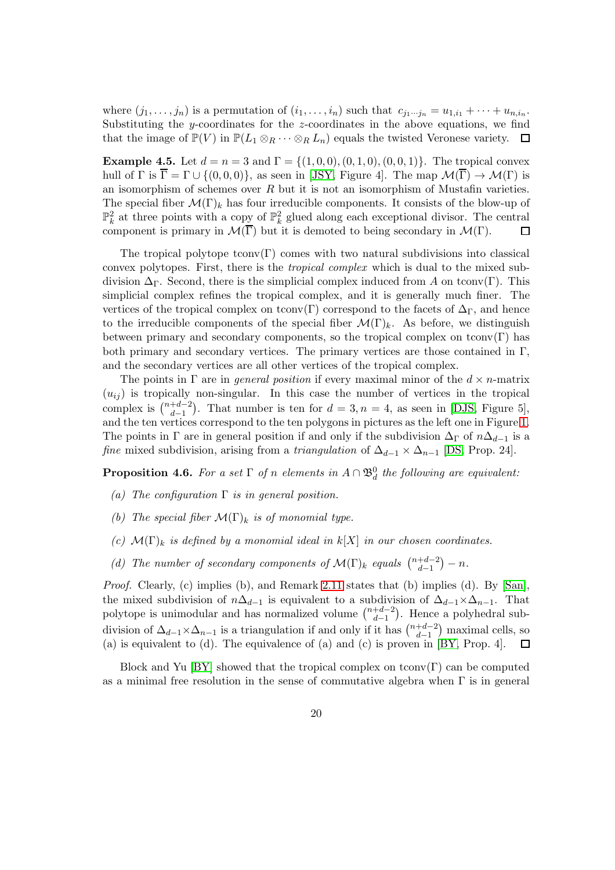where  $(j_1, \ldots, j_n)$  is a permutation of  $(i_1, \ldots, i_n)$  such that  $c_{j_1 \cdots j_n} = u_{1,i_1} + \cdots + u_{n,i_n}$ . Substituting the y-coordinates for the z-coordinates in the above equations, we find that the image of  $\mathbb{P}(V)$  in  $\mathbb{P}(L_1 \otimes_R \cdots \otimes_R L_n)$  equals the twisted Veronese variety.  $\Box$ 

<span id="page-19-0"></span>**Example 4.5.** Let  $d = n = 3$  and  $\Gamma = \{(1, 0, 0), (0, 1, 0), (0, 0, 1)\}\.$  The tropical convex hull of  $\Gamma$  is  $\overline{\Gamma} = \Gamma \cup \{(0,0,0)\}\$ , as seen in [\[JSY,](#page-36-3) Figure 4]. The map  $\mathcal{M}(\Gamma) \to \mathcal{M}(\Gamma)$  is an isomorphism of schemes over  $R$  but it is not an isomorphism of Mustafin varieties. The special fiber  $\mathcal{M}(\Gamma)_k$  has four irreducible components. It consists of the blow-up of  $\mathbb{P}_k^2$  at three points with a copy of  $\mathbb{P}_k^2$  glued along each exceptional divisor. The central component is primary in  $\mathcal{M}(\overline{\Gamma})$  but it is demoted to being secondary in  $\mathcal{M}(\Gamma)$ .  $\Box$ 

The tropical polytope tconv $(\Gamma)$  comes with two natural subdivisions into classical convex polytopes. First, there is the *tropical complex* which is dual to the mixed subdivision  $\Delta_{\Gamma}$ . Second, there is the simplicial complex induced from A on tconv(Γ). This simplicial complex refines the tropical complex, and it is generally much finer. The vertices of the tropical complex on tconv(Γ) correspond to the facets of  $\Delta_{\Gamma}$ , and hence to the irreducible components of the special fiber  $\mathcal{M}(\Gamma)_k$ . As before, we distinguish between primary and secondary components, so the tropical complex on tconv $(\Gamma)$  has both primary and secondary vertices. The primary vertices are those contained in  $\Gamma$ , and the secondary vertices are all other vertices of the tropical complex.

The points in  $\Gamma$  are in *general position* if every maximal minor of the  $d \times n$ -matrix  $(u_{ij})$  is tropically non-singular. In this case the number of vertices in the tropical complex is  $\binom{n+d-2}{d-1}$  $\binom{+d-2}{d-1}$ . That number is ten for  $d=3, n=4$ , as seen in [\[DJS,](#page-36-12) Figure 5], and the ten vertices correspond to the ten polygons in pictures as the left one in Figure [1.](#page-1-0) The points in Γ are in general position if and only if the subdivision  $\Delta_{\Gamma}$  of  $n\Delta_{d-1}$  is a *fine* mixed subdivision, arising from a *triangulation* of  $\Delta_{d-1} \times \Delta_{n-1}$  [\[DS,](#page-36-11) Prop. 24].

**Proposition 4.6.** For a set  $\Gamma$  of n elements in  $A \cap \mathfrak{B}_d^0$  the following are equivalent:

- *(a) The configuration* Γ *is in general position.*
- *(b)* The special fiber  $\mathcal{M}(\Gamma)_{k}$  *is of monomial type.*
- $(c)$   $\mathcal{M}(\Gamma)_k$  *is defined by a monomial ideal in*  $k[X]$  *in our chosen coordinates.*
- (d) The number of secondary components of  $\mathcal{M}(\Gamma)_k$  equals  $\binom{n+d-2}{d-1}$  $\binom{+d-2}{d-1}-n$ .

*Proof.* Clearly, (c) implies (b), and Remark [2.11](#page-9-2) states that (b) implies (d). By [\[San\]](#page-36-13), the mixed subdivision of  $n\Delta_{d-1}$  is equivalent to a subdivision of  $\Delta_{d-1}\times\Delta_{n-1}$ . That polytope is unimodular and has normalized volume  $\binom{n+d-2}{d-1}$  $\binom{+d-2}{d-1}$ . Hence a polyhedral subdivision of  $\Delta_{d-1} \times \Delta_{n-1}$  is a triangulation if and only if it has  $\binom{n+d-2}{d-1}$  $\binom{+d-2}{d-1}$  maximal cells, so (a) is equivalent to (d). The equivalence of (a) and (c) is proven in [\[BY,](#page-36-6) Prop. 4].  $\Box$ 

Block and Yu [\[BY\]](#page-36-6) showed that the tropical complex on tconv $(\Gamma)$  can be computed as a minimal free resolution in the sense of commutative algebra when  $\Gamma$  is in general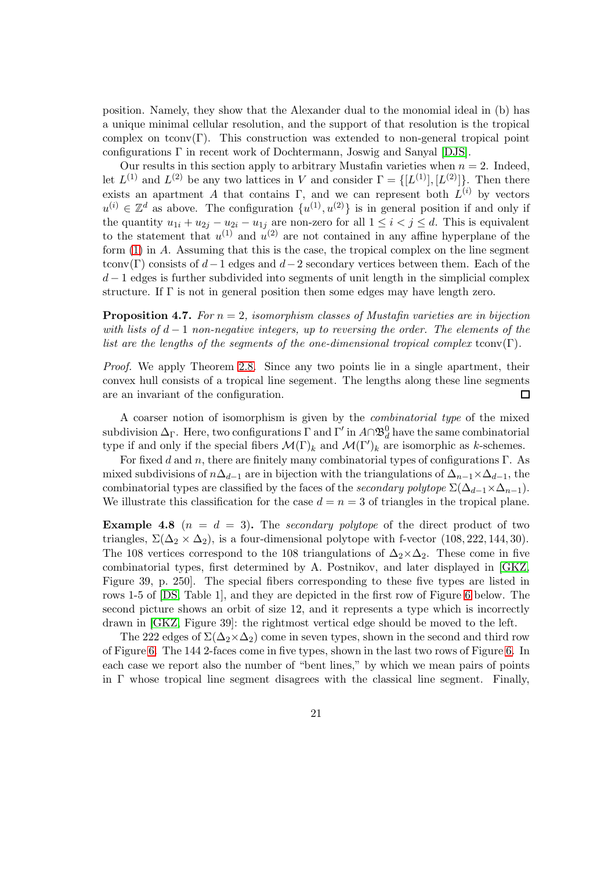position. Namely, they show that the Alexander dual to the monomial ideal in (b) has a unique minimal cellular resolution, and the support of that resolution is the tropical complex on tconv $(\Gamma)$ . This construction was extended to non-general tropical point configurations Γ in recent work of Dochtermann, Joswig and Sanyal [\[DJS\]](#page-36-12).

Our results in this section apply to arbitrary Mustafin varieties when  $n = 2$ . Indeed, let  $L^{(1)}$  and  $L^{(2)}$  be any two lattices in V and consider  $\Gamma = \{[L^{(1)}], [L^{(2)}]\}$ . Then there exists an apartment A that contains  $\Gamma$ , and we can represent both  $L^{(i)}$  by vectors  $u^{(i)} \in \mathbb{Z}^d$  as above. The configuration  $\{u^{(1)}, u^{(2)}\}$  is in general position if and only if the quantity  $u_{1i} + u_{2j} - u_{2i} - u_{1j}$  are non-zero for all  $1 \leq i < j \leq d$ . This is equivalent to the statement that  $u^{(1)}$  and  $u^{(2)}$  are not contained in any affine hyperplane of the form  $(1)$  in A. Assuming that this is the case, the tropical complex on the line segment tconv(Γ) consists of  $d-1$  edges and  $d-2$  secondary vertices between them. Each of the  $d-1$  edges is further subdivided into segments of unit length in the simplicial complex structure. If  $\Gamma$  is not in general position then some edges may have length zero.

<span id="page-20-0"></span>Proposition 4.7. *For* n = 2*, isomorphism classes of Mustafin varieties are in bijection with lists of*  $d-1$  *non-negative integers, up to reversing the order. The elements of the list are the lengths of the segments of the one-dimensional tropical complex* tconv $(\Gamma)$ *.* 

*Proof.* We apply Theorem [2.8.](#page-7-0) Since any two points lie in a single apartment, their convex hull consists of a tropical line segement. The lengths along these line segments are an invariant of the configuration.  $\Box$ 

A coarser notion of isomorphism is given by the *combinatorial type* of the mixed subdivision  $\Delta_{\Gamma}$ . Here, two configurations  $\Gamma$  and  $\Gamma'$  in  $A\cap \mathfrak{B}_d^0$  have the same combinatorial type if and only if the special fibers  $\mathcal{M}(\Gamma)_k$  and  $\mathcal{M}(\Gamma')_k$  are isomorphic as k-schemes.

For fixed d and n, there are finitely many combinatorial types of configurations Γ. As mixed subdivisions of  $n\Delta_{d-1}$  are in bijection with the triangulations of  $\Delta_{n-1}\times \Delta_{d-1}$ , the combinatorial types are classified by the faces of the *secondary polytope*  $\Sigma(\Delta_{d-1}\times\Delta_{n-1})$ . We illustrate this classification for the case  $d = n = 3$  of triangles in the tropical plane.

<span id="page-20-1"></span>**Example 4.8**  $(n = d = 3)$ . The *secondary polytope* of the direct product of two triangles,  $\Sigma(\Delta_2 \times \Delta_2)$ , is a four-dimensional polytope with f-vector (108, 222, 144, 30). The 108 vertices correspond to the 108 triangulations of  $\Delta_2 \times \Delta_2$ . These come in five combinatorial types, first determined by A. Postnikov, and later displayed in [\[GKZ,](#page-36-16) Figure 39, p. 250]. The special fibers corresponding to these five types are listed in rows 1-5 of [\[DS,](#page-36-11) Table 1], and they are depicted in the first row of Figure [6](#page-22-0) below. The second picture shows an orbit of size 12, and it represents a type which is incorrectly drawn in [\[GKZ,](#page-36-16) Figure 39]: the rightmost vertical edge should be moved to the left.

The 222 edges of  $\Sigma(\Delta_2\times\Delta_2)$  come in seven types, shown in the second and third row of Figure [6.](#page-22-0) The 144 2-faces come in five types, shown in the last two rows of Figure [6.](#page-22-0) In each case we report also the number of "bent lines," by which we mean pairs of points in  $\Gamma$  whose tropical line segment disagrees with the classical line segment. Finally,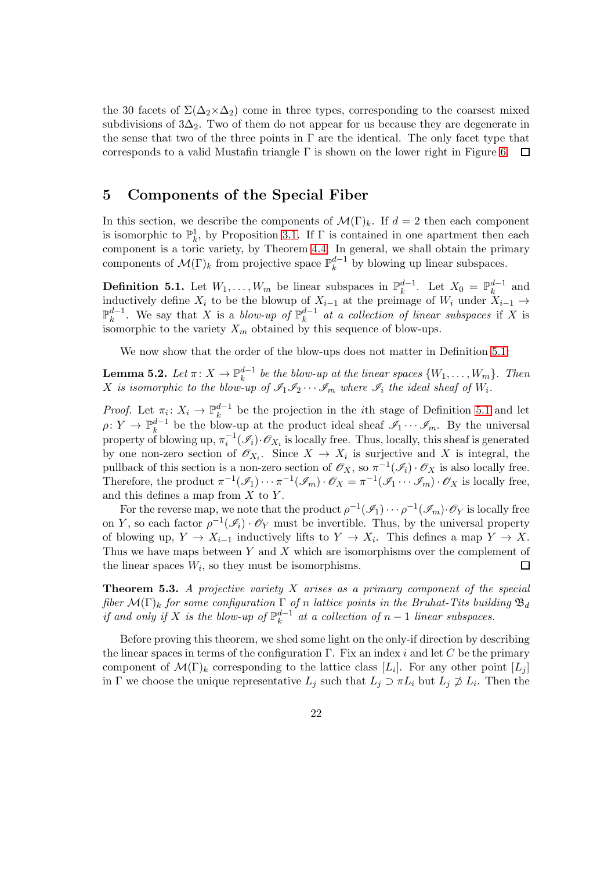the 30 facets of  $\Sigma(\Delta_2\times\Delta_2)$  come in three types, corresponding to the coarsest mixed subdivisions of  $3\Delta_2$ . Two of them do not appear for us because they are degenerate in the sense that two of the three points in  $\Gamma$  are the identical. The only facet type that corresponds to a valid Mustafin triangle  $\Gamma$  is shown on the lower right in Figure [6.](#page-22-0)  $\Box$ 

## 5 Components of the Special Fiber

In this section, we describe the components of  $\mathcal{M}(\Gamma)_k$ . If  $d = 2$  then each component is isomorphic to  $\mathbb{P}_k^1$ , by Proposition [3.1.](#page-10-0) If  $\Gamma$  is contained in one apartment then each component is a toric variety, by Theorem [4.4.](#page-17-0) In general, we shall obtain the primary components of  $\mathcal{M}(\Gamma)_k$  from projective space  $\mathbb{P}_k^{d-1}$  $k^{a-1}$  by blowing up linear subspaces.

<span id="page-21-1"></span>**Definition 5.1.** Let  $W_1, \ldots, W_m$  be linear subspaces in  $\mathbb{P}_k^{d-1}$  $k^{d-1}$ . Let  $X_0 = \mathbb{P}_k^{d-1}$  $\frac{a-1}{k}$  and inductively define  $X_i$  to be the blowup of  $X_{i-1}$  at the preimage of  $W_i$  under  $X_{i-1} \rightarrow$  $\mathbb{P}_\nu^{d-1}$  $\frac{d-1}{k}$ . We say that X is a *blow-up of*  $\mathbb{P}_k^{d-1}$  $a^{-1}$  *at a collection of linear subspaces* if X is isomorphic to the variety  $X_m$  obtained by this sequence of blow-ups.

We now show that the order of the blow-ups does not matter in Definition [5.1:](#page-21-1)

 ${\bf Lemma~5.2.} \, \, Let \, \pi \colon X \to \mathbb P^{d-1}_k$  $\binom{a-1}{k}$  be the blow-up at the linear spaces  $\{W_1, \ldots, W_m\}$ . Then X is isomorphic to the blow-up of  $\mathscr{I}_1 \mathscr{I}_2 \cdots \mathscr{I}_m$  where  $\mathscr{I}_i$  the ideal sheaf of  $W_i$ .

*Proof.* Let  $\pi_i: X_i \to \mathbb{P}_k^{d-1}$  be the projection in the *i*th stage of Definition [5.1](#page-21-1) and let  $\rho: Y \to \mathbb{P}_k^{d-1}$  be the blow-up at the product ideal sheaf  $\mathscr{I}_1 \cdots \mathscr{I}_m$ . By the universal property of blowing up,  $\pi_i^{-1}(\mathscr{I}_i)\cdot\mathscr{O}_{X_i}$  is locally free. Thus, locally, this sheaf is generated by one non-zero section of  $\mathscr{O}_{X_i}$ . Since  $X \to X_i$  is surjective and X is integral, the pullback of this section is a non-zero section of  $\mathscr{O}_X$ , so  $\pi^{-1}(\mathscr{I}_i) \cdot \mathscr{O}_X$  is also locally free. Therefore, the product  $\pi^{-1}(\mathscr{I}_1)\cdots \pi^{-1}(\mathscr{I}_m)\cdot \mathscr{O}_X = \pi^{-1}(\mathscr{I}_1\cdots \mathscr{I}_m)\cdot \mathscr{O}_X$  is locally free, and this defines a map from  $X$  to  $Y$ .

For the reverse map, we note that the product  $\rho^{-1}(\mathscr{I}_1)\cdots \rho^{-1}(\mathscr{I}_m)\cdot \mathscr{O}_Y$  is locally free on Y, so each factor  $\rho^{-1}(\mathcal{I}_i) \cdot \mathcal{O}_Y$  must be invertible. Thus, by the universal property of blowing up,  $Y \to X_{i-1}$  inductively lifts to  $Y \to X_i$ . This defines a map  $Y \to X$ . Thus we have maps between  $Y$  and  $X$  which are isomorphisms over the complement of the linear spaces  $W_i$ , so they must be isomorphisms.  $\Box$ 

<span id="page-21-0"></span>Theorem 5.3. *A projective variety* X *arises as a primary component of the special fiber*  $\mathcal{M}(\Gamma)_{k}$  *for some configuration*  $\Gamma$  *of n lattice points in the Bruhat-Tits building*  $\mathfrak{B}_{d}$ *if and only if* X *is the blow-up of*  $\mathbb{P}_k^{d-1}$  $\binom{a-1}{k}$  at a collection of  $n-1$  linear subspaces.

Before proving this theorem, we shed some light on the only-if direction by describing the linear spaces in terms of the configuration  $\Gamma$ . Fix an index i and let C be the primary component of  $\mathcal{M}(\Gamma)_k$  corresponding to the lattice class  $[L_i]$ . For any other point  $[L_j]$ in  $\Gamma$  we choose the unique representative  $L_j$  such that  $L_j \supset \pi L_i$  but  $L_j \not\supset L_i$ . Then the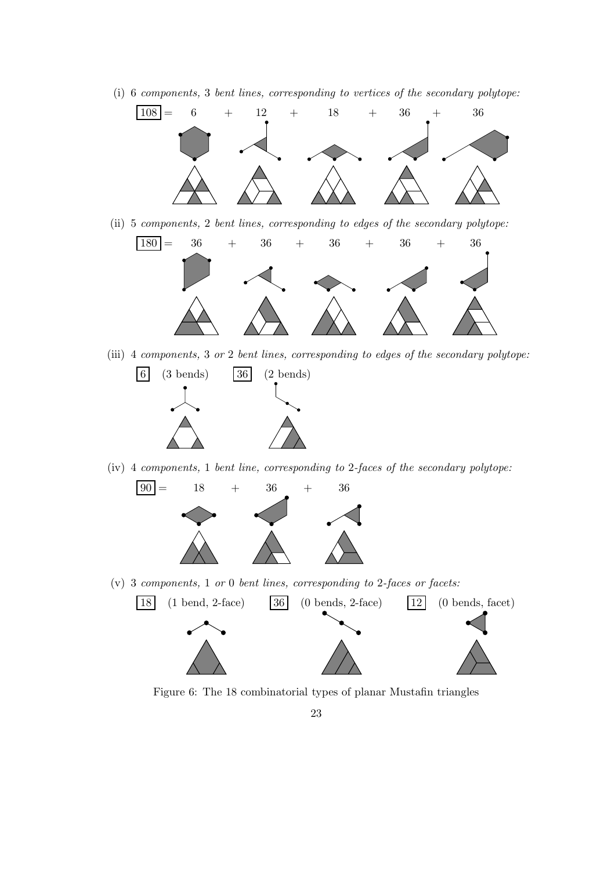(i) 6 *components,* 3 *bent lines, corresponding to vertices of the secondary polytope:*



(ii) 5 *components,* 2 *bent lines, corresponding to edges of the secondary polytope:*



(iii) 4 *components,* 3 *or* 2 *bent lines, corresponding to edges of the secondary polytope:*



(iv) 4 *components,* 1 *bent line, corresponding to* 2*-faces of the secondary polytope:*



(v) 3 *components,* 1 *or* 0 *bent lines, corresponding to* 2*-faces or facets:*



<span id="page-22-0"></span>Figure 6: The 18 combinatorial types of planar Mustafin triangles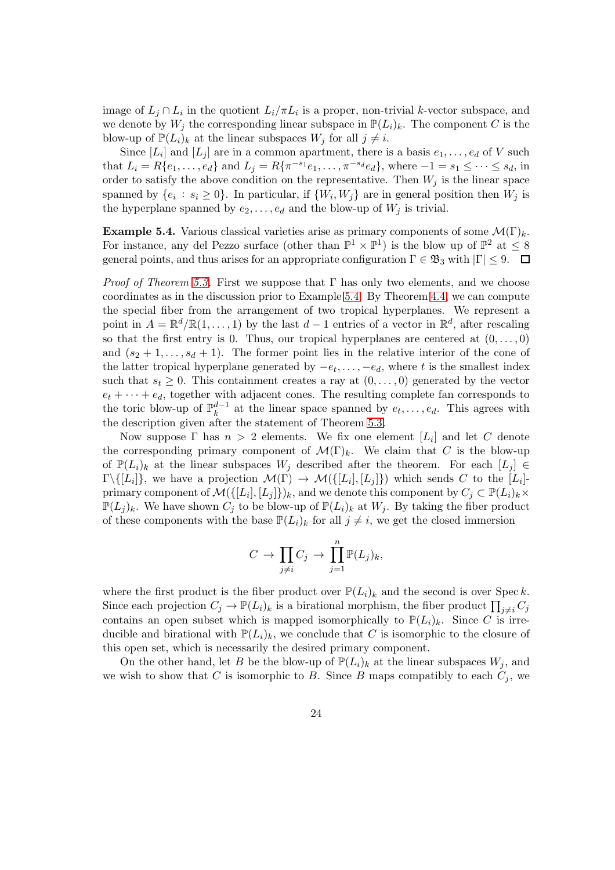image of  $L_j \cap L_i$  in the quotient  $L_i / \pi L_i$  is a proper, non-trivial k-vector subspace, and we denote by  $W_j$  the corresponding linear subspace in  $\mathbb{P}(L_i)_k$ . The component C is the blow-up of  $\mathbb{P}(L_i)_k$  at the linear subspaces  $W_j$  for all  $j \neq i$ .

Since  $[L_i]$  and  $[L_j]$  are in a common apartment, there is a basis  $e_1, \ldots, e_d$  of V such that  $L_i = R\{e_1, \ldots, e_d\}$  and  $L_j = R\{\pi^{-s_1}e_1, \ldots, \pi^{-s_d}e_d\}$ , where  $-1 = s_1 \leq \cdots \leq s_d$ , in order to satisfy the above condition on the representative. Then  $W_j$  is the linear space spanned by  $\{e_i : s_i \geq 0\}$ . In particular, if  $\{W_i, W_j\}$  are in general position then  $W_j$  is the hyperplane spanned by  $e_2, \ldots, e_d$  and the blow-up of  $W_j$  is trivial.

<span id="page-23-0"></span>**Example 5.4.** Various classical varieties arise as primary components of some  $\mathcal{M}(\Gamma)_{k}$ . For instance, any del Pezzo surface (other than  $\mathbb{P}^1 \times \mathbb{P}^1$ ) is the blow up of  $\mathbb{P}^2$  at  $\leq 8$ general points, and thus arises for an appropriate configuration  $\Gamma \in \mathfrak{B}_3$  with  $|\Gamma| \leq 9$ .  $\Box$ 

*Proof of Theorem [5.3.](#page-21-0)* First we suppose that Γ has only two elements, and we choose coordinates as in the discussion prior to Example [5.4.](#page-23-0) By Theorem [4.4,](#page-17-0) we can compute the special fiber from the arrangement of two tropical hyperplanes. We represent a point in  $A = \mathbb{R}^d / \mathbb{R} (1, \ldots, 1)$  by the last  $d-1$  entries of a vector in  $\mathbb{R}^d$ , after rescaling so that the first entry is 0. Thus, our tropical hyperplanes are centered at  $(0, \ldots, 0)$ and  $(s_2 + 1, \ldots, s_d + 1)$ . The former point lies in the relative interior of the cone of the latter tropical hyperplane generated by  $-e_t, \ldots, -e_d$ , where t is the smallest index such that  $s_t \geq 0$ . This containment creates a ray at  $(0, \ldots, 0)$  generated by the vector  $e_t + \cdots + e_d$ , together with adjacent cones. The resulting complete fan corresponds to the toric blow-up of  $\mathbb{P}_k^{d-1}$  at the linear space spanned by  $e_t, \ldots, e_d$ . This agrees with the description given after the statement of Theorem [5.3.](#page-21-0)

Now suppose  $\Gamma$  has  $n > 2$  elements. We fix one element  $[L_i]$  and let C denote the corresponding primary component of  $\mathcal{M}(\Gamma)_k$ . We claim that C is the blow-up of  $\mathbb{P}(L_i)_k$  at the linear subspaces  $W_i$  described after the theorem. For each  $[L_i] \in$  $\Gamma \setminus \{[L_i]\},\$  we have a projection  $\mathcal{M}(\Gamma) \to \mathcal{M}(\{[L_i], [L_j]\})$  which sends C to the  $[L_i]$ primary component of  $\mathcal{M}(\{[L_i], [L_j]\})_k$ , and we denote this component by  $C_j \subset \mathbb{P}(L_i)_k \times$  $\mathbb{P}(L_j)_k$ . We have shown  $C_j$  to be blow-up of  $\mathbb{P}(L_i)_k$  at  $W_j$ . By taking the fiber product of these components with the base  $\mathbb{P}(L_i)_k$  for all  $j \neq i$ , we get the closed immersion

$$
C \to \prod_{j \neq i} C_j \to \prod_{j=1}^n \mathbb{P}(L_j)_k,
$$

where the first product is the fiber product over  $\mathbb{P}(L_i)_k$  and the second is over Spec k. Since each projection  $C_j \to \mathbb{P}(L_i)_k$  is a birational morphism, the fiber product  $\prod_{j \neq i} C_j$ contains an open subset which is mapped isomorphically to  $\mathbb{P}(L_i)_k$ . Since C is irreducible and birational with  $\mathbb{P}(L_i)_k$ , we conclude that C is isomorphic to the closure of this open set, which is necessarily the desired primary component.

On the other hand, let B be the blow-up of  $\mathbb{P}(L_i)_k$  at the linear subspaces  $W_i$ , and we wish to show that C is isomorphic to B. Since B maps compatibly to each  $C_i$ , we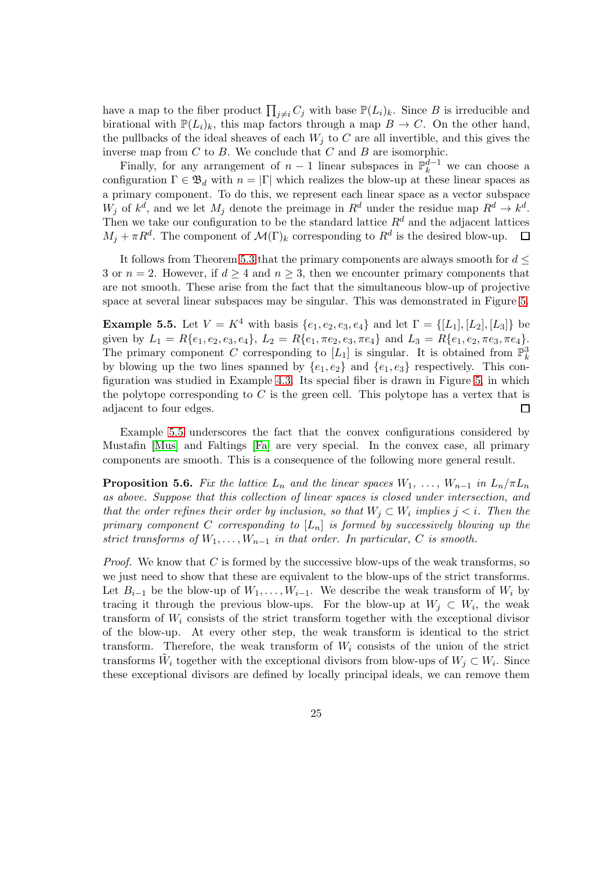have a map to the fiber product  $\prod_{j\neq i} C_j$  with base  $\mathbb{P}(L_i)_k$ . Since B is irreducible and birational with  $\mathbb{P}(L_i)_k$ , this map factors through a map  $B \to C$ . On the other hand, the pullbacks of the ideal sheaves of each  $W_j$  to C are all invertible, and this gives the inverse map from  $C$  to  $B$ . We conclude that  $C$  and  $B$  are isomorphic.

Finally, for any arrangement of  $n-1$  linear subspaces in  $\mathbb{P}_k^{d-1}$  we can choose a configuration  $\Gamma \in \mathfrak{B}_d$  with  $n = |\Gamma|$  which realizes the blow-up at these linear spaces as a primary component. To do this, we represent each linear space as a vector subspace  $W_j$  of  $k^d$ , and we let  $M_j$  denote the preimage in  $R^d$  under the residue map  $R^d \to k^d$ . Then we take our configuration to be the standard lattice  $R<sup>d</sup>$  and the adjacent lattices  $M_j + \pi R^d$ . The component of  $\mathcal{M}(\Gamma)_k$  corresponding to  $R^d$  is the desired blow-up.  $\Box$ 

It follows from Theorem [5.3](#page-21-0) that the primary components are always smooth for  $d \leq$ 3 or  $n = 2$ . However, if  $d \geq 4$  and  $n \geq 3$ , then we encounter primary components that are not smooth. These arise from the fact that the simultaneous blow-up of projective space at several linear subspaces may be singular. This was demonstrated in Figure [5.](#page-17-1)

<span id="page-24-1"></span>**Example 5.5.** Let  $V = K^4$  with basis  $\{e_1, e_2, e_3, e_4\}$  and let  $\Gamma = \{[L_1], [L_2], [L_3]\}$  be given by  $L_1 = R\{e_1, e_2, e_3, e_4\}, L_2 = R\{e_1, \pi e_2, e_3, \pi e_4\}$  and  $L_3 = R\{e_1, e_2, \pi e_3, \pi e_4\}.$ The primary component C corresponding to  $[L_1]$  is singular. It is obtained from  $\mathbb{P}_k^3$ by blowing up the two lines spanned by  $\{e_1, e_2\}$  and  $\{e_1, e_3\}$  respectively. This configuration was studied in Example [4.3.](#page-16-1) Its special fiber is drawn in Figure [5,](#page-17-1) in which the polytope corresponding to  $C$  is the green cell. This polytope has a vertex that is adjacent to four edges. 囗

Example [5.5](#page-24-1) underscores the fact that the convex configurations considered by Mustafin [\[Mus\]](#page-36-0) and Faltings [\[Fa\]](#page-36-2) are very special. In the convex case, all primary components are smooth. This is a consequence of the following more general result.

<span id="page-24-0"></span>**Proposition 5.6.** Fix the lattice  $L_n$  and the linear spaces  $W_1, \ldots, W_{n-1}$  in  $L_n/\pi L_n$ *as above. Suppose that this collection of linear spaces is closed under intersection, and that the order refines their order by inclusion, so that*  $W_j \subset W_i$  *implies*  $j < i$ *. Then the primary component* C *corresponding to* [Ln] *is formed by successively blowing up the strict transforms of*  $W_1, \ldots, W_{n-1}$  *in that order. In particular, C is smooth.* 

*Proof.* We know that C is formed by the successive blow-ups of the weak transforms, so we just need to show that these are equivalent to the blow-ups of the strict transforms. Let  $B_{i-1}$  be the blow-up of  $W_1, \ldots, W_{i-1}$ . We describe the weak transform of  $W_i$  by tracing it through the previous blow-ups. For the blow-up at  $W_j \subset W_i$ , the weak transform of  $W_i$  consists of the strict transform together with the exceptional divisor of the blow-up. At every other step, the weak transform is identical to the strict transform. Therefore, the weak transform of  $W_i$  consists of the union of the strict transforms  $\tilde{W}_i$  together with the exceptional divisors from blow-ups of  $W_j \subset W_i$ . Since these exceptional divisors are defined by locally principal ideals, we can remove them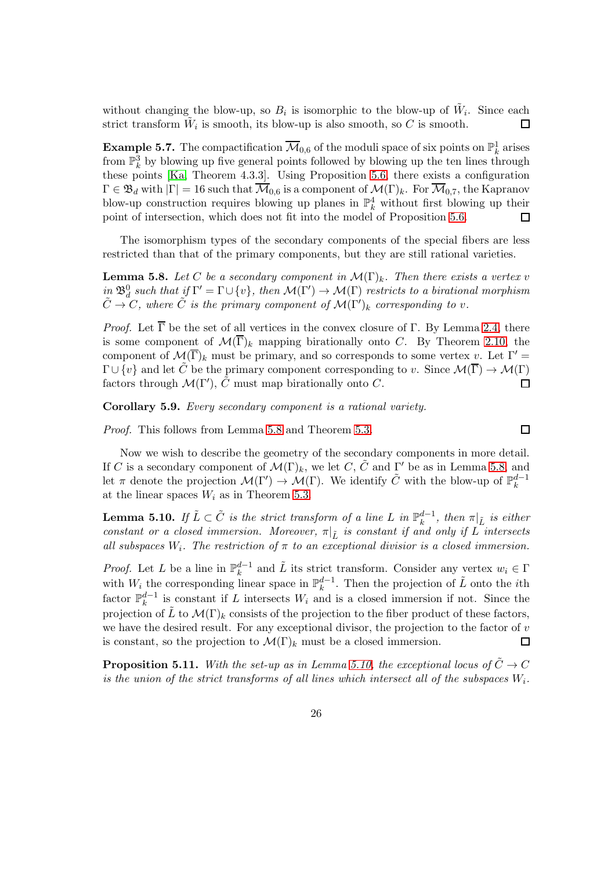without changing the blow-up, so  $B_i$  is isomorphic to the blow-up of  $\tilde{W}_i$ . Since each strict transform  $\tilde{W}_i$  is smooth, its blow-up is also smooth, so C is smooth. □

**Example 5.7.** The compactification  $\overline{\mathcal{M}}_{0,6}$  of the moduli space of six points on  $\mathbb{P}^1_k$  arises from  $\mathbb{P}^3_k$  by blowing up five general points followed by blowing up the ten lines through these points [\[Ka,](#page-36-17) Theorem 4.3.3]. Using Proposition [5.6,](#page-24-0) there exists a configuration  $\Gamma \in \mathfrak{B}_d$  with  $|\Gamma| = 16$  such that  $\overline{\mathcal{M}}_{0.6}$  is a component of  $\mathcal{M}(\Gamma)_k$ . For  $\overline{\mathcal{M}}_{0.7}$ , the Kapranov blow-up construction requires blowing up planes in  $\mathbb{P}^4_k$  without first blowing up their point of intersection, which does not fit into the model of Proposition [5.6.](#page-24-0)  $\Box$ 

The isomorphism types of the secondary components of the special fibers are less restricted than that of the primary components, but they are still rational varieties.

<span id="page-25-0"></span>**Lemma 5.8.** Let C be a secondary component in  $\mathcal{M}(\Gamma)_k$ . Then there exists a vertex v  $\lim_{\Omega} \mathfrak{B}_d^0$  such that if  $\Gamma' = \Gamma \cup \{v\}$ , then  $\mathcal{M}(\Gamma') \to \mathcal{M}(\Gamma)$  restricts to a birational morphism  $\tilde{C} \rightarrow C$ , where  $\tilde{C}$  *is the primary component of*  $\mathcal{M}(\Gamma')_k$  *corresponding to v.* 

*Proof.* Let  $\overline{\Gamma}$  be the set of all vertices in the convex closure of  $\Gamma$ . By Lemma [2.4,](#page-6-0) there is some component of  $\mathcal{M}(\overline{\Gamma})_k$  mapping birationally onto C. By Theorem [2.10,](#page-9-0) the component of  $\mathcal{M}(\overline{\Gamma})_k$  must be primary, and so corresponds to some vertex v. Let  $\Gamma' =$  $\Gamma \cup \{v\}$  and let  $\tilde{C}$  be the primary component corresponding to v. Since  $\mathcal{M}(\overline{\Gamma}) \to \mathcal{M}(\Gamma)$ factors through  $\mathcal{M}(\Gamma'), \tilde{C}$  must map birationally onto C.  $\Box$ 

Corollary 5.9. *Every secondary component is a rational variety.*

*Proof.* This follows from Lemma [5.8](#page-25-0) and Theorem [5.3.](#page-21-0)

Now we wish to describe the geometry of the secondary components in more detail. If C is a secondary component of  $\mathcal{M}(\Gamma)_k$ , we let C,  $\tilde{C}$  and  $\Gamma'$  be as in Lemma [5.8,](#page-25-0) and let  $\pi$  denote the projection  $\mathcal{M}(\Gamma') \to \mathcal{M}(\Gamma)$ . We identify  $\tilde{C}$  with the blow-up of  $\mathbb{P}_k^{d-1}$ k at the linear spaces  $W_i$  as in Theorem [5.3.](#page-21-0)

 $\Box$ 

<span id="page-25-1"></span>**Lemma 5.10.** If  $\tilde{L} \subset \tilde{C}$  is the strict transform of a line L in  $\mathbb{P}_k^{d-1}$  $_{k}^{a-1}$ , then  $\pi|_{\tilde{L}}$  *is either constant or a closed immersion. Moreover,*  $\pi|_{\tilde{L}}$  *is constant if and only if* L *intersects* all subspaces  $W_i$ . The restriction of  $\pi$  to an exceptional divisior is a closed immersion.

*Proof.* Let L be a line in  $\mathbb{P}_k^{d-1}$  $\mu_k^{d-1}$  and  $\tilde{L}$  its strict transform. Consider any vertex  $w_i \in \Gamma$ with  $W_i$  the corresponding linear space in  $\mathbb{P}_k^{d-1}$  $k^{d-1}$ . Then the projection of  $\tilde{L}$  onto the *i*<sup>th</sup> factor  $\mathbb{P}_k^{d-1}$  $\frac{a-1}{k}$  is constant if L intersects  $W_i$  and is a closed immersion if not. Since the projection of  $\tilde{L}$  to  $\mathcal{M}(\Gamma)_k$  consists of the projection to the fiber product of these factors, we have the desired result. For any exceptional divisor, the projection to the factor of  $v$ is constant, so the projection to  $\mathcal{M}(\Gamma)_k$  must be a closed immersion. 口

**Proposition 5.11.** With the set-up as in Lemma [5.10,](#page-25-1) the exceptional locus of  $\tilde{C} \rightarrow C$ *is the union of the strict transforms of all lines which intersect all of the subspaces*  $W_i$ .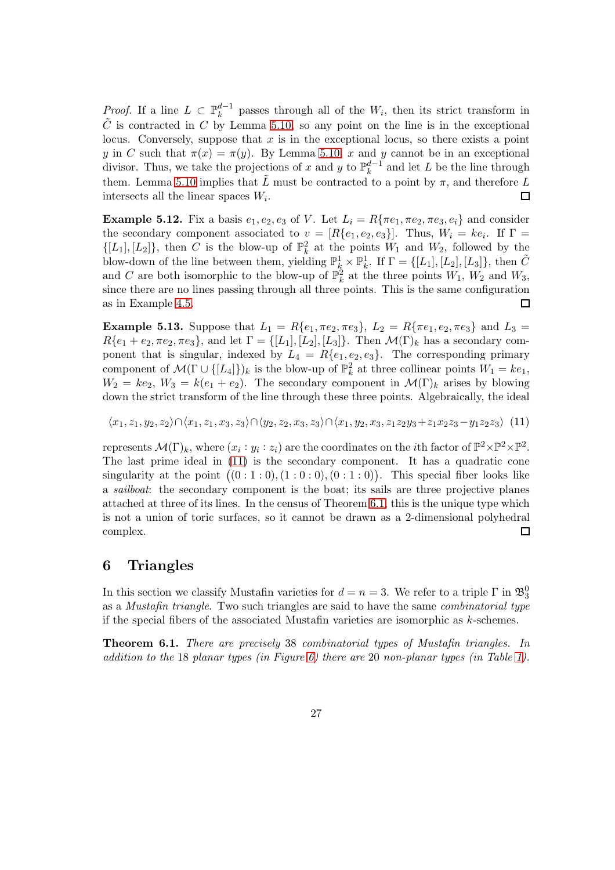*Proof.* If a line  $L \subset \mathbb{P}_k^{d-1}$  $\frac{a-1}{k}$  passes through all of the  $W_i$ , then its strict transform in  $\tilde{C}$  is contracted in C by Lemma [5.10,](#page-25-1) so any point on the line is in the exceptional locus. Conversely, suppose that  $x$  is in the exceptional locus, so there exists a point y in C such that  $\pi(x) = \pi(y)$ . By Lemma [5.10,](#page-25-1) x and y cannot be in an exceptional divisor. Thus, we take the projections of x and y to  $\mathbb{P}_k^{d-1}$  $\frac{a-1}{k}$  and let L be the line through them. Lemma [5.10](#page-25-1) implies that  $\tilde{L}$  must be contracted to a point by  $\pi$ , and therefore L intersects all the linear spaces  $W_i$ .  $\Box$ 

Example 5.12. Fix a basis  $e_1, e_2, e_3$  of V. Let  $L_i = R\{\pi e_1, \pi e_2, \pi e_3, e_i\}$  and consider the secondary component associated to  $v = [R\{e_1, e_2, e_3\}]$ . Thus,  $W_i = ke_i$ . If  $\Gamma =$  $\{[L_1], [L_2]\}$ , then C is the blow-up of  $\mathbb{P}_k^2$  at the points  $W_1$  and  $W_2$ , followed by the blow-down of the line between them, yielding  $\mathbb{P}^1_k \times \mathbb{P}^1_k$ . If  $\Gamma = \{[L_1], [L_2], [L_3]\}$ , then  $\tilde{C}$ and C are both isomorphic to the blow-up of  $\mathbb{P}_k^2$  at the three points  $W_1$ ,  $W_2$  and  $W_3$ , since there are no lines passing through all three points. This is the same configuration as in Example [4.5.](#page-19-0) 口

<span id="page-26-2"></span>Example 5.13. Suppose that  $L_1 = R\{e_1, \pi e_2, \pi e_3\}$ ,  $L_2 = R\{\pi e_1, e_2, \pi e_3\}$  and  $L_3 =$  $R\{e_1 + e_2, \pi e_2, \pi e_3\}$ , and let  $\Gamma = \{[L_1], [L_2], [L_3]\}$ . Then  $\mathcal{M}(\Gamma)_k$  has a secondary component that is singular, indexed by  $L_4 = R{e_1, e_2, e_3}$ . The corresponding primary component of  $\mathcal{M}(\Gamma \cup \{[L_4]\})_k$  is the blow-up of  $\mathbb{P}_k^2$  at three collinear points  $W_1 = ke_1$ ,  $W_2 = ke_2, W_3 = k(e_1 + e_2)$ . The secondary component in  $\mathcal{M}(\Gamma)_k$  arises by blowing down the strict transform of the line through these three points. Algebraically, the ideal

<span id="page-26-1"></span>
$$
\langle x_1, z_1, y_2, z_2 \rangle \cap \langle x_1, z_1, x_3, z_3 \rangle \cap \langle y_2, z_2, x_3, z_3 \rangle \cap \langle x_1, y_2, x_3, z_1 z_2 y_3 + z_1 x_2 z_3 - y_1 z_2 z_3 \rangle \tag{11}
$$

represents  $\mathcal{M}(\Gamma)_k$ , where  $(x_i : y_i : z_i)$  are the coordinates on the *i*th factor of  $\mathbb{P}^2 \times \mathbb{P}^2 \times \mathbb{P}^2$ . The last prime ideal in [\(11\)](#page-26-1) is the secondary component. It has a quadratic cone singularity at the point  $((0:1:0), (1:0:0), (0:1:0))$ . This special fiber looks like a *sailboat*: the secondary component is the boat; its sails are three projective planes attached at three of its lines. In the census of Theorem [6.1,](#page-26-0) this is the unique type which is not a union of toric surfaces, so it cannot be drawn as a 2-dimensional polyhedral complex.  $\Box$ 

#### 6 Triangles

In this section we classify Mustafin varieties for  $d = n = 3$ . We refer to a triple  $\Gamma$  in  $\mathfrak{B}^0_3$ as a *Mustafin triangle*. Two such triangles are said to have the same *combinatorial type* if the special fibers of the associated Mustafin varieties are isomorphic as  $k$ -schemes.

<span id="page-26-0"></span>Theorem 6.1. *There are precisely* 38 *combinatorial types of Mustafin triangles. In addition to the* 18 *planar types (in Figure [6\)](#page-22-0) there are* 20 *non-planar types (in Table [1\)](#page-27-0).*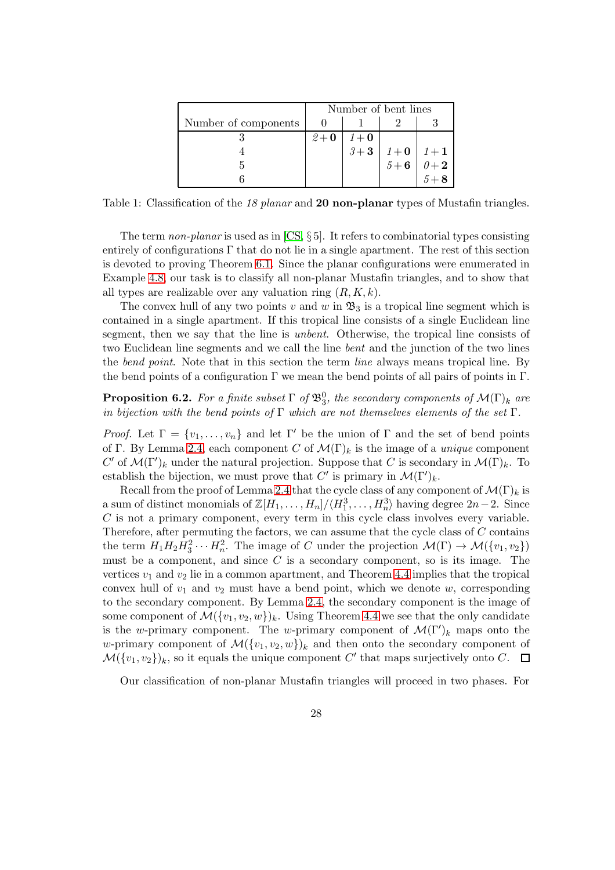|                      | Number of bent lines |                  |                                                                                                            |  |
|----------------------|----------------------|------------------|------------------------------------------------------------------------------------------------------------|--|
| Number of components |                      |                  |                                                                                                            |  |
|                      | $2+0$                |                  |                                                                                                            |  |
|                      |                      | $1+$ 0<br>$3+$ 3 |                                                                                                            |  |
|                      |                      |                  | $\begin{array}{c c} 1+{\bf 0} & 1+{\bf 1} \ \hline 5+{\bf 6} & 0+{\bf 2} \ \hline 5+{\bf 8} & \end{array}$ |  |
|                      |                      |                  |                                                                                                            |  |

<span id="page-27-0"></span>Table 1: Classification of the *18 planar* and 20 non-planar types of Mustafin triangles.

The term *non-planar* is used as in [\[CS,](#page-36-4) § 5]. It refers to combinatorial types consisting entirely of configurations Γ that do not lie in a single apartment. The rest of this section is devoted to proving Theorem [6.1.](#page-26-0) Since the planar configurations were enumerated in Example [4.8,](#page-20-1) our task is to classify all non-planar Mustafin triangles, and to show that all types are realizable over any valuation ring  $(R, K, k)$ .

The convex hull of any two points v and w in  $\mathfrak{B}_3$  is a tropical line segment which is contained in a single apartment. If this tropical line consists of a single Euclidean line segment, then we say that the line is *unbent*. Otherwise, the tropical line consists of two Euclidean line segments and we call the line *bent* and the junction of the two lines the *bend point*. Note that in this section the term *line* always means tropical line. By the bend points of a configuration  $\Gamma$  we mean the bend points of all pairs of points in  $\Gamma$ .

<span id="page-27-1"></span>**Proposition 6.2.** For a finite subset  $\Gamma$  of  $\mathfrak{B}_3^0$ , the secondary components of  $\mathcal{M}(\Gamma)_k$  are *in bijection with the bend points of* Γ *which are not themselves elements of the set* Γ*.*

*Proof.* Let  $\Gamma = \{v_1, \ldots, v_n\}$  and let  $\Gamma'$  be the union of  $\Gamma$  and the set of bend points of Γ. By Lemma [2.4,](#page-6-0) each component C of  $\mathcal{M}(\Gamma)_k$  is the image of a *unique* component C' of  $\mathcal{M}(\Gamma')_k$  under the natural projection. Suppose that C is secondary in  $\mathcal{M}(\Gamma)_k$ . To establish the bijection, we must prove that C' is primary in  $\mathcal{M}(\Gamma')_k$ .

Recall from the proof of Lemma [2.4](#page-6-0) that the cycle class of any component of  $\mathcal{M}(\Gamma)_k$  is a sum of distinct monomials of  $\mathbb{Z}[H_1,\ldots,H_n]/\langle H_1^3,\ldots,H_n^3\rangle$  having degree  $2n-2$ . Since  $C$  is not a primary component, every term in this cycle class involves every variable. Therefore, after permuting the factors, we can assume that the cycle class of  $C$  contains the term  $H_1H_2H_3^2\cdots H_n^2$ . The image of C under the projection  $\mathcal{M}(\Gamma) \to \mathcal{M}(\{v_1, v_2\})$ must be a component, and since  $C$  is a secondary component, so is its image. The vertices  $v_1$  and  $v_2$  lie in a common apartment, and Theorem [4.4](#page-17-0) implies that the tropical convex hull of  $v_1$  and  $v_2$  must have a bend point, which we denote w, corresponding to the secondary component. By Lemma [2.4,](#page-6-0) the secondary component is the image of some component of  $\mathcal{M}(\{v_1, v_2, w\})_k$ . Using Theorem [4.4](#page-17-0) we see that the only candidate is the w-primary component. The w-primary component of  $\mathcal{M}(\Gamma')_k$  maps onto the w-primary component of  $\mathcal{M}(\{v_1, v_2, w\})_k$  and then onto the secondary component of  $\mathcal{M}(\lbrace v_1, v_2 \rbrace)_k$ , so it equals the unique component C' that maps surjectively onto C.  $\Box$ 

Our classification of non-planar Mustafin triangles will proceed in two phases. For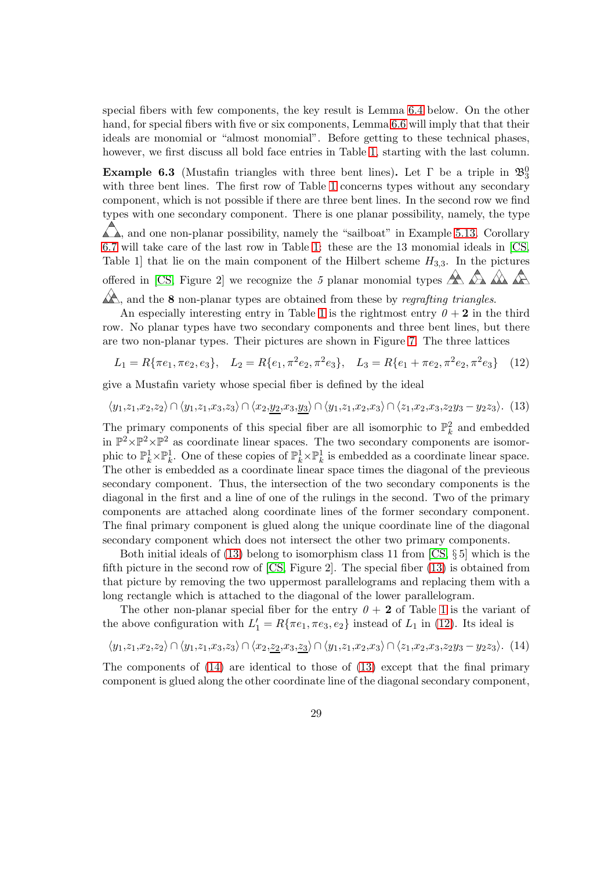special fibers with few components, the key result is Lemma [6.4](#page-29-0) below. On the other hand, for special fibers with five or six components, Lemma [6.6](#page-30-0) will imply that that their ideals are monomial or "almost monomial". Before getting to these technical phases, however, we first discuss all bold face entries in Table [1,](#page-27-0) starting with the last column.

<span id="page-28-3"></span>**Example 6.3** (Mustafin triangles with three bent lines). Let  $\Gamma$  be a triple in  $\mathfrak{B}_3^0$ with three bent lines. The first row of Table [1](#page-27-0) concerns types without any secondary component, which is not possible if there are three bent lines. In the second row we find types with one secondary component. There is one planar possibility, namely, the type  $\triangle$ , and one non-planar possibility, namely the "sailboat" in Example [5.13.](#page-26-2) Corollary [6.7](#page-31-0) will take care of the last row in Table [1:](#page-27-0) these are the 13 monomial ideals in [\[CS,](#page-36-4) Table 1 that lie on the main component of the Hilbert scheme  $H_{3,3}$ . In the pictures offered in [\[CS,](#page-36-4) Figure 2] we recognize the 5 planar monomial types  $\mathbb{A} \mathbb{A} \mathbb{A}$ 

 $\mathbb{A}$ , and the **8** non-planar types are obtained from these by *regrafting triangles*.

An especially interesting entry in Table [1](#page-27-0) is the rightmost entry  $\theta + 2$  in the third row. No planar types have two secondary components and three bent lines, but there are two non-planar types. Their pictures are shown in Figure [7.](#page-29-1) The three lattices

<span id="page-28-1"></span>
$$
L_1 = R\{\pi e_1, \pi e_2, e_3\}, \quad L_2 = R\{e_1, \pi^2 e_2, \pi^2 e_3\}, \quad L_3 = R\{e_1 + \pi e_2, \pi^2 e_2, \pi^2 e_3\} \tag{12}
$$

give a Mustafin variety whose special fiber is defined by the ideal

<span id="page-28-0"></span>
$$
\langle y_1, z_1, x_2, z_2 \rangle \cap \langle y_1, z_1, x_3, z_3 \rangle \cap \langle x_2, y_2, x_3, y_3 \rangle \cap \langle y_1, z_1, x_2, x_3 \rangle \cap \langle z_1, x_2, x_3, z_2y_3 - y_2z_3 \rangle.
$$
 (13)

The primary components of this special fiber are all isomorphic to  $\mathbb{P}^2_k$  and embedded in  $\mathbb{P}^2 \times \mathbb{P}^2 \times \mathbb{P}^2$  as coordinate linear spaces. The two secondary components are isomorphic to  $\mathbb{P}_k^1 \times \mathbb{P}_k^1$ . One of these copies of  $\mathbb{P}_k^1 \times \mathbb{P}_k^1$  is embedded as a coordinate linear space. The other is embedded as a coordinate linear space times the diagonal of the previeous secondary component. Thus, the intersection of the two secondary components is the diagonal in the first and a line of one of the rulings in the second. Two of the primary components are attached along coordinate lines of the former secondary component. The final primary component is glued along the unique coordinate line of the diagonal secondary component which does not intersect the other two primary components.

Both initial ideals of [\(13\)](#page-28-0) belong to isomorphism class 11 from  $\left[CS, \S 5\right]$  which is the fifth picture in the second row of  $\left[CS, Figure\ 2\right]$ . The special fiber  $(13)$  is obtained from that picture by removing the two uppermost parallelograms and replacing them with a long rectangle which is attached to the diagonal of the lower parallelogram.

The other non-planar special fiber for the entry  $0 + 2$  of Table [1](#page-27-0) is the variant of the above configuration with  $L'_1 = R\{\pi e_1, \pi e_3, e_2\}$  instead of  $L_1$  in [\(12\)](#page-28-1). Its ideal is

<span id="page-28-2"></span>
$$
\langle y_1, z_1, x_2, z_2 \rangle \cap \langle y_1, z_1, x_3, z_3 \rangle \cap \langle x_2, z_2, x_3, z_3 \rangle \cap \langle y_1, z_1, x_2, x_3 \rangle \cap \langle z_1, x_2, x_3, z_2 y_3 - y_2 z_3 \rangle.
$$
 (14)

The components of [\(14\)](#page-28-2) are identical to those of [\(13\)](#page-28-0) except that the final primary component is glued along the other coordinate line of the diagonal secondary component,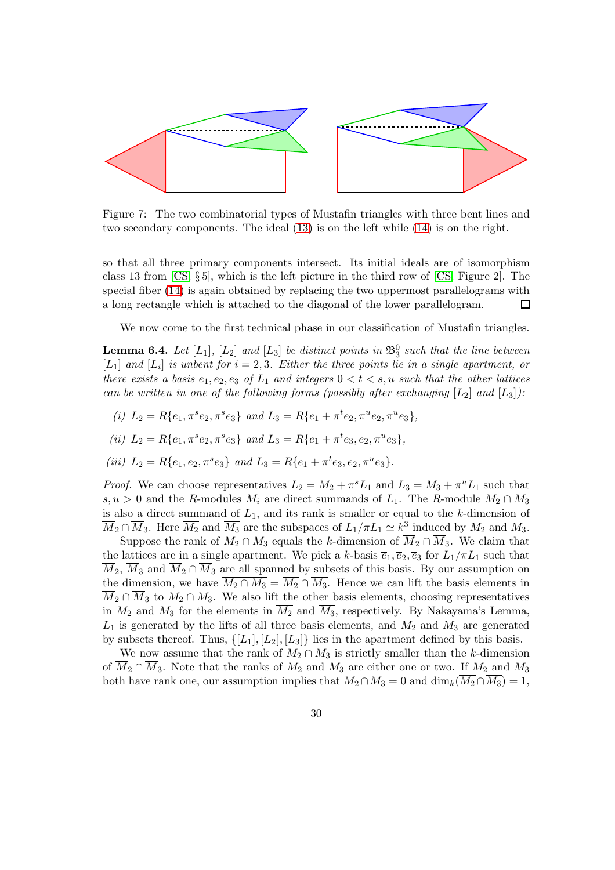

<span id="page-29-1"></span>Figure 7: The two combinatorial types of Mustafin triangles with three bent lines and two secondary components. The ideal [\(13\)](#page-28-0) is on the left while [\(14\)](#page-28-2) is on the right.

so that all three primary components intersect. Its initial ideals are of isomorphism class 13 from [\[CS,](#page-36-4) § 5], which is the left picture in the third row of [\[CS,](#page-36-4) Figure 2]. The special fiber [\(14\)](#page-28-2) is again obtained by replacing the two uppermost parallelograms with a long rectangle which is attached to the diagonal of the lower parallelogram.  $\Box$ 

We now come to the first technical phase in our classification of Mustafin triangles.

<span id="page-29-0"></span>**Lemma 6.4.** Let  $[L_1]$ ,  $[L_2]$  and  $[L_3]$  be distinct points in  $\mathfrak{B}^0_3$  such that the line between  $[L_1]$  and  $[L_i]$  is unbent for  $i = 2, 3$ . Either the three points lie in a single apartment, or *there exists a basis*  $e_1, e_2, e_3$  *of*  $L_1$  *and integers*  $0 \lt t \lt s$ , *u such that the other lattices can be written in one of the following forms (possibly after exchanging*  $[L_2]$  *and*  $[L_3]$ *)*:

- (*i*)  $L_2 = R\{e_1, \pi^s e_2, \pi^s e_3\}$  *and*  $L_3 = R\{e_1 + \pi^t e_2, \pi^u e_2, \pi^u e_3\},$
- (*ii*)  $L_2 = R\{e_1, \pi^s e_2, \pi^s e_3\}$  *and*  $L_3 = R\{e_1 + \pi^t e_3, e_2, \pi^u e_3\},$
- (*iii*)  $L_2 = R\{e_1, e_2, \pi^s e_3\}$  *and*  $L_3 = R\{e_1 + \pi^t e_3, e_2, \pi^u e_3\}.$

*Proof.* We can choose representatives  $L_2 = M_2 + \pi^s L_1$  and  $L_3 = M_3 + \pi^u L_1$  such that s, u > 0 and the R-modules  $M_i$  are direct summands of  $L_1$ . The R-module  $M_2 \cap M_3$ is also a direct summand of  $L_1$ , and its rank is smaller or equal to the k-dimension of  $\overline{M}_2 \cap \overline{M}_3$ . Here  $\overline{M}_2$  and  $\overline{M}_3$  are the subspaces of  $L_1/\pi L_1 \simeq k^3$  induced by  $M_2$  and  $M_3$ .

Suppose the rank of  $M_2 \cap M_3$  equals the k-dimension of  $\overline{M}_2 \cap \overline{M}_3$ . We claim that the lattices are in a single apartment. We pick a k-basis  $\overline{e_1}$ ,  $\overline{e_2}$ ,  $\overline{e_3}$  for  $L_1/\pi L_1$  such that  $\overline{M}_2$ ,  $\overline{M}_3$  and  $\overline{M}_2 \cap \overline{M}_3$  are all spanned by subsets of this basis. By our assumption on the dimension, we have  $\overline{M_2 \cap M_3} = \overline{M_2} \cap \overline{M_3}$ . Hence we can lift the basis elements in  $\overline{M}_2 \cap \overline{M}_3$  to  $M_2 \cap M_3$ . We also lift the other basis elements, choosing representatives in  $M_2$  and  $M_3$  for the elements in  $\overline{M_2}$  and  $\overline{M_3}$ , respectively. By Nakayama's Lemma,  $L_1$  is generated by the lifts of all three basis elements, and  $M_2$  and  $M_3$  are generated by subsets thereof. Thus,  $\{[L_1], [L_2], [L_3]\}$  lies in the apartment defined by this basis.

We now assume that the rank of  $M_2 \cap M_3$  is strictly smaller than the k-dimension of  $\overline{M}_2 \cap \overline{M}_3$ . Note that the ranks of  $M_2$  and  $M_3$  are either one or two. If  $M_2$  and  $M_3$ both have rank one, our assumption implies that  $M_2 \cap M_3 = 0$  and  $\dim_k(M_2 \cap M_3) = 1$ ,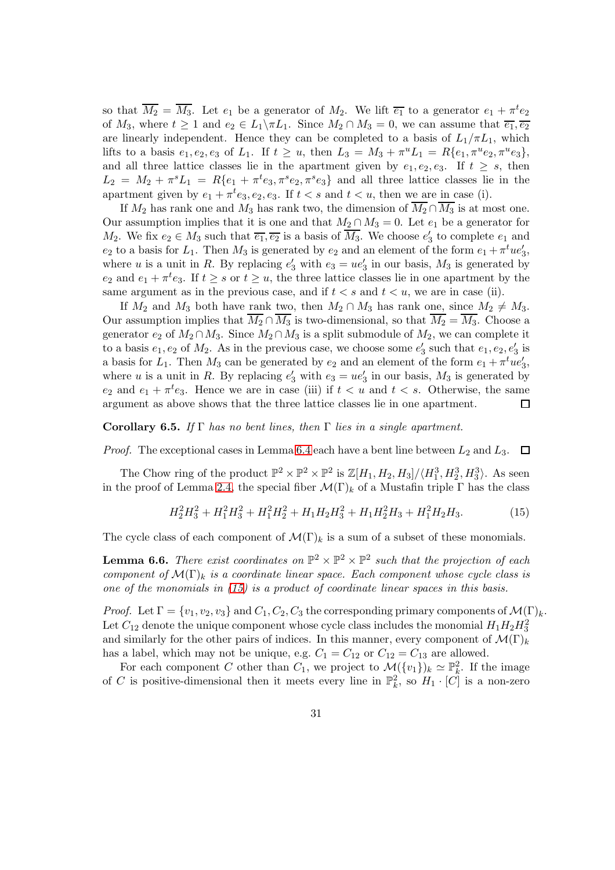so that  $\overline{M_2} = \overline{M_3}$ . Let  $e_1$  be a generator of  $M_2$ . We lift  $\overline{e_1}$  to a generator  $e_1 + \pi^t e_2$ of  $M_3$ , where  $t \geq 1$  and  $e_2 \in L_1 \backslash \pi L_1$ . Since  $M_2 \cap M_3 = 0$ , we can assume that  $\overline{e_1}, \overline{e_2}$ are linearly independent. Hence they can be completed to a basis of  $L_1/\pi L_1$ , which lifts to a basis  $e_1, e_2, e_3$  of  $L_1$ . If  $t \ge u$ , then  $L_3 = M_3 + \pi^u L_1 = R\{e_1, \pi^u e_2, \pi^u e_3\},$ and all three lattice classes lie in the apartment given by  $e_1, e_2, e_3$ . If  $t \geq s$ , then  $L_2 = M_2 + \pi^s L_1 = R\{e_1 + \pi^t e_3, \pi^s e_2, \pi^s e_3\}$  and all three lattice classes lie in the apartment given by  $e_1 + \pi^t e_3, e_2, e_3$ . If  $t < s$  and  $t < u$ , then we are in case (i).

If  $M_2$  has rank one and  $M_3$  has rank two, the dimension of  $\overline{M_2} \cap \overline{M_3}$  is at most one. Our assumption implies that it is one and that  $M_2 \cap M_3 = 0$ . Let  $e_1$  be a generator for  $M_2$ . We fix  $e_2 \in M_3$  such that  $\overline{e_1}, \overline{e_2}$  is a basis of  $\overline{M_3}$ . We choose  $e'_3$  to complete  $e_1$  and  $e_2$  to a basis for  $L_1$ . Then  $M_3$  is generated by  $e_2$  and an element of the form  $e_1 + \pi^t u e'_3$ , where u is a unit in R. By replacing  $e'_3$  with  $e_3 = ue'_3$  in our basis,  $M_3$  is generated by  $e_2$  and  $e_1 + \pi^t e_3$ . If  $t \geq s$  or  $t \geq u$ , the three lattice classes lie in one apartment by the same argument as in the previous case, and if  $t < s$  and  $t < u$ , we are in case (ii).

If  $M_2$  and  $M_3$  both have rank two, then  $M_2 \cap M_3$  has rank one, since  $M_2 \neq M_3$ . Our assumption implies that  $\overline{M_2} \cap \overline{M_3}$  is two-dimensional, so that  $\overline{M_2} = \overline{M_3}$ . Choose a generator  $e_2$  of  $M_2 \cap M_3$ . Since  $M_2 \cap M_3$  is a split submodule of  $M_2$ , we can complete it to a basis  $e_1, e_2$  of  $M_2$ . As in the previous case, we choose some  $e'_3$  such that  $e_1, e_2, e'_3$  is a basis for  $L_1$ . Then  $M_3$  can be generated by  $e_2$  and an element of the form  $e_1 + \pi^t u e'_3$ , where u is a unit in R. By replacing  $e'_3$  with  $e_3 = ue'_3$  in our basis,  $M_3$  is generated by  $e_2$  and  $e_1 + \pi^t e_3$ . Hence we are in case (iii) if  $t < u$  and  $t < s$ . Otherwise, the same argument as above shows that the three lattice classes lie in one apartment. 囗

<span id="page-30-2"></span>Corollary 6.5. *If* Γ *has no bent lines, then* Γ *lies in a single apartment.*

*Proof.* The exceptional cases in Lemma [6.4](#page-29-0) each have a bent line between  $L_2$  and  $L_3$ .  $\Box$ 

The Chow ring of the product  $\mathbb{P}^2 \times \mathbb{P}^2 \times \mathbb{P}^2$  is  $\mathbb{Z}[H_1, H_2, H_3]/\langle H_1^3, H_2^3, H_3^3 \rangle$ . As seen in the proof of Lemma [2.4,](#page-6-0) the special fiber  $\mathcal{M}(\Gamma)_k$  of a Mustafin triple  $\Gamma$  has the class

<span id="page-30-1"></span>
$$
H_2^2 H_3^2 + H_1^2 H_3^2 + H_1^2 H_2^2 + H_1 H_2 H_3^2 + H_1 H_2^2 H_3 + H_1^2 H_2 H_3. \tag{15}
$$

The cycle class of each component of  $\mathcal{M}(\Gamma)_k$  is a sum of a subset of these monomials.

<span id="page-30-0"></span>**Lemma 6.6.** There exist coordinates on  $\mathbb{P}^2 \times \mathbb{P}^2 \times \mathbb{P}^2$  such that the projection of each *component of*  $\mathcal{M}(\Gamma)_{k}$  *is a coordinate linear space. Each component whose cycle class is one of the monomials in [\(15\)](#page-30-1) is a product of coordinate linear spaces in this basis.*

*Proof.* Let  $\Gamma = \{v_1, v_2, v_3\}$  and  $C_1, C_2, C_3$  the corresponding primary components of  $\mathcal{M}(\Gamma)_k$ . Let  $C_{12}$  denote the unique component whose cycle class includes the monomial  $H_1H_2H_3^2$ and similarly for the other pairs of indices. In this manner, every component of  $\mathcal{M}(\Gamma)_k$ has a label, which may not be unique, e.g.  $C_1 = C_{12}$  or  $C_{12} = C_{13}$  are allowed.

For each component C other than  $C_1$ , we project to  $\mathcal{M}(\{v_1\})_k \simeq \mathbb{P}_k^2$ . If the image of C is positive-dimensional then it meets every line in  $\mathbb{P}^2_k$ , so  $H_1 \cdot [C]$  is a non-zero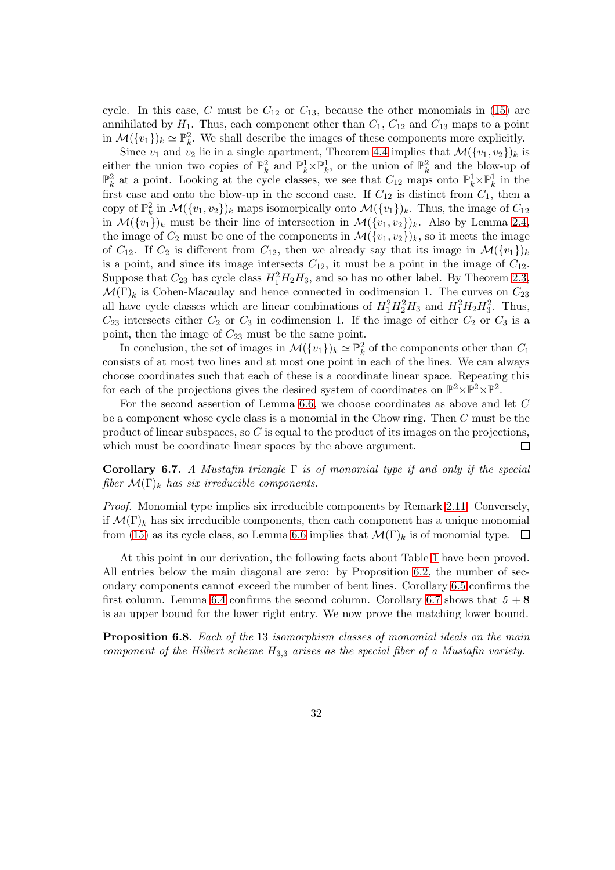cycle. In this case, C must be  $C_{12}$  or  $C_{13}$ , because the other monomials in [\(15\)](#page-30-1) are annihilated by  $H_1$ . Thus, each component other than  $C_1$ ,  $C_{12}$  and  $C_{13}$  maps to a point in  $\mathcal{M}(\{v_1\})_k \simeq \mathbb{P}_k^2$ . We shall describe the images of these components more explicitly.

Since  $v_1$  and  $v_2$  lie in a single apartment, Theorem [4.4](#page-17-0) implies that  $\mathcal{M}(\{v_1, v_2\})_k$  is either the union two copies of  $\mathbb{P}_k^2$  and  $\mathbb{P}_k^1 \times \mathbb{P}_k^1$ , or the union of  $\mathbb{P}_k^2$  and the blow-up of  $\mathbb{P}_k^2$  at a point. Looking at the cycle classes, we see that  $C_{12}$  maps onto  $\mathbb{P}_k^1\times\mathbb{P}_k^1$  in the first case and onto the blow-up in the second case. If  $C_{12}$  is distinct from  $C_1$ , then a copy of  $\mathbb{P}_k^2$  in  $\mathcal{M}(\{v_1, v_2\})_k$  maps isomorpically onto  $\mathcal{M}(\{v_1\})_k$ . Thus, the image of  $C_{12}$ in  $\mathcal{M}(\{v_1\})_k$  must be their line of intersection in  $\mathcal{M}(\{v_1, v_2\})_k$ . Also by Lemma [2.4,](#page-6-0) the image of  $C_2$  must be one of the components in  $\mathcal{M}(\{v_1, v_2\})_k$ , so it meets the image of  $C_{12}$ . If  $C_2$  is different from  $C_{12}$ , then we already say that its image in  $\mathcal{M}(\{v_1\})_k$ is a point, and since its image intersects  $C_{12}$ , it must be a point in the image of  $C_{12}$ . Suppose that  $C_{23}$  has cycle class  $H_1^2H_2H_3$ , and so has no other label. By Theorem [2.3,](#page-5-0)  $\mathcal{M}(\Gamma)_k$  is Cohen-Macaulay and hence connected in codimension 1. The curves on  $C_{23}$ all have cycle classes which are linear combinations of  $H_1^2 H_2^2 H_3$  and  $H_1^2 H_2 H_3^2$ . Thus,  $C_{23}$  intersects either  $C_2$  or  $C_3$  in codimension 1. If the image of either  $C_2$  or  $C_3$  is a point, then the image of  $C_{23}$  must be the same point.

In conclusion, the set of images in  $\mathcal{M}(\{v_1\})_k \simeq \mathbb{P}_k^2$  of the components other than  $C_1$ consists of at most two lines and at most one point in each of the lines. We can always choose coordinates such that each of these is a coordinate linear space. Repeating this for each of the projections gives the desired system of coordinates on  $\mathbb{P}^2 \times \mathbb{P}^2 \times \mathbb{P}^2$ .

For the second assertion of Lemma [6.6,](#page-30-0) we choose coordinates as above and let C be a component whose cycle class is a monomial in the Chow ring. Then C must be the product of linear subspaces, so  $C$  is equal to the product of its images on the projections, which must be coordinate linear spaces by the above argument.  $\Box$ 

<span id="page-31-0"></span>Corollary 6.7. *A Mustafin triangle* Γ *is of monomial type if and only if the special fiber*  $\mathcal{M}(\Gamma)_{k}$  *has six irreducible components.* 

*Proof.* Monomial type implies six irreducible components by Remark [2.11.](#page-9-2) Conversely, if  $\mathcal{M}(\Gamma)_k$  has six irreducible components, then each component has a unique monomial from [\(15\)](#page-30-1) as its cycle class, so Lemma [6.6](#page-30-0) implies that  $\mathcal{M}(\Gamma)_k$  is of monomial type.  $\Box$ 

At this point in our derivation, the following facts about Table [1](#page-27-0) have been proved. All entries below the main diagonal are zero: by Proposition [6.2,](#page-27-1) the number of secondary components cannot exceed the number of bent lines. Corollary [6.5](#page-30-2) confirms the first column. Lemma [6.4](#page-29-0) confirms the second column. Corollary [6.7](#page-31-0) shows that  $5+8$ is an upper bound for the lower right entry. We now prove the matching lower bound.

<span id="page-31-1"></span>Proposition 6.8. *Each of the* 13 *isomorphism classes of monomial ideals on the main component of the Hilbert scheme* H3,<sup>3</sup> *arises as the special fiber of a Mustafin variety.*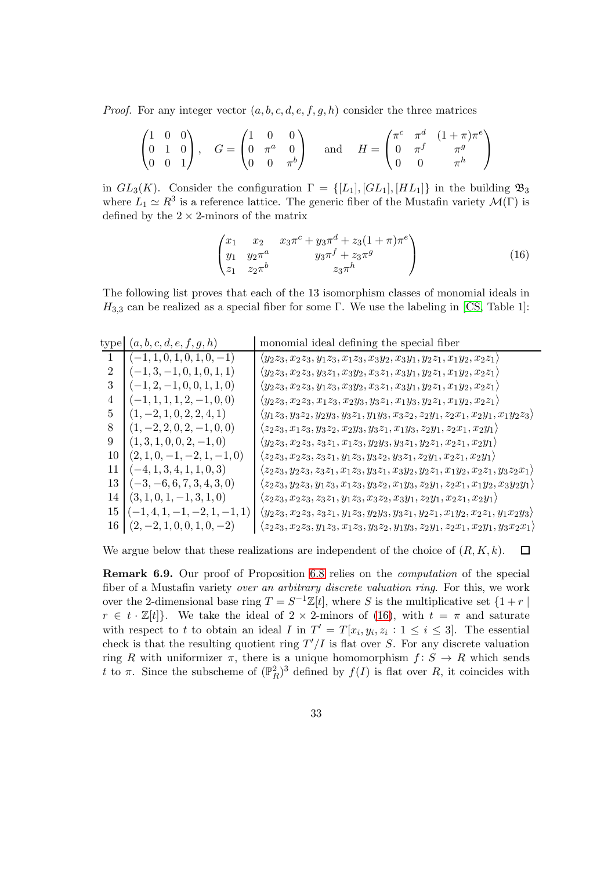*Proof.* For any integer vector  $(a, b, c, d, e, f, g, h)$  consider the three matrices

$$
\begin{pmatrix} 1 & 0 & 0 \\ 0 & 1 & 0 \\ 0 & 0 & 1 \end{pmatrix}, \quad G = \begin{pmatrix} 1 & 0 & 0 \\ 0 & \pi^a & 0 \\ 0 & 0 & \pi^b \end{pmatrix} \quad \text{and} \quad H = \begin{pmatrix} \pi^c & \pi^d & (1+\pi)\pi^e \\ 0 & \pi^f & \pi^g \\ 0 & 0 & \pi^h \end{pmatrix}
$$

in  $GL_3(K)$ . Consider the configuration  $\Gamma = \{[L_1], [GL_1], [HL_1]\}$  in the building  $\mathfrak{B}_3$ where  $L_1 \simeq R^3$  is a reference lattice. The generic fiber of the Mustafin variety  $\mathcal{M}(\Gamma)$  is defined by the  $2 \times 2$ -minors of the matrix

<span id="page-32-0"></span>
$$
\begin{pmatrix} x_1 & x_2 & x_3\pi^c + y_3\pi^d + z_3(1+\pi)\pi^e \\ y_1 & y_2\pi^a & y_3\pi^f + z_3\pi^g \\ z_1 & z_2\pi^b & z_3\pi^h \end{pmatrix}
$$
 (16)

The following list proves that each of the 13 isomorphism classes of monomial ideals in  $H_{3,3}$  can be realized as a special fiber for some Γ. We use the labeling in [\[CS,](#page-36-4) Table 1]:

type  $(a, b, c, d, e, f, g, h)$  monomial ideal defining the special fiber

|    | $(-1, 1, 0, 1, 0, 1, 0, -1)$      | $\langle y_2z_3, x_2z_3, y_1z_3, x_1z_3, x_3y_2, x_3y_1, y_2z_1, x_1y_2, x_2z_1 \rangle$            |
|----|-----------------------------------|-----------------------------------------------------------------------------------------------------|
| 2  | $(-1,3,-1,0,1,0,1,1)$             | $\langle y_2z_3, x_2z_3, y_3z_1, x_3y_2, x_3z_1, x_3y_1, y_2z_1, x_1y_2, x_2z_1 \rangle$            |
| 3  | $(-1, 2, -1, 0, 0, 1, 1, 0)$      | $\langle y_2z_3, x_2z_3, y_1z_3, x_3y_2, x_3z_1, x_3y_1, y_2z_1, x_1y_2, x_2z_1 \rangle$            |
| 4  | $(-1, 1, 1, 1, 2, -1, 0, 0)$      | $\langle y_2z_3, x_2z_3, x_1z_3, x_2y_3, y_3z_1, x_1y_3, y_2z_1, x_1y_2, x_2z_1 \rangle$            |
| 5  | $(1, -2, 1, 0, 2, 2, 4, 1)$       | $\langle y_1z_3, y_3z_2, y_2y_3, y_3z_1, y_1y_3, x_3z_2, z_2y_1, z_2x_1, x_2y_1, x_1y_2z_3 \rangle$ |
| 8  | $(1, -2, 2, 0, 2, -1, 0, 0)$      | $\langle z_2z_3, x_1z_3, y_3z_2, x_2y_3, y_3z_1, x_1y_3, z_2y_1, z_2x_1, x_2y_1 \rangle$            |
| 9  | $(1,3,1,0,0,2,-1,0)$              | $\langle y_2z_3, x_2z_3, z_3z_1, x_1z_3, y_2y_3, y_3z_1, y_2z_1, x_2z_1, x_2y_1 \rangle$            |
| 10 | $(2, 1, 0, -1, -2, 1, -1, 0)$     | $\langle z_2z_3, x_2z_3, z_3z_1, y_1z_3, y_3z_2, y_3z_1, z_2y_1, x_2z_1, x_2y_1 \rangle$            |
| 11 | $(-4, 1, 3, 4, 1, 1, 0, 3)$       | $\langle z_2z_3,y_2z_3,z_3z_1,x_1z_3,y_3z_1,x_3y_2,y_2z_1,x_1y_2,x_2z_1,y_3z_2x_1\rangle$           |
| 13 | $(-3, -6, 6, 7, 3, 4, 3, 0)$      | $\langle z_2z_3, y_2z_3, y_1z_3, x_1z_3, y_3z_2, x_1y_3, z_2y_1, z_2x_1, x_1y_2, x_3y_2y_1 \rangle$ |
| 14 | $(3, 1, 0, 1, -1, 3, 1, 0)$       | $\langle z_2z_3, x_2z_3, z_3z_1, y_1z_3, x_3z_2, x_3y_1, z_2y_1, x_2z_1, x_2y_1 \rangle$            |
| 15 | $(-1, 4, 1, -1, -2, 1, -1, 1)$    | $\langle y_2z_3, x_2z_3, z_3z_1, y_1z_3, y_2y_3, y_3z_1, y_2z_1, x_1y_2, x_2z_1, y_1x_2y_3 \rangle$ |
|    | $16   (2, -2, 1, 0, 0, 1, 0, -2)$ | $\langle z_2z_3, x_2z_3, y_1z_3, x_1z_3, y_3z_2, y_1y_3, z_2y_1, z_2x_1, x_2y_1, y_3x_2x_1 \rangle$ |
|    |                                   |                                                                                                     |

We argue below that these realizations are independent of the choice of  $(R, K, k)$ .  $\Box$ 

<span id="page-32-1"></span>Remark 6.9. Our proof of Proposition [6.8](#page-31-1) relies on the *computation* of the special fiber of a Mustafin variety *over an arbitrary discrete valuation ring*. For this, we work over the 2-dimensional base ring  $T = S^{-1}\mathbb{Z}[t]$ , where S is the multiplicative set  $\{1+r \mid$  $r \in t \cdot \mathbb{Z}[t]$ . We take the ideal of  $2 \times 2$ -minors of [\(16\)](#page-32-0), with  $t = \pi$  and saturate with respect to t to obtain an ideal I in  $T' = T[x_i, y_i, z_i : 1 \le i \le 3]$ . The essential check is that the resulting quotient ring  $T'/I$  is flat over S. For any discrete valuation ring R with uniformizer  $\pi$ , there is a unique homomorphism  $f: S \to R$  which sends t to  $\pi$ . Since the subscheme of  $(\mathbb{P}_R^2)^3$  defined by  $f(I)$  is flat over R, it coincides with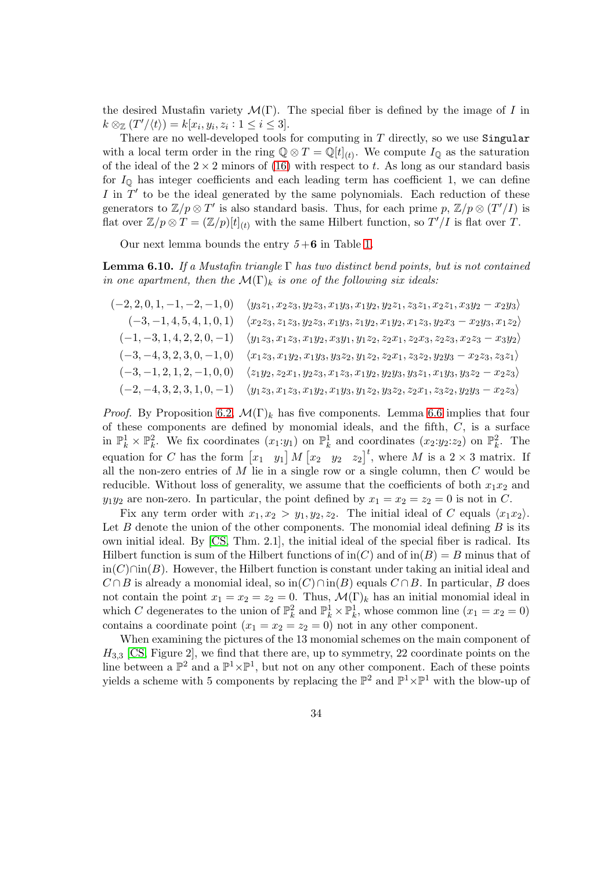the desired Mustafin variety  $\mathcal{M}(\Gamma)$ . The special fiber is defined by the image of I in  $k \otimes_{\mathbb{Z}} (T'/\langle t \rangle) = k[x_i, y_i, z_i : 1 \leq i \leq 3].$ 

There are no well-developed tools for computing in  $T$  directly, so we use Singular with a local term order in the ring  $\mathbb{Q} \otimes T = \mathbb{Q}[t]_{(t)}$ . We compute  $I_{\mathbb{Q}}$  as the saturation of the ideal of the  $2 \times 2$  minors of [\(16\)](#page-32-0) with respect to t. As long as our standard basis for  $I_{\mathbb{Q}}$  has integer coefficients and each leading term has coefficient 1, we can define I in  $T'$  to be the ideal generated by the same polynomials. Each reduction of these generators to  $\mathbb{Z}/p \otimes T'$  is also standard basis. Thus, for each prime  $p, \mathbb{Z}/p \otimes (T'/I)$  is flat over  $\mathbb{Z}/p \otimes T = (\mathbb{Z}/p)[t]_{(t)}$  with the same Hilbert function, so  $T'/I$  is flat over T.

Our next lemma bounds the entry  $5+6$  in Table [1.](#page-27-0)

<span id="page-33-0"></span>Lemma 6.10. *If a Mustafin triangle* Γ *has two distinct bend points, but is not contained in one apartment, then the*  $\mathcal{M}(\Gamma)_{k}$  *is one of the following six ideals:* 

 $(-2, 2, 0, 1, -1, -2, -1, 0)$   $\langle y_3z_1, x_2z_3, y_2z_3, x_1y_3, x_1y_2, y_2z_1, z_3z_1, x_2z_1, x_3y_2 - x_2y_3 \rangle$  $(-3, -1, 4, 5, 4, 1, 0, 1)$   $\langle x_2z_3, z_1z_3, y_2z_3, x_1y_3, z_1y_2, x_1y_2, x_1z_3, y_2x_3 - x_2y_3, x_1z_2 \rangle$  $(-1, -3, 1, 4, 2, 2, 0, -1)$   $\langle y_1 z_3, x_1 z_3, x_1 y_2, x_3 y_1, y_1 z_2, z_2 x_1, z_2 x_3, z_2 z_3, x_2 z_3 - x_3 y_2 \rangle$  $(-3, -4, 3, 2, 3, 0, -1, 0)$   $\langle x_1 z_3, x_1 y_2, x_1 y_3, y_3 z_2, y_1 z_2, z_2 x_1, z_3 z_2, y_2 y_3 - x_2 z_3, z_3 z_1 \rangle$  $(-3, -1, 2, 1, 2, -1, 0, 0)$   $\langle z_1y_2, z_2x_1, y_2z_3, x_1z_3, x_1y_2, y_2y_3, y_3z_1, x_1y_3, y_3z_2 - x_2z_3 \rangle$  $(-2, -4, 3, 2, 3, 1, 0, -1)$   $\langle y_1 z_3, x_1 z_3, x_1 y_2, x_1 y_3, y_1 z_2, y_3 z_2, z_2 x_1, z_3 z_2, y_2 y_3 - x_2 z_3 \rangle$ 

*Proof.* By Proposition [6.2,](#page-27-1)  $\mathcal{M}(\Gamma)_{k}$  has five components. Lemma [6.6](#page-30-0) implies that four of these components are defined by monomial ideals, and the fifth, C, is a surface in  $\mathbb{P}_k^1 \times \mathbb{P}_k^2$ . We fix coordinates  $(x_1:y_1)$  on  $\mathbb{P}_k^1$  and coordinates  $(x_2:y_2:z_2)$  on  $\mathbb{P}_k^2$ . The equation for C has the form  $\begin{bmatrix} x_1 & y_1 \end{bmatrix} M \begin{bmatrix} x_2 & y_2 & z_2 \end{bmatrix}^t$ , where M is a  $2 \times 3$  matrix. If all the non-zero entries of  $M$  lie in a single row or a single column, then  $C$  would be reducible. Without loss of generality, we assume that the coefficients of both  $x_1x_2$  and  $y_1y_2$  are non-zero. In particular, the point defined by  $x_1 = x_2 = z_2 = 0$  is not in C.

Fix any term order with  $x_1, x_2 > y_1, y_2, z_2$ . The initial ideal of C equals  $\langle x_1 x_2 \rangle$ . Let  $B$  denote the union of the other components. The monomial ideal defining  $B$  is its own initial ideal. By [\[CS,](#page-36-4) Thm. 2.1], the initial ideal of the special fiber is radical. Its Hilbert function is sum of the Hilbert functions of  $\text{in}(C)$  and of  $\text{in}(B) = B$  minus that of in(C)∩in(B). However, the Hilbert function is constant under taking an initial ideal and  $C \cap B$  is already a monomial ideal, so  $\text{in}(C) \cap \text{in}(B)$  equals  $C \cap B$ . In particular, B does not contain the point  $x_1 = x_2 = z_2 = 0$ . Thus,  $\mathcal{M}(\Gamma)_k$  has an initial monomial ideal in which C degenerates to the union of  $\mathbb{P}_k^2$  and  $\mathbb{P}_k^1 \times \mathbb{P}_k^1$ , whose common line  $(x_1 = x_2 = 0)$ contains a coordinate point  $(x_1 = x_2 = z_2 = 0)$  not in any other component.

When examining the pictures of the 13 monomial schemes on the main component of  $H_{3,3}$  [\[CS,](#page-36-4) Figure 2], we find that there are, up to symmetry, 22 coordinate points on the line between a  $\mathbb{P}^2$  and a  $\mathbb{P}^1 \times \mathbb{P}^1$ , but not on any other component. Each of these points yields a scheme with 5 components by replacing the  $\mathbb{P}^2$  and  $\mathbb{P}^1 \times \mathbb{P}^1$  with the blow-up of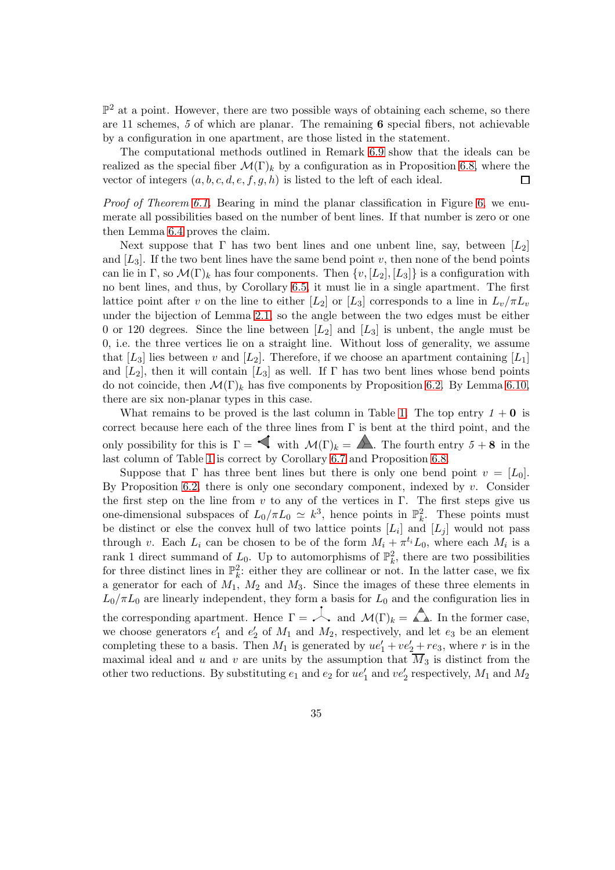$\mathbb{P}^2$  at a point. However, there are two possible ways of obtaining each scheme, so there are 11 schemes, *5* of which are planar. The remaining 6 special fibers, not achievable by a configuration in one apartment, are those listed in the statement.

The computational methods outlined in Remark [6.9](#page-32-1) show that the ideals can be realized as the special fiber  $\mathcal{M}(\Gamma)_k$  by a configuration as in Proposition [6.8,](#page-31-1) where the vector of integers  $(a, b, c, d, e, f, g, h)$  is listed to the left of each ideal.  $\Box$ 

*Proof of Theorem [6.1.](#page-26-0)* Bearing in mind the planar classification in Figure [6,](#page-22-0) we enumerate all possibilities based on the number of bent lines. If that number is zero or one then Lemma [6.4](#page-29-0) proves the claim.

Next suppose that  $\Gamma$  has two bent lines and one unbent line, say, between  $[L_2]$ and  $[L_3]$ . If the two bent lines have the same bend point v, then none of the bend points can lie in Γ, so  $\mathcal{M}(\Gamma)_k$  has four components. Then  $\{v, [L_2], [L_3]\}$  is a configuration with no bent lines, and thus, by Corollary [6.5,](#page-30-2) it must lie in a single apartment. The first lattice point after v on the line to either [L<sub>2</sub>] or [L<sub>3</sub>] corresponds to a line in  $L_v/\pi L_v$ under the bijection of Lemma [2.1,](#page-3-1) so the angle between the two edges must be either 0 or 120 degrees. Since the line between  $[L_2]$  and  $[L_3]$  is unbent, the angle must be 0, i.e. the three vertices lie on a straight line. Without loss of generality, we assume that  $[L_3]$  lies between v and  $[L_2]$ . Therefore, if we choose an apartment containing  $[L_1]$ and  $[L_2]$ , then it will contain  $[L_3]$  as well. If  $\Gamma$  has two bent lines whose bend points do not coincide, then  $\mathcal{M}(\Gamma)_k$  has five components by Proposition [6.2.](#page-27-1) By Lemma [6.10,](#page-33-0) there are six non-planar types in this case.

What remains to be proved is the last column in Table [1.](#page-27-0) The top entry  $1 + 0$  is correct because here each of the three lines from  $\Gamma$  is bent at the third point, and the only possibility for this is  $\Gamma = \bigotimes$  with  $\mathcal{M}(\Gamma)_k = \bigotimes$ . The fourth entry  $5 + 8$  in the last column of Table [1](#page-27-0) is correct by Corollary [6.7](#page-31-0) and Proposition [6.8.](#page-31-1)

Suppose that  $\Gamma$  has three bent lines but there is only one bend point  $v = [L_0]$ . By Proposition [6.2,](#page-27-1) there is only one secondary component, indexed by  $v$ . Consider the first step on the line from v to any of the vertices in  $\Gamma$ . The first steps give us one-dimensional subspaces of  $L_0/\pi L_0 \simeq k^3$ , hence points in  $\mathbb{P}_k^2$ . These points must be distinct or else the convex hull of two lattice points  $[L_i]$  and  $[L_j]$  would not pass through v. Each  $L_i$  can be chosen to be of the form  $M_i + \pi^{t_i} L_0$ , where each  $M_i$  is a rank 1 direct summand of  $L_0$ . Up to automorphisms of  $\mathbb{P}_k^2$ , there are two possibilities for three distinct lines in  $\mathbb{P}_k^2$ : either they are collinear or not. In the latter case, we fix a generator for each of  $M_1$ ,  $M_2$  and  $M_3$ . Since the images of these three elements in  $L_0/\pi L_0$  are linearly independent, they form a basis for  $L_0$  and the configuration lies in the corresponding apartment. Hence  $\Gamma = \sim$  and  $\mathcal{M}(\Gamma)_k = \triangle$ . In the former case, we choose generators  $e'_1$  and  $e'_2$  of  $M_1$  and  $M_2$ , respectively, and let  $e_3$  be an element completing these to a basis. Then  $M_1$  is generated by  $ue'_1 + ve'_2 + re_3$ , where r is in the maximal ideal and u and v are units by the assumption that  $\overline{M}_3$  is distinct from the other two reductions. By substituting  $e_1$  and  $e_2$  for  $ue'_1$  and  $ve'_2$  respectively,  $M_1$  and  $M_2$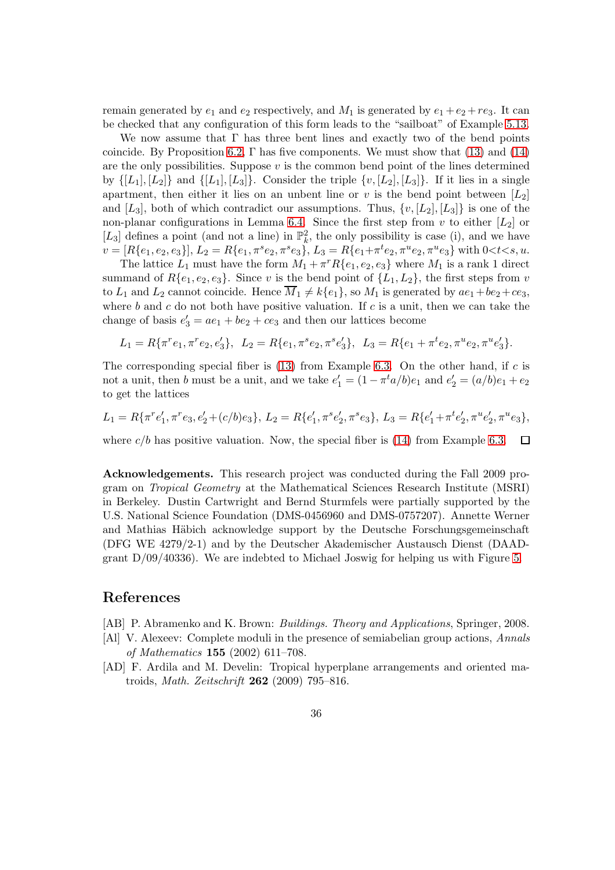remain generated by  $e_1$  and  $e_2$  respectively, and  $M_1$  is generated by  $e_1 + e_2 + re_3$ . It can be checked that any configuration of this form leads to the "sailboat" of Example [5.13.](#page-26-2)

We now assume that  $\Gamma$  has three bent lines and exactly two of the bend points coincide. By Proposition [6.2,](#page-27-1)  $\Gamma$  has five components. We must show that [\(13\)](#page-28-0) and [\(14\)](#page-28-2) are the only possibilities. Suppose  $v$  is the common bend point of the lines determined by  $\{[L_1], [L_2]\}$  and  $\{[L_1], [L_3]\}$ . Consider the triple  $\{v, [L_2], [L_3]\}$ . If it lies in a single apartment, then either it lies on an unbent line or v is the bend point between  $[L_2]$ and  $[L_3]$ , both of which contradict our assumptions. Thus,  $\{v, [L_2], [L_3]\}\$ is one of the non-planar configurations in Lemma [6.4.](#page-29-0) Since the first step from  $v$  to either  $[L_2]$  or [ $L_3$ ] defines a point (and not a line) in  $\mathbb{P}_k^2$ , the only possibility is case (i), and we have  $v = [R\{e_1, e_2, e_3\}], L_2 = R\{e_1, \pi^s e_2, \pi^s e_3\}, L_3 = R\{e_1 + \pi^t e_2, \pi^u e_2, \pi^u e_3\}$  with  $0 < t < s, u$ .

The lattice  $L_1$  must have the form  $M_1 + \pi^r R\{e_1, e_2, e_3\}$  where  $M_1$  is a rank 1 direct summand of  $R\{e_1, e_2, e_3\}$ . Since v is the bend point of  $\{L_1, L_2\}$ , the first steps from v to  $L_1$  and  $L_2$  cannot coincide. Hence  $\overline{M}_1 \neq k\{e_1\}$ , so  $M_1$  is generated by  $ae_1+be_2+ce_3$ , where  $b$  and  $c$  do not both have positive valuation. If  $c$  is a unit, then we can take the change of basis  $e'_3 = ae_1 + be_2 + ce_3$  and then our lattices become

$$
L_1 = R\{\pi^r e_1, \pi^r e_2, e'_3\}, \ L_2 = R\{e_1, \pi^s e_2, \pi^s e'_3\}, \ L_3 = R\{e_1 + \pi^t e_2, \pi^u e'_2, \pi^u e'_3\}.
$$

The corresponding special fiber is  $(13)$  from Example [6.3.](#page-28-3) On the other hand, if c is not a unit, then b must be a unit, and we take  $e'_1 = (1 - \pi^t a/b)e_1$  and  $e'_2 = (a/b)e_1 + e_2$ to get the lattices

$$
L_1 = R\{\pi^r e'_1, \pi^r e_3, e'_2 + (c/b)e_3\}, L_2 = R\{e'_1, \pi^s e'_2, \pi^s e_3\}, L_3 = R\{e'_1 + \pi^t e'_2, \pi^u e'_2, \pi^u e_3\},
$$

where  $c/b$  has positive valuation. Now, the special fiber is [\(14\)](#page-28-2) from Example [6.3.](#page-28-3)  $\Box$ 

Acknowledgements. This research project was conducted during the Fall 2009 program on *Tropical Geometry* at the Mathematical Sciences Research Institute (MSRI) in Berkeley. Dustin Cartwright and Bernd Sturmfels were partially supported by the U.S. National Science Foundation (DMS-0456960 and DMS-0757207). Annette Werner and Mathias Häbich acknowledge support by the Deutsche Forschungsgemeinschaft (DFG WE 4279/2-1) and by the Deutscher Akademischer Austausch Dienst (DAADgrant  $D/09/40336$ . We are indebted to Michael Joswig for helping us with Figure [5.](#page-17-1)

#### References

- [AB] P. Abramenko and K. Brown: *Buildings. Theory and Applications*, Springer, 2008.
- <span id="page-35-1"></span>[Al] V. Alexeev: Complete moduli in the presence of semiabelian group actions, *Annals of Mathematics* 155 (2002) 611–708.
- <span id="page-35-0"></span>[AD] F. Ardila and M. Develin: Tropical hyperplane arrangements and oriented matroids, *Math. Zeitschrift* 262 (2009) 795–816.